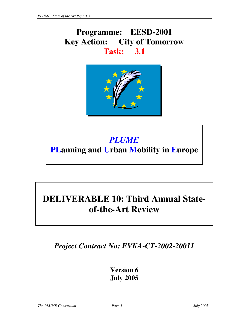## **Programme: EESD-2001 Key Action: City of Tomorrow Task: 3.1**



# *PLUME*

**PLanning and Urban Mobility in Europe**

## **DELIVERABLE 10: Third Annual Stateof-the-Art Review**

*Project Contract No: EVKA-CT-2002-20011*

**Version 6 July 2005**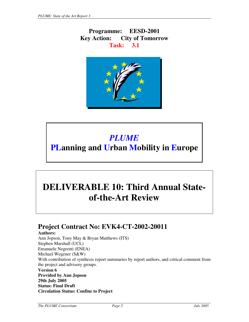## **Programme: EESD-2001 Key Action: City of Tomorrow Task: 3.1**



## *PLUME*

## **PLanning and Urban Mobility in Europe**

## **DELIVERABLE 10: Third Annual Stateof-the-Art Review**

## **Project Contract No: EVK4-CT-2002-20011**

### **Authors:**

Ann Jopson, Tony May & Bryan Matthews (ITS) Stephen Marshall (UCL) Emanuele Negrenti (ENEA) Michael Wegener (S&W) With contribution of synthesis report summaries by report authors, and critical comment from the project and advisory groups. **Version 6 Provided by Ann Jopson 29th July 2005 Status: Final Draft Circulation Status: Confine to Project**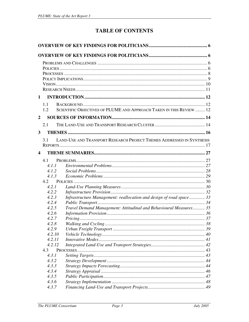## **TABLE OF CONTENTS**

| $\mathbf 1$      |        |                                                                       |  |
|------------------|--------|-----------------------------------------------------------------------|--|
|                  | 1.1    |                                                                       |  |
|                  | 1.2    | SCIENTIFIC OBJECTIVES OF PLUME AND APPROACH TAKEN IN THIS REVIEW  12  |  |
|                  |        |                                                                       |  |
| $\mathbf{2}$     |        |                                                                       |  |
|                  | 2.1    |                                                                       |  |
| $\mathbf{3}$     |        |                                                                       |  |
|                  | 3.1    | LAND-USE AND TRANSPORT RESEARCH PROJECT THEMES ADDRESSED IN SYNTHESIS |  |
|                  |        |                                                                       |  |
| $\boldsymbol{4}$ |        |                                                                       |  |
|                  |        |                                                                       |  |
|                  | 4.1    |                                                                       |  |
|                  | 4.1.1  |                                                                       |  |
|                  | 4.1.2  |                                                                       |  |
|                  | 4.1.3  |                                                                       |  |
|                  | 4.2    |                                                                       |  |
|                  | 4.2.1  |                                                                       |  |
|                  | 4.2.2  |                                                                       |  |
|                  | 4.2.3  | Infrastructure Management: reallocation and design of road space 33   |  |
|                  | 4.2.4  |                                                                       |  |
|                  | 4.2.5  | Travel Demand Management: Attitudinal and Behavioural Measures 35     |  |
|                  | 4.2.6  |                                                                       |  |
|                  | 4.2.7  |                                                                       |  |
|                  | 4.2.8  |                                                                       |  |
|                  | 4.2.9  |                                                                       |  |
|                  | 4.2.10 |                                                                       |  |
|                  | 4.2.11 |                                                                       |  |
|                  | 4.2.12 |                                                                       |  |
|                  | 4.3    |                                                                       |  |
|                  | 4.3.1  |                                                                       |  |
|                  | 4.3.2  |                                                                       |  |
|                  | 4.3.3  |                                                                       |  |
|                  | 4.3.4  |                                                                       |  |
|                  | 4.3.5  |                                                                       |  |
|                  | 4.3.6  |                                                                       |  |
|                  | 4.3.7  |                                                                       |  |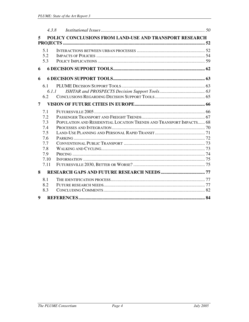|                                                                             | 4.3.8                                                               |  |
|-----------------------------------------------------------------------------|---------------------------------------------------------------------|--|
| 5                                                                           | POLICY CONCLUSIONS FROM LAND-USE AND TRANSPORT RESEARCH             |  |
| 5.1<br>5.2<br>5.3                                                           |                                                                     |  |
| 6                                                                           |                                                                     |  |
| 6                                                                           |                                                                     |  |
| 6.1<br>6.2                                                                  | 6.1.1                                                               |  |
| 7                                                                           |                                                                     |  |
| 7.1<br>7.2<br>7.3<br>7.4<br>7.5<br>7.6<br>7.7<br>7.8<br>7.9<br>7.10<br>7.11 | POPULATION AND RESIDENTIAL LOCATION TRENDS AND TRANSPORT IMPACTS 68 |  |
| 8                                                                           |                                                                     |  |
| 8.1<br>8.2<br>8.3<br>9                                                      |                                                                     |  |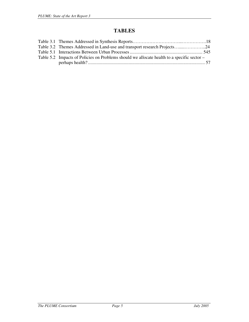## **TABLES**

| Table 5.2 Impacts of Policies on Problems should we allocate health to a specific sector – |  |
|--------------------------------------------------------------------------------------------|--|
|                                                                                            |  |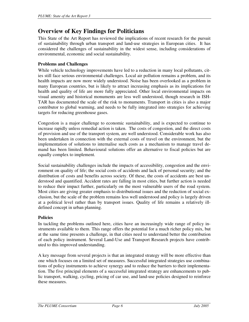## **Overview of Key Findings for Politicians**

This State of the Art Report has reviewed the implications of recent research for the pursuit of sustainability through urban transport and land-use strategies in European cities. It has considered the challenges of sustainability in the widest sense, including considerations of environmental, economic and social sustainability.

## **Problems and Challenges**

While vehicle technology improvements have led to a reduction in many local pollutants, cities still face serious environmental challenges. Local air pollution remains a problem, and its health impacts are now more widely understood. Noise has been overlooked as a problem in many European countries, but is likely to attract increasing emphasis as its implications for health and quality of life are more fully appreciated. Other local environmental impacts on visual amenity and historical monuments are less well understood, though research in ISH-TAR has documented the scale of the risk to monuments. Transport in cities is also a major contributor to global warming, and needs to be fully integrated into strategies for achieving targets for reducing greenhouse gases.

Congestion is a major challenge to economic sustainability, and is expected to continue to increase rapidly unless remedial action is taken. The costs of congestion, and the direct costs of provision and use of the transport system, are well understood. Considerable work has also been undertaken in connection with the external costs of travel on the environment, but the implementation of solutions to internalise such costs as a mechanism to manage travel demand has been limited. Behavioural solutions offer an alternative to fiscal policies but are equally complex to implement.

Social sustainability challenges include the impacts of accessibility, congestion and the environment on quality of life; the social costs of accidents and lack of personal security; and the distribution of costs and benefits across society. Of these, the costs of accidents are best understood and quantified. Accident rates are falling in most cities, but further action is needed to reduce their impact further, particularly on the most vulnerable users of the road system. Most cities are giving greater emphasis to distributional issues and the reduction of social exclusion, but the scale of the problem remains less well understood and policy is largely driven at a political level rather than by transport issues. Quality of life remains a relatively illdefined concept in urban planning.

### **Policies**

In tackling the problems outlined here, cities have an increasingly wide range of policy instruments available to them. This range offers the potential for a much richer policy mix, but at the same time presents a challenge, in that cities need to understand better the contribution of each policy instrument. Several Land-Use and Transport Research projects have contributed to this improved understanding.

A key message from several projects is that an integrated strategy will be more effective than one which focuses on a limited set of measures. Successful integrated strategies use combinations of policy instruments to achieve synergy and to reduce the barriers to their implementation. The five principal elements of a successful integrated strategy are enhancements to public transport, walking, cycling, pricing of car use, and land-use policies designed to reinforce these measures.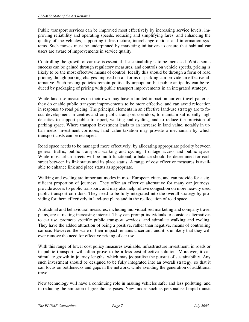Public transport services can be improved most effectively by increasing service levels, improving reliability and operating speeds, reducing and simplifying fares, and enhancing the quality of the vehicles, supporting infrastructure, interchange options and information systems. Such moves must be underpinned by marketing initiatives to ensure that habitual car users are aware of improvements in service quality.

Controlling the growth of car use is essential if sustainability is to be increased. While some success can be gained through regulatory measures, and controls on vehicle speeds, pricing is likely to be the most effective means of control. Ideally this should be through a form of road pricing, though parking charges imposed on all forms of parking can provide an effective alternative. Such pricing policies remain politically unpopular, but public antipathy can be reduced by packaging of pricing with public transport improvements in an integrated strategy.

While land-use measures on their own may have a limited impact on current travel patterns, they do enable public transport improvements to be more effective, and can avoid relocation in response to road pricing. The principal elements in an effective land-use strategy are to focus development in centres and on public transport corridors, to maintain sufficiently high densities to support public transport, walking and cycling, and to reduce the provision of parking space. Where transport investment leads to an increase in land value, notably in urban metro investment corridors, land value taxation may provide a mechanism by which transport costs can be recouped.

Road space needs to be managed more effectively, by allocating appropriate priority between general traffic, public transport, walking and cycling, frontage access and public space. While most urban streets will be multi-functional, a balance should be determined for each street between its link status and its place status. A range of cost effective measures is available to enhance link and place status as appropriate.

Walking and cycling are important modes in most European cities, and can provide for a significant proportion of journeys. They offer an effective alternative for many car journeys, provide access to public transport, and may also help relieve congestion on more heavily used public transport corridors. They need to be fully integrated into the overall strategy by providing for them effectively in land-use plans and in the reallocation of road space.

Attitudinal and behavioural measures, including individualised marketing and company travel plans, are attracting increasing interest. They can prompt individuals to consider alternatives to car use, promote specific public transport services, and stimulate walking and cycling. They have the added attraction of being a positive, rather than negative, means of controlling car use. However, the scale of their impact remains uncertain, and it is unlikely that they will ever remove the need for effective pricing of car use.

With this range of lower cost policy measures available, infrastructure investment, in roads or in public transport, will often prove to be a less cost-effective solution. Moreover, it can stimulate growth in journey lengths, which may jeopardise the pursuit of sustainability. Any such investment should be designed to be fully integrated into an overall strategy, so that it can focus on bottlenecks and gaps in the network, while avoiding the generation of additional travel.

New technology will have a continuing role in making vehicles safer and less polluting, and in reducing the emission of greenhouse gases. New modes such as personalised rapid transit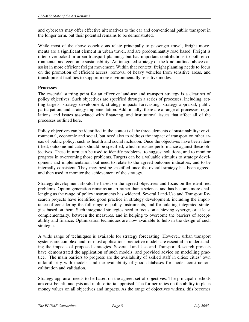and cybercars may offer effective alternatives to the car and conventional public transport in the longer term, but their potential remains to be demonstrated.

While most of the above conclusions relate principally to passenger travel, freight movements are a significant element in urban travel, and are predominantly road based. Freight is often overlooked in urban transport planning, but has important contributions to both environmental and economic sustainability. An integrated strategy of the kind outlined above can assist in more efficient freight movement. Within that context, freight planning needs to focus on the promotion of efficient access, removal of heavy vehicles from sensitive areas, and transhipment facilities to support more environmentally sensitive modes.

#### **Processes**

The essential starting point for an effective land-use and transport strategy is a clear set of policy objectives. Such objectives are specified through a series of processes, including, setting targets, strategy development, strategy impacts forecasting, strategy appraisal, public participation, and strategy implementation. Additionally, there are a range of processes, regulations, and issues associated with financing, and institutional issues that affect all of the processes outlined here.

Policy objectives can be identified in the context of the three elements of sustainability: environmental, economic and social, but need also to address the impact of transport on other areas of public policy, such as health and social inclusion. Once the objectives have been identified, outcome indicators should be specified, which measure performance against these objectives. These in turn can be used to identify problems, to suggest solutions, and to monitor progress in overcoming those problems. Targets can be a valuable stimulus to strategy development and implementation, but need to relate to the agreed outcome indicators, and to be internally consistent. They may best be specified once the overall strategy has been agreed, and then used to monitor the achievement of the strategy.

Strategy development should be based on the agreed objectives and focus on the identified problems. Option generation remains an art rather than a science, and has become more challenging as the range of policy instruments has widened. Several Land-Use and Transport Research projects have identified good practice in strategy development, including the importance of considering the full range of policy instruments, and formulating integrated strategies based on them. Such integrated strategies need to focus on achieving synergy, or at least complementarity, between the measures, and in helping to overcome the barriers of acceptability and finance. Optimisation techniques are now available to help in the design of such strategies.

A wide range of techniques is available for strategy forecasting. However, urban transport systems are complex, and for most applications predictive models are essential in understanding the impacts of proposed strategies. Several Land-Use and Transport Research projects have demonstrated the application of such models, and provided advice on modelling practice. The main barriers to progress are the availability of skilled staff in cities; cities' own unfamiliarity with models, and the availability of good databases for model construction, calibration and validation.

Strategy appraisal needs to be based on the agreed set of objectives. The principal methods are cost-benefit analysis and multi-criteria appraisal. The former relies on the ability to place money values on all objectives and impacts. As the range of objectives widens, this becomes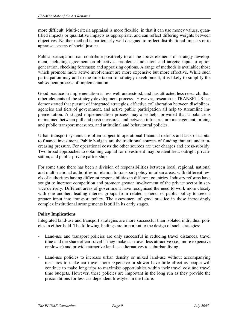more difficult. Multi-criteria appraisal is more flexible, in that it can use money values, quantified impacts or qualitative impacts as appropriate, and can reflect differing weights between objectives. Neither method is particularly well designed to reflect distributional impacts or to appraise aspects of social justice.

Public participation can contribute positively to all the above elements of strategy development, including agreement on objectives, problems, indicators and targets; input to option generation; checking forecasts; and appraising options. A range of methods is available; those which promote more active involvement are more expensive but more effective. While such participation may add to the time taken for strategy development, it is likely to simplify the subsequent process of implementation.

Good practice in implementation is less well understood, and has attracted less research, than other elements of the strategy development process. However, research in TRANSPLUS has demonstrated that pursuit of integrated strategies, effective collaboration between disciplines, agencies and tiers of government, and active public participation all help to streamline implementation. A staged implementation process may also help, provided that a balance is maintained between pull and push measures, and between infrastructure management, pricing and public transport measures, and attitudinal and behavioural policies.

Urban transport systems are often subject to operational financial deficits and lack of capital to finance investment. Public budgets are the traditional sources of funding, but are under increasing pressure. For operational costs the other sources are user charges and cross-subsidy. Two broad approaches to obtaining capital for investment may be identified: outright privatisation, and public-private partnership.

For some time there has been a division of responsibilities between local, regional, national and multi-national authorities in relation to transport policy in urban areas, with different levels of authorities having different responsibilities in different countries. Industry reforms have sought to increase competition and promote greater involvement of the private sector in service delivery. Different areas of government have recognised the need to work more closely with one another, leading interest groups from related spheres of public policy to seek a greater input into transport policy. The assessment of good practice in these increasingly complex institutional arrangements is still in its early stages.

## **Policy Implications**

Integrated land-use and transport strategies are more successful than isolated individual policies in either field. The following findings are important to the design of such strategies:

- Land-use and transport policies are only successful in reducing travel distances, travel time and the share of car travel if they make car travel less attractive (i.e., more expensive or slower) and provide attractive land-use alternatives to suburban living.
- Land-use policies to increase urban density or mixed land-use without accompanying measures to make car travel more expensive or slower have little effect as people will continue to make long trips to maximise opportunities within their travel cost and travel time budgets. However, these policies are important in the long run as they provide the preconditions for less car-dependent lifestyles in the future.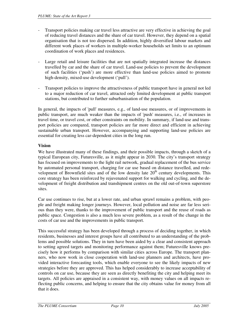- Transport policies making car travel less attractive are very effective in achieving the goal of reducing travel distances and the share of car travel. However, they depend on a spatial organisation that is not too dispersed. In addition, highly diversified labour markets and different work places of workers in multiple-worker households set limits to an optimum coordination of work places and residences.
- Large retail and leisure facilities that are not spatially integrated increase the distances travelled by car and the share of car travel. Land-use policies to prevent the development of such facilities ('push') are more effective than land-use policies aimed to promote high-density, mixed-use development ('pull').
- Transport policies to improve the attractiveness of public transport have in general not led to a major reduction of car travel, attracted only limited development at public transport stations, but contributed to further suburbanisation of the population.

In general, the impacts of 'pull'measures, e.g., of land-use measures, or of improvements in public transport, are much weaker than the impacts of 'push'measures, i.e., of increases in travel time, or travel cost, or other constraints on mobility. In summary, if land-use and transport policies are compared, transport policies are far more direct and efficient in achieving sustainable urban transport. However, accompanying and supporting land-use policies are essential for creating less car-dependent cities in the long run.

### **Vision**

We have illustrated many of these findings, and their possible impacts, through a sketch of a typical European city, Futuresville, as it might appear in 2030. The city's transport strategy has focused on improvements to the light rail network, gradual replacement of the bus service by automated personal transport, charging for car use based on distance travelled, and redevelopment of Brownfield sites and of the low density late  $20<sup>th</sup>$  century developments. This core strategy has been reinforced by rejuvenated support for walking and cycling, and the development of freight distribution and transhipment centres on the old out-of-town superstore sites.

Car use continues to rise, but at a lower rate, and urban sprawl remains a problem, with people and freight making longer journeys. However, local pollution and noise are far less serious than they were, thanks to the improvement of public transport and the reuse of roads as public space. Congestion is also a much less severe problem, as a result of the change in the costs of car use and the improvements in public transport.

This successful strategy has been developed through a process of deciding together, in which residents, businesses and interest groups have all contributed to an understanding of the problems and possible solutions. They in turn have been aided by a clear and consistent approach to setting agreed targets and monitoring performance against them; Futuresville knows precisely how it performs by comparison with similar cities across Europe. The transport planners, who now work in close cooperation with land-use planners and architects, have provided interactive forecasting tools, which enable everyone to see the likely impacts of new strategies before they are approved. This has helped considerably to increase acceptability of controls on car use, because they are seen as directly benefiting the city and helping meet its targets. All policies are appraised in a consistent way, with money values on all impacts reflecting public concerns, and helping to ensure that the city obtains value for money from all that it does.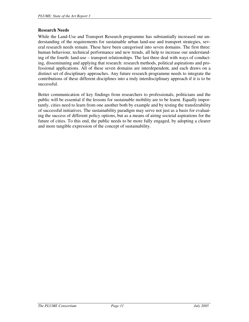## **Research Needs**

While the Land-Use and Transport Research programme has substantially increased our understanding of the requirements for sustainable urban land-use and transport strategies, several research needs remain. These have been categorised into seven domains. The first three: human behaviour, technical performance and new trends, all help to increase our understanding of the fourth: land-use – transport relationships. The last three deal with ways of conducting, disseminating and applying that research: research methods, political aspirations and professional applications. All of these seven domains are interdependent, and each draws on a distinct set of disciplinary approaches. Any future research programme needs to integrate the contributions of these different disciplines into a truly interdisciplinary approach if it is to be successful.

Better communication of key findings from researchers to professionals, politicians and the public will be essential if the lessons for sustainable mobility are to be learnt. Equally importantly, cities need to learn from one another both by example and by testing the transferability of successful initiatives. The sustainability paradigm may serve not just as a basis for evaluating the success of different policy options, but as a means of airing societal aspirations for the future of cities. To this end, the public needs to be more fully engaged, by adopting a clearer and more tangible expression of the concept of sustainability.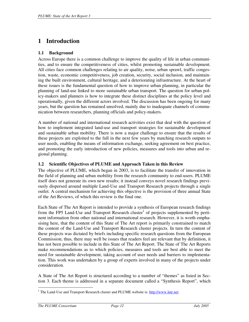## **1 Introduction**

## **1.1 Background**

Across Europe there is a common challenge to improve the quality of life in urban communities, and to ensure the competitiveness of cities, whilst promoting sustainable development. All cities face common challenges relating to air quality, noise, urban sprawl, traffic congestion, waste, economic competitiveness, job creation, security, social inclusion, and maintaining the built environment, cultural heritage, and a deteriorating infrastructure. At the heart of these issues is the fundamental question of how to improve urban planning, in particular the planning of land-use linked to more sustainable urban transport. The question for urban policy-makers and planners is how to integrate these distinct disciplines at the policy level and operationally, given the different actors involved. The discussion has been ongoing for many years, but the question has remained unsolved, mainly due to inadequate channels of communication between researchers, planning officials and policy-makers.

A number of national and international research activities exist that deal with the question of how to implement integrated land-use and transport strategies for sustainable development and sustainable urban mobility. There is now a major challenge to ensure that the results of these projects are exploited to the full in the next few years by matching research outputs to user needs, enabling the means of information exchange, seeking agreement on best practice, and promoting the early introduction of new policies, measures and tools into urban and regional planning.

## **1.2 Scientific Objectives of PLUME and Approach Taken in this Review**

The objective of PLUME, which began in 2003, is to facilitate the transfer of innovation in the field of planning and urban mobility from the research community to end-users. PLUME itself does not generate its own new results; it instead conveys novel research findings previously dispersed around multiple Land-Use and Transport Research projects through a single outlet. A central mechanism for achieving this objective is the provision of three annual State of the Art Reviews, of which this review is the final one.

Each State of The Art Report is intended to provide a synthesis of European research findings from the FP5 Land-Use and Transport Research cluster<sup>1</sup> of projects supplemented by pertinent information from other national and international research. However, it is worth emphasising here, that the content of this State of The Art report is primarily constrained to match the content of the Land-Use and Transport Research cluster projects. In turn the content of these projects was dictated by briefs including specific research questions from the European Commission; thus, there may well be issues that readers feel are relevant that by definition, it has not been possible to include in this State of The Art Report. The State of The Art Reports make recommendations as to which policies, measures and tools are best able to meet the need for sustainable development, taking account of user needs and barriers to implementation. This work was undertaken by a group of experts involved in many of the projects under consideration.

A State of The Art Report is structured according to a number of "themes" as listed in Section 3. Each theme is addressed in a separate document called a "Synthesis Report", which

 $1$  The Land-Use and Transport Research cluster and PLUME website is: http://www.lutr.net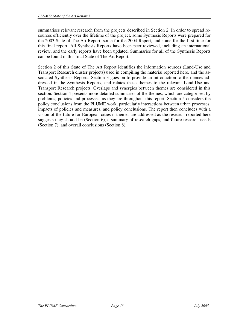summarises relevant research from the projects described in Section 2. In order to spread resources efficiently over the lifetime of the project, some Synthesis Reports were prepared for the 2003 State of The Art Report, some for the 2004 Report, and some for the first time for this final report. All Synthesis Reports have been peer-reviewed, including an international review, and the early reports have been updated. Summaries for all of the Synthesis Reports can be found in this final State of The Art Report.

Section 2 of this State of The Art Report identifies the information sources (Land-Use and Transport Research cluster projects) used in compiling the material reported here, and the associated Synthesis Reports. Section 3 goes on to provide an introduction to the themes addressed in the Synthesis Reports, and relates these themes to the relevant Land-Use and Transport Research projects. Overlaps and synergies between themes are considered in this section. Section 4 presents more detailed summaries of the themes, which are categorised by problems, policies and processes, as they are throughout this report. Section 5 considers the policy conclusions from the PLUME work, particularly interactions between urban processes, impacts of policies and measures, and policy conclusions. The report then concludes with a vision of the future for European cities if themes are addressed as the research reported here suggests they should be (Section 6), a summary of research gaps, and future research needs (Section 7), and overall conclusions (Section 8).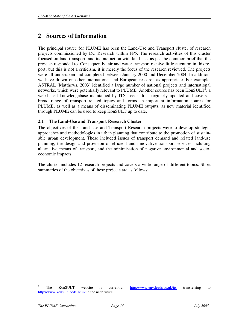## **2 Sources of Information**

The principal source for PLUME has been the Land-Use and Transport cluster of research projects commissioned by DG Research within FP5. The research activities of this cluster focused on land-transport, and its interaction with land-use, as per the common brief that the projects responded to. Consequently, air and water transport receive little attention in this report; but this is not a criticism, it is merely the focus of the research reviewed. The projects were all undertaken and completed between January 2000 and December 2004. In addition, we have drawn on other international and European research as appropriate. For example, ASTRAL (Matthews, 2003) identified a large number of national projects and international networks, which were potentially relevant to PLUME. Another source has been KonSULT<sup>2</sup>, a web-based knowledgebase maintained by ITS Leeds. It is regularly updated and covers a broad range of transport related topics and forms an important information source for PLUME, as well as a means of disseminating PLUME outputs, as new material identified through PLUME can be used to keep KonSULT up to date.

## **2.1 The Land-Use and Transport Research Cluster**

The objectives of the Land-Use and Transport Research projects were to develop strategic approaches and methodologies in urban planning that contribute to the promotion of sustainable urban development. These included issues of transport demand and related land-use planning, the design and provision of efficient and innovative transport services including alternative means of transport, and the minimisation of negative environmental and socioeconomic impacts.

The cluster includes 12 research projects and covers a wide range of different topics. Short summaries of the objectives of these projects are as follows:

<sup>2</sup> The KonSULT website is currently: http://www.env.leeds.ac.uk/its transferring to http://www.konsult.leeds.ac.uk in the near future.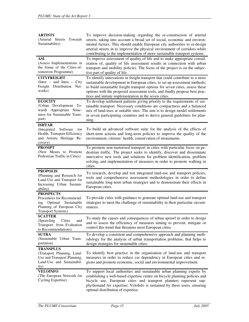| <b>ARTISTS</b><br>(Arterial Streets<br>Towards<br>Sustainability)                                                                        | To improve decision-making regarding the re-construction of arterial<br>streets, taking into account a broad set of social, economic and environ-<br>mental factors. This should enable European city authorities to re-design<br>arterial streets in to improve the physical environment of corridors while<br>contributing to the implementation of more sustainable transport systems. |
|------------------------------------------------------------------------------------------------------------------------------------------|-------------------------------------------------------------------------------------------------------------------------------------------------------------------------------------------------------------------------------------------------------------------------------------------------------------------------------------------------------------------------------------------|
| <b>ASI</b><br>(Assess Implementations in<br>the frame of the Cities-of-<br>tomorrow Programme)                                           | To improve assessment of quality of life and to make appropriate consid-<br>eration of, quality of life assessment results in connection with urban<br>transport and mobility policies. The focus of the project is on the subjec-<br>tive part of quality of life.                                                                                                                       |
| <b>CITYFREIGHT</b><br>(Inter $-$ and Intra $-$ City<br>Freight Distribution Net-<br>works)                                               | To identify innovations in freight transport that could contribute to a more<br>sustainable development in European cities; to set up assessment methods;<br>to build sustainable freight transport options for seven cities, assess these<br>options with the proposed assessment tools, and finally propose best prac-<br>tices and initiate implementation in the seven cities.        |
| <b>ECOCITY</b><br>(Urban Development<br>To-<br>wards Appropriate Struc-<br>tures for Sustainable Trans-<br>port)                         | To develop settlement patterns giving priority to the requirements of sus-<br>tainable transport. Necessary conditions are compactness and a balanced<br>mix of land-uses at suitable sites. The aim is to design model settlements<br>in seven participating countries and to derive general guidelines for plan-<br>ning.                                                               |
| <b>ISHTAR</b><br>Software<br>for<br>(Integrated)<br>Health, Transport Efficiency<br>and Artistic Heritage Re-<br>covery)                 | To build an advanced software suite for the analysis of the effects of<br>short-term actions and long-term policies to improve the quality of the<br>environment, citizens' health, conservation of monuments.                                                                                                                                                                            |
| <b>PROMPT</b><br>(New Means to Promote<br>Pedestrian Traffic in Cities)                                                                  | To promote non-motorised transport in cities with particular focus on pe-<br>destrian traffic. The project seeks to identify, discover and disseminate<br>innovative new tools and solutions for problem identification, problem<br>solving, and implementation of measures in order to promote walking in<br>cities.                                                                     |
| <b>PROPOLIS</b><br>(Planning and Research for<br>Land-Use and Transport for<br>Increasing Urban Sustain-<br>ability)                     | To research, develop and test integrated land-use and transport policies,<br>tools and comprehensive assessment methodologies in order to define<br>sustainable long-term urban strategies and to demonstrate their effects in<br>European cities.                                                                                                                                        |
| <b>PROSPECTS</b><br>Procedures for Recommend-<br>Optimal<br>Sustainable<br>ing<br>Planning of European City<br><b>Transport Systems)</b> | To provide cities with guidance to generate optimal land-use and transport<br>strategies to meet the challenge of sustainability in their particular circum-<br>stances.                                                                                                                                                                                                                  |
| <b>SCATTER</b><br>(Sprawling)<br>Cities<br>and<br>Transport: from Evaluation<br>to Recommendations)                                      | To study the causes and consequences of urban sprawl in order to design<br>and to assess the efficiency of measures aiming to prevent, mitigate or<br>control this trend that threatens most European cities.                                                                                                                                                                             |
| <b>SUTRA</b><br>(Sustainable Urban Trans-<br>portation)                                                                                  | To develop a consistent and comprehensive approach and planning meth-<br>odology for the analysis of urban transportation problems, that helps to<br>design strategies for sustainable cities.                                                                                                                                                                                            |
| <b>TRANSPLUS</b><br>(Transport Planning, Land-<br>Use and Transport Planning,<br>Land-Use and Sustainabil-<br>ity)                       | To identify best practice in the organisation of land-use and transport<br>measures in order to reduce car dependency in European cities and re-<br>gions and promote economic, social and environmental improvement.                                                                                                                                                                     |
| <b>VELOINFO</b><br>(The European Network for<br>Cycling Expertise)                                                                       | To support local authorities and sustainable urban planning experts by<br>establishing a web-based expertise centre on bicycle planning policies and<br>bicycle use. European cities and transport planners represent sup-<br>ply/demand for expertise; VeloInfo is sustained by these users, ensuring<br>optimal distribution of expertise.                                              |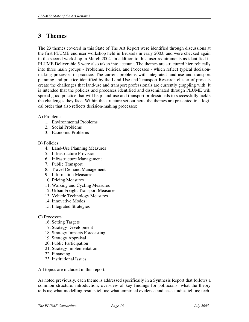## **3 Themes**

The 23 themes covered in this State of The Art Report were identified through discussions at the first PLUME end user workshop held in Brussels in early 2003, and were checked again in the second workshop in March 2004. In addition to this, user requirements as identified in PLUME Deliverable 5 were also taken into account. The themes are structured hierarchically into three main groups - Problems, Policies, and Processes - which reflect typical decisionmaking processes in practice. The current problems with integrated land-use and transport planning and practice identified by the Land-Use and Transport Research cluster of projects create the challenges that land-use and transport professionals are currently grappling with. It is intended that the policies and processes identified and disseminated through PLUME will spread good practice that will help land-use and transport professionals to successfully tackle the challenges they face. Within the structure set out here, the themes are presented in a logical order that also reflects decision-making processes:

A) Problems

- 1. Environmental Problems
- 2. Social Problems
- 3. Economic Problems

#### B) Policies

- 4. Land-Use Planning Measures
- 5. Infrastructure Provision
- 6. Infrastructure Management
- 7. Public Transport
- 8. Travel Demand Management
- 9. Information Measures
- 10. Pricing Measures
- 11. Walking and Cycling Measures
- 12. Urban Freight Transport Measures
- 13. Vehicle Technology Measures
- 14. Innovative Modes
- 15. Integrated Strategies
- C) Processes
	- 16. Setting Targets
	- 17. Strategy Development
	- 18. Strategy Impacts Forecasting
	- 19. Strategy Appraisal
	- 20. Public Participation
	- 21. Strategy Implementation
	- 22. Financing
	- 23. Institutional Issues

All topics are included in this report.

As noted previously, each theme is addressed specifically in a Synthesis Report that follows a common structure: introduction; overview of key findings for politicians; what the theory tells us; what modelling results tell us; what empirical evidence and case studies tell us; tech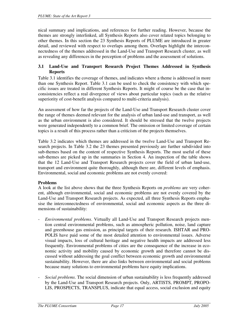nical summary and implications, and references for further reading. However, because the themes are strongly interlinked, all Synthesis Reports also cover related topics belonging to other themes. In this section the 23 Synthesis Reports of PLUME are introduced in greater detail, and reviewed with respect to overlaps among them. Overlaps highlight the interconnectedness of the themes addressed in the Land-Use and Transport Research cluster, as well as revealing any differences in the perception of problems and the assessment of solutions.

## **3.1 Land-Use and Transport Research Project Themes Addressed in Synthesis Reports**

Table 3.1 identifies the coverage of themes, and indicates where a theme is addressed in more than one Synthesis Report. Table 3.1 can be used to check the consistency with which specific issues are treated in different Synthesis Reports. It might of course be the case that inconsistencies reflect a real divergence of views about particular topics (such as the relative superiority of cost-benefit analysis compared to multi-criteria analysis).

An assessment of how far the projects of the Land-Use and Transport Research cluster cover the range of themes deemed relevant for the analysis of urban land-use and transport, as well as the urban environment is also considered. It should be stressed that the twelve projects were generated independently to a common brief. The omission or limited coverage of certain topics is a result of this process rather than a criticism of the projects themselves.

Table 3.2 indicates which themes are addressed in the twelve Land-Use and Transport Research projects. In Table 3.2 the 23 themes presented previously are further subdivided into sub-themes based on the content of respective Synthesis Reports. The most useful of these sub-themes are picked up in the summaries in Section 4. An inspection of the table shows that the 12 Land-Use and Transport Research projects cover the field of urban land-use, transport and environment quite thoroughly, although there are, different levels of emphasis. Environmental, social and economic problems are not evenly covered:

### **Problems**

A look at the list above shows that the three Synthesis Reports on *problems* are very coherent, although environmental, social and economic problems are not evenly covered by the Land-Use and Transport Research projects. As expected, all three Synthesis Reports emphasise the interconnectedness of environmental, social and economic aspects as the three dimensions of sustainability:

- *Environmental problems*. Virtually all Land-Use and Transport Research projects mention central environmental problems, such as atmospheric pollution, noise, land capture and greenhouse gas emission, as principal targets of their research. ISHTAR and PRO-POLIS have paid some of the most detailed attention to environmental issues. Adverse visual impacts, loss of cultural heritage and negative health impacts are addressed less frequently. Environmental problems of cities are the consequence of the increase in economic activity and mobility caused by economic growth and therefore cannot be discussed without addressing the goal conflict between economic growth and environmental sustainability. However, there are also links between environmental and social problems because many solutions to environmental problems have equity implications.
- *Social problems*. The social dimension of urban sustainability is less frequently addressed by the Land-Use and Transport Research projects. Only, ARTISTS, PROMPT, PROPO-LIS, PROSPECTS, TRANSPLUS, indicate that equal access, social exclusion and equity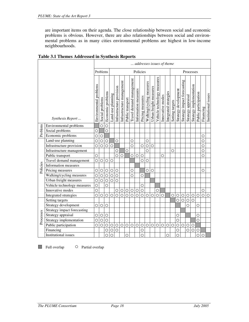are important items on their agenda. The close relationship between social and economic problems is obvious. However, there are also relationships between social and environmental problems as in many cities environmental problems are highest in low-income neighbourhoods.

|           | addresses issues of theme<br>Problems<br>Policies |                        |                 |                   |                   |                          |                           |                  |                          |                      |                  |                          | Processes              |                             |                  |                       |                 |                      |                             |                    |                         |                      |                |                      |
|-----------|---------------------------------------------------|------------------------|-----------------|-------------------|-------------------|--------------------------|---------------------------|------------------|--------------------------|----------------------|------------------|--------------------------|------------------------|-----------------------------|------------------|-----------------------|-----------------|----------------------|-----------------------------|--------------------|-------------------------|----------------------|----------------|----------------------|
|           | Synthesis Report                                  | Environmental problems | Social problems | Economic problems | Land-use planning | Infrastructure provision | Infrastructure management | Public transport | Travel demand management | Information measures | Pricing measures | Walking/cycling measures | Urban freight measures | Vehicle technology measures | Innovative modes | Integrated strategies | Setting targets | Strategy development | Strategy impact forecasting | Strategy appraisal | Strategy implementation | Public participation | Financing      | Institutional issues |
| Problems  | Environmental problems                            |                        | $\circ$         | $\circ$           |                   |                          |                           |                  |                          |                      |                  |                          |                        |                             |                  |                       |                 |                      |                             |                    |                         |                      |                |                      |
|           | Social problems                                   | $\circ$                |                 | $\circ$           |                   |                          |                           |                  |                          |                      |                  |                          |                        |                             |                  |                       |                 |                      |                             |                    |                         |                      |                |                      |
|           | Economic problems                                 | $\circ$                | $\bigcirc$      |                   |                   |                          |                           |                  |                          |                      |                  |                          |                        |                             |                  |                       |                 |                      |                             |                    |                         |                      | $\circ$        |                      |
|           | Land-use planning                                 | $\circ$                | $\circ$         | O                 |                   | $\circ$                  |                           |                  | $\circ$                  |                      |                  | $\circ$                  |                        |                             |                  |                       |                 |                      |                             |                    |                         |                      | $\circ$        |                      |
|           | Infrastructure provision                          | $\circ$                | $\circ$         | $\circ$           | $\circ$           |                          |                           |                  | О                        |                      | $\circ$          | $\circ$                  | $\circ$                |                             |                  |                       |                 |                      |                             |                    |                         |                      | $\circ$        |                      |
|           | Infrastructure management                         |                        |                 |                   |                   | О                        |                           | $\circ$          |                          |                      |                  | $\circ$                  |                        |                             |                  |                       | О               |                      |                             |                    |                         |                      | $\circ$        |                      |
|           | Public transport                                  | $\circ$                |                 |                   |                   | $\circ$                  | $\circ$                   |                  | $\circ$                  | $\circ$              | $\circ$          |                          |                        |                             | $\circ$          |                       |                 |                      |                             |                    |                         |                      | Ο              |                      |
|           | Travel demand management                          | $\bigcirc$             | Ω               | $\circ$           | $\circ$           |                          |                           |                  |                          |                      | $\circ$          | $\circ$                  |                        |                             |                  |                       |                 |                      |                             |                    |                         |                      |                |                      |
|           | Information measures                              |                        |                 |                   |                   |                          |                           |                  |                          |                      |                  |                          |                        |                             |                  |                       |                 |                      |                             |                    |                         |                      |                |                      |
| Policies  | Pricing measures                                  | $\circ$                | $\bigcirc$      | $\bigcirc$        | $\circ$           | $\circ$                  |                           |                  | О                        |                      |                  | $\circ$                  | $\circ$                |                             |                  |                       |                 |                      |                             |                    |                         |                      | Ο              |                      |
|           | Walking/cycling measures                          | $\circ$                | $\circ$         | $\bigcirc$        | $\circ$           | $\circ$                  |                           |                  | $\bigcirc$               |                      | $\circ$          |                          |                        |                             |                  |                       |                 |                      |                             |                    |                         |                      |                |                      |
|           | Urban freight measures                            | $\circ$                | $\circ$         | $\circ$           | $\circ$           | $\circ$                  |                           |                  |                          |                      |                  |                          |                        |                             |                  |                       |                 |                      |                             |                    |                         |                      |                |                      |
|           | Vehicle technology measures                       | $\circ$                |                 | $\circ$           |                   |                          |                           |                  |                          |                      | $\circ$          |                          |                        |                             |                  |                       |                 |                      |                             |                    |                         |                      |                |                      |
|           | Innovative modes                                  | $\circ$                |                 |                   |                   | $\circ$                  | $\circ$                   | $\circ$          | O                        | $\circ$              | $\circ$          |                          |                        | О                           |                  |                       |                 |                      |                             |                    |                         |                      | $\circ$        |                      |
|           | Integrated strategies                             | $\circ$                | $\circ$         | $\circ$           | $\circ$           | $\circ$                  | $\overline{O}$            | $\overline{O}$   | $\circ$                  | $\circ$              | $\circ$          | $\circ$                  | $\circ$                | $\circ$                     | $\circ$          |                       | $\circ$         | $\circ$              | $\circ$                     | $\bigcirc$         | $\bigcirc$              | $\circ$              | $\overline{O}$ | $\circ$              |
|           | Setting targets                                   |                        |                 |                   |                   |                          |                           |                  |                          |                      |                  |                          |                        |                             |                  |                       |                 | $\circ$              | $\circ$                     | $\circ$            | $\circ$                 |                      |                |                      |
|           | Strategy development                              | $\circ$                | $\circ$         | $\circ$           |                   |                          |                           |                  |                          |                      |                  |                          |                        |                             |                  |                       |                 |                      |                             | $\circ$            |                         | $\circ$              |                |                      |
|           | Strategy impact forecasting                       |                        |                 |                   |                   |                          |                           |                  |                          |                      |                  |                          |                        |                             |                  |                       |                 |                      |                             |                    |                         |                      |                |                      |
| Processes | Strategy appraisal                                | О                      | O               | $\circ$           |                   |                          |                           |                  |                          |                      |                  |                          |                        |                             |                  |                       |                 | О                    |                             |                    |                         | O                    |                |                      |
|           | Strategy implementation                           | $\circ$                | $\circ$         | $\circ$           |                   |                          |                           |                  |                          |                      |                  |                          |                        |                             |                  |                       |                 | $\circ$              |                             |                    |                         | $\circ$              |                |                      |
|           | Public participation                              | $\circ$                | $\circ$         | $\circ$           | $\circ$           | $\bigcirc$               | $\bigcirc$                | $\circ$          | $\bigcirc$               | $\circ$              | $\bigcirc$       | $\circ$                  | $\circ$                | $\circ$                     | $\circ$          | $\circ$               | $\circ$         | $\circ$              | $\circ$                     | $\circ$            | $\bigcirc$              |                      |                |                      |
|           | Financing                                         |                        |                 | O                 | $\circ$           | $\circ$                  |                           |                  |                          |                      | $\circ$          |                          |                        |                             |                  |                       |                 | $\circ$              |                             | $\circ$            | $\circ$                 | $\circ$              |                |                      |
|           | <b>Institutional</b> issues                       |                        |                 | $\circ$           | $\circ$           |                          |                           | $\circ$          |                          |                      | $\circ$          |                          |                        |                             |                  | O                     |                 | $\circ$              |                             |                    |                         | $\circ$              | $\circ$        |                      |

**Table 3.1 Themes Addressed in Synthesis Reports**

**Full overlap**  $\Box$  **Partial overlap**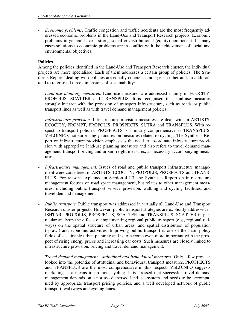- *Economic problems*. Traffic congestion and traffic accidents are the most frequently addressed economic problems in the Land-Use and Transport Research projects. Economic problems in general have a strong social or distributional (equity) component. In many cases solutions to economic problems are in conflict with the achievement of social and environmental objectives.

#### **Policies**

Among the policies identified in the Land-Use and Transport Research cluster, the individual projects are more specialised. Each of them addresses a certain group of policies. The Synthesis Reports dealing with policies are equally coherent among each other and, in addition, tend to refer to all three dimensions of sustainability:

- *Land-use planning measure*s. Land-use measures are addressed mainly in ECOCITY, PROPOLIS, SCATTER and TRANSPLUS. It is recognised that land-use measures strongly interact with the provision of transport infrastructure, such as roads or public transport lines as well as with travel demand management policies.
- *Infrastructure provision*. Infrastructure provision measures are dealt with in ARTISTS, ECOCITY, PROMPT, PROPOLIS, PROSPECTS, SUTRA and TRANSPLUS. With respect to transport policies, PROSPECTS is similarly comprehensive as TRANSPLUS. VELOINFO, not surprisingly focuses on measures related to cycling. The Synthesis Report on infrastructure provision emphasises the need to co-ordinate infrastructure provision with appropriate land-use planning measures and also refers to travel demand management, transport pricing and urban freight measures, as necessary accompanying measures.
- *Infrastructure management*. Issues of road and public transport infrastructure management were considered in ARTISTS, ECOCITY, PROPOLIS, PROSPECTS and TRANS-PLUS. For reasons explained in Section 4.2.3, the Synthesis Report on infrastructure management focuses on road space management, but relates to other management measures, including public transport service provision, walking and cycling facilities, and travel demand management.
- *Public transport*. Public transport was addressed in virtually all Land-Use and Transport Research cluster projects. However, public transport strategies are explicitly addressed in ISHTAR, PROPOLIS, PROSPECTS, SCATTER and TRANSPLUS. SCATTER in particular analyses the effects of implementing regional public transport (e.g., regional railways) on the spatial structure of urban areas, and spatial distribution of population (sprawl) and economic activities. Improving public transport is one of the main policy fields of sustainable urban planning and is to become even more important with the prospect of rising energy prices and increasing car costs. Such measures are closely linked to infrastructure provision, pricing and travel demand management.
- *Travel demand management - attitudinal and behavioural measures*. Only a few projects looked into the potential of attitudinal and behavioural transport measures. PROSPECTS and TRANSPLUS are the most comprehensive in this respect; VELOINFO suggests marketing as a means to promote cycling. It is stressed that successful travel demand management depends on a not too dispersed land-use system and needs to be accompanied by appropriate transport pricing policies, and a well developed network of public transport, walkways and cycling lanes.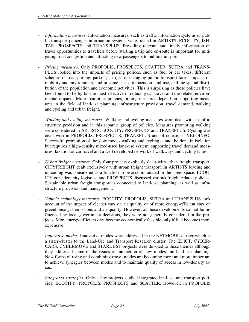- *Information measures*. Information measures, such as traffic information systems or public transport passenger information systems were treated in ARTISTS, ECOCITY, ISH-TAR, PROSPECTS and TRANSPLUS. Providing relevant and timely information on travel opportunities to travellers before starting a trip and en-route is important for mitigating road congestion and attracting new passengers to public transport.
- *Pricing measures*. Only PROPOLIS, PROSPECTS, SCATTER, SUTRA and TRANS-PLUS looked into the impacts of pricing polices, such as fuel or car taxes, different schemes of road pricing, parking charges or changing public transport fares, impacts on mobility and environment, and in some cases, impacts on land-use, and the spatial distribution of the population and economic activities. This is surprising as these policies have been found to be by far the most effective in reducing car travel and the related environmental impacts. More than other policies, pricing measures depend on supporting measures in the field of land-use planning, infrastructure provision, travel demand, walking and cycling and urban freight.
- *Walking and cycling measures*. Walking and cycling measures were dealt with in infrastructure provision and in this separate group of policies. Measures promoting walking were considered in ARTISTS, ECOCITY, PROSPECTS and TRANSPLUS. Cycling was dealt with in PROPOLIS, PROSPECTS, TRANSPLUS and of course, in VELOINFO. Successful promotion of the slow modes walking and cycling cannot be done in isolation but requires a high-density mixed-used land-use system, supporting travel demand measures, taxation of car travel and a well developed network of walkways and cycling lanes.
- *Urban freight measures*. Only four projects explicitly dealt with urban freight transport. CITYFREIGHT dealt exclusively with urban freight transport. In ARTISTS loading and unloading was considered as a function to be accommodated in the street space. ECOC-ITY considers city logistics, and PROSPECTS discussed various freight-related policies. Sustainable urban freight transport is connected to land-use planning, as well as infrastructure provision and management.
- *Vehicle technology measures*. ECOCITY, PROPOLIS, SUTRA and TRANSPLUS took account of the impact of cleaner cars on air quality or of more energy-efficient cars on greenhouse gas emissions and air quality. However, as these developments cannot be influenced by local government decisions, they were not generally considered in the projects. More energy-efficient cars become economically feasible only if fuel becomes more expensive.
- *Innovative modes*. Innovative modes were addressed in the NETMOBIL cluster which is a sister-cluster to the Land-Use and Transport Research cluster. The EDICT, CYBER-CARS, CYBERMOVE and STARDUST projects were devoted to these themes although they addressed some of the issues of interaction of new modes and land-use planning. New forms of using and combining travel modes are becoming more and more important to achieve synergies between modes and to maintain quality of access in low-density areas.
- *Integrated strategies.* Only a few projects studied integrated land-use and transport policies: ECOCITY, PROPOLIS, PROSPECTS and SCATTER. However, in PROPOLIS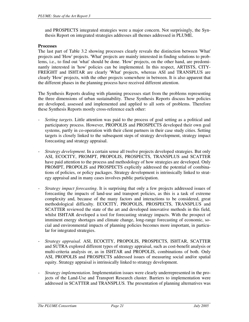and PROSPECTS integrated strategies were a major concern. Not surprisingly, the Synthesis Report on integrated strategies addresses all themes addressed in PLUME.

#### **Processes**

The last part of Table 3.2 showing processes clearly reveals the distinction between 'What' projects and 'How' projects. 'What' projects are mainly interested in finding solutions to problems, i.e., to find out 'what' should be done. 'How' projects, on the other hand, are predominantly interested in 'how'policies can be implemented. In this respect, ARTISTS, CITY-FREIGHT and ISHTAR are clearly 'What' projects, whereas ASI and TRANSPLUS are clearly 'How'projects, with the other projects somewhere in between. It is also apparent that the different phases in the planning process have received different attention.

The Synthesis Reports dealing with planning processes start from the problems representing the three dimensions of urban sustainability. These Synthesis Reports discuss how policies are developed, assessed and implemented and applied to all sorts of problems. Therefore these Synthesis Reports mostly cross-reference each other:

- *Setting targets*. Little attention was paid to the process of goal setting as a political and participatory process. However, PROPOLIS and PROSPECTS developed their own goal systems, partly in co-operation with their client partners in their case study cities. Setting targets is closely linked to the subsequent steps of strategy development, strategy impact forecasting and strategy appraisal.
- *Strategy development*. In a certain sense all twelve projects developed strategies. But only ASI, ECOCITY, PROMPT, PROPOLIS, PROSPECTS, TRANSPLUS and SCATTER have paid attention to the process and methodology of how strategies are developed. Only PROMPT, PROPOLIS and PROSPECTS explicitly addressed the potential of combinations of policies, or policy packages. Strategy development is intrinsically linked to strategy appraisal and in many cases involves public participation.
- *Strategy impact forecasting*. It is surprising that only a few projects addressed issues of forecasting the impacts of land-use and transport policies, as this is a task of extreme complexity and, because of the many factors and interactions to be considered, great methodological difficulty. ECOCITY, PROPOLIS, PROSPECTS, TRANSPLUS and SCATTER reviewed the state of the art and developed innovative methods in this field, whilst ISHTAR developed a tool for forecasting strategy impacts. With the prospect of imminent energy shortages and climate change, long-range forecasting of economic, social and environmental impacts of planning policies becomes more important, in particular for integrated strategies.
- *Strategy appraisal*. ASI, ECOCITY, PROPOLIS, PROSPECTS, ISHTAR, SCATTER and SUTRA explored different types of strategy appraisal, such as cost-benefit analysis or multi-criteria analysis or, as in ISHTAR and PROPOLIS, combinations of both. Only ASI, PROPOLIS and PROSPECTS addressed issues of measuring social and/or spatial equity. Strategy appraisal is intrinsically linked to strategy development.
- *Strategy implementation*. Implementation issues were clearly underrepresented in the projects of the Land-Use and Transport Research cluster. Barriers to implementation were addressed in SCATTER and TRANSPLUS. The presentation of planning alternatives was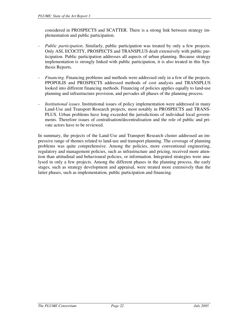considered in PROSPECTS and SCATTER. There is a strong link between strategy implementation and public participation.

- *Public participation*. Similarly, public participation was treated by only a few projects. Only ASI, ECOCITY, PROSPECTS and TRANSPLUS dealt extensively with public participation. Public participation addresses all aspects of urban planning. Because strategy implementation is strongly linked with public participation, it is also treated in this Synthesis Reports.
- *Financing*. Financing problems and methods were addressed only in a few of the projects. PPOPOLIS and PROSPECTS addressed methods of cost analysis and TRANSPLUS looked into different financing methods. Financing of policies applies equally to land-use planning and infrastructure provision, and pervades all phases of the planning process.
- *Institutional issues*. Institutional issues of policy implementation were addressed in many Land-Use and Transport Research projects, most notably in PROSPECTS and TRANS-PLUS. Urban problems have long exceeded the jurisdictions of individual local governments. Therefore issues of centralisation/decentralisation and the role of public and private actors have to be reviewed.

In summary, the projects of the Land-Use and Transport Research cluster addressed an impressive range of themes related to land-use and transport planning. The coverage of planning problems was quite comprehensive. Among the policies, more conventional engineering, regulatory and management policies, such as infrastructure and pricing, received more attention than attitudinal and behavioural policies, or information. Integrated strategies were analysed in only a few projects. Among the different phases in the planning process, the early stages, such as strategy development and appraisal, were treated more extensively than the latter phases, such as implementation, public participation and financing.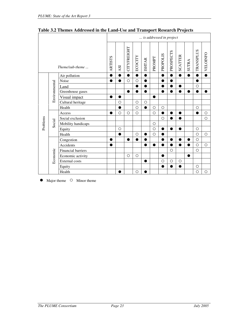|          |               |                    |           |                |             |           |               |            |                 | is addressed in project |           |           |           |           |
|----------|---------------|--------------------|-----------|----------------|-------------|-----------|---------------|------------|-----------------|-------------------------|-----------|-----------|-----------|-----------|
|          |               | Theme/sub-theme    | ARTISTS   | $\mathsf{ASI}$ | CITYFREIGHT | ECOCITY   | <b>ISHTAR</b> | PROMPT     | <b>PROPOLIS</b> | PROSPECTS               | SCATTER   | SUTRA     | TRANSPLUS | VELOINFO  |
|          |               | Air pollution      | $\bullet$ | $\bullet$      | $\bullet$   | $\bullet$ | $\bullet$     |            | $\bullet$       | $\bullet$               | $\bullet$ | $\bullet$ | $\bullet$ | $\bullet$ |
|          |               | Noise              | ●         |                | $\circ$     | $\circ$   |               |            | $\bullet$       | $\bullet$               |           |           | ●         |           |
|          | Environmental | Land               |           |                |             | D         |               |            | $\bullet$       | $\bullet$               |           |           | $\circ$   |           |
|          |               | Greenhouse gases   |           |                |             | $\bullet$ | $\bullet$     |            | $\bullet$       | $\bullet$               | $\bullet$ |           | $\bullet$ |           |
|          |               | Visual impact      |           |                |             |           |               |            |                 |                         |           |           |           |           |
|          |               | Cultural heritage  |           | $\circ$        |             | $\circ$   | $\bigcirc$    |            |                 |                         |           |           |           |           |
|          |               | Health             |           | $\bullet$      |             | $\circ$   | $\bullet$     | $\circ$    | $\circ$         |                         |           |           | $\circ$   |           |
|          |               | Access             |           | $\circ$        | $\circ$     | $\circ$   |               | $\circ$    | $\bullet$       | $\bullet$               | $\bullet$ |           | $\bullet$ | $\circ$   |
|          |               | Social exclusion   |           |                |             |           |               |            | $\circ$         | $\bullet$               | $\bullet$ |           |           | $\circ$   |
| Problems | Social        | Mobility handicaps |           |                |             |           |               | $\circ$    |                 |                         |           |           |           |           |
|          |               | Equity             |           | $\bigcirc$     |             |           |               | $\bigcirc$ | $\bullet$       | $\bullet$               | $\bullet$ |           | $\circ$   |           |
|          |               | Health             |           | $\bullet$      |             | $\circ$   | $\bullet$     | $\circ$    | $\bullet$       |                         |           |           | $\circ$   | $\circ$   |
|          |               | Congestion         | ●         |                | ●           | ●         |               |            | $\bullet$       | $\bullet$               |           |           | $\circ$   |           |
|          |               | Accidents          | $\bullet$ |                |             |           |               | $\bullet$  | $\bullet$       | $\bullet$               | $\bullet$ |           | $\circ$   | $\circ$   |
|          |               | Financial barriers |           |                |             |           |               |            |                 | $\circ$                 |           |           | $\circ$   |           |
|          | Economic      | Economic activity  |           |                | $\circ$     | $\circ$   |               |            | ●               |                         |           |           |           |           |
|          |               | External costs     |           |                |             |           | $\bullet$     |            | $\bigcirc$      | $\circ$                 | $\circ$   |           |           |           |
|          |               | Equity             |           |                |             |           |               |            | $\bullet$       | $\bullet$               | $\bullet$ |           | $\circ$   |           |
|          |               | Health             |           |                |             | $\circ$   |               |            |                 |                         |           |           | $\circ$   | $\circ$   |

**Table 3.2 Themes Addressed in the Land-Use and Transport Research Projects**

• Major theme  $\circ$  Minor theme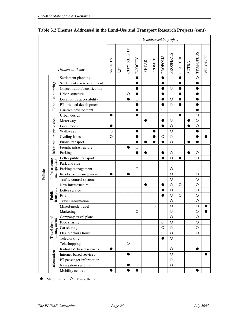|          |                              |                             |                |     |             |            |               | is addressed in project |                 |            |           |           |                  |          |
|----------|------------------------------|-----------------------------|----------------|-----|-------------|------------|---------------|-------------------------|-----------------|------------|-----------|-----------|------------------|----------|
|          |                              | Theme/sub-theme             | <b>ARTISTS</b> | ASI | CITYFREIGHT | ECOCITY    | <b>ISHTAR</b> | PROMPT                  | <b>PROPOLIS</b> | PROSPECTS  | SCATTER   | SUTRA     | <b>TRANSPLUS</b> | VELOINFO |
|          |                              | Settlement planning         |                |     |             | $\bullet$  |               |                         | $\bullet$       |            |           |           | $\circ$          |          |
|          |                              | Settlement size/containment |                |     |             | $\bullet$  |               |                         | $\bullet$       |            |           |           |                  |          |
|          |                              | Concentration/densification |                |     |             | $\bullet$  |               |                         |                 | $\circ$    |           |           |                  |          |
|          | Land-use planning            | Urban structure             |                |     | $\circ$     | $\bullet$  |               |                         |                 |            | $\bullet$ |           | $\bullet$        |          |
|          |                              | Location by accessibility   |                |     | $\bullet$   | $\bigcirc$ |               |                         |                 | $\circ$    | ●         |           |                  |          |
|          |                              | PT-oriented development     |                |     |             | $\bullet$  |               |                         |                 | $\circ$    | $\bullet$ |           |                  |          |
|          |                              | Car-free development        |                |     |             | 0          |               |                         | $\circ$         |            |           |           |                  |          |
|          |                              | Urban design                |                |     |             |            |               |                         | $\circ$         |            |           |           | $\circ$          |          |
|          |                              | Motorways                   |                |     |             |            | $\bullet$     |                         | $\bullet$       | $\circ$    |           | $\bullet$ | $\circ$          |          |
|          |                              | Local roads                 | ●              |     |             |            |               |                         | $\bullet$       | O          |           |           | $\bigcirc$       |          |
|          |                              | Walkways                    | $\circ$        |     |             | ●          |               | ●                       |                 | $\circ$    |           |           |                  |          |
|          | Infrastructure provision     | Cycling lanes               | $\circ$        |     |             | C          |               |                         | О               | $\circ$    |           |           |                  |          |
|          |                              | Public transport            |                |     |             |            |               |                         |                 | $\circ$    |           |           |                  |          |
|          |                              | Freight infrastructure      |                |     | $\bullet$   | $\bigcirc$ |               |                         |                 |            |           |           |                  |          |
|          |                              | Parking                     |                |     |             | $\bullet$  | e             |                         |                 | O          |           |           | $\circ$          |          |
|          |                              | Better public transport     |                |     |             | $\circ$    |               |                         |                 | $\circ$    |           |           | $\circ$          |          |
|          |                              | Park and ride               |                |     |             |            |               |                         |                 |            |           |           |                  |          |
|          |                              | Parking management          |                |     |             | $\circ$    |               |                         |                 | O          |           |           |                  |          |
| Policies | Infrastructure<br>management | Road space management       |                |     |             | $\circ$    |               |                         |                 | $\bigcirc$ |           |           | $\circ$          |          |
|          |                              | Traffic control systems     |                |     |             |            |               |                         |                 | $\bigcirc$ |           |           | $\bigcirc$       |          |
|          |                              | New infrastructure          |                |     |             |            |               |                         |                 | $\circ$    | $\circ$   |           | O                |          |
|          |                              | Better service              |                |     |             |            |               |                         |                 | $\circ$    | $\circ$   |           | $\circ$          |          |
|          | transport<br>Public          | Fares                       |                |     |             |            |               |                         |                 | O          | $\circ$   |           | $\bigcirc$       |          |
|          |                              | Travel information          |                |     |             |            |               |                         |                 | $\circ$    |           |           | $\circ$          |          |
|          |                              | Mixed-mode travel           |                |     |             |            |               | $\circ$                 |                 | $\bigcirc$ |           |           | $\bigcirc$       | ●        |
|          |                              | Marketing                   |                |     |             | О          |               |                         |                 | $\bigcirc$ |           |           | О                |          |
|          |                              | Company travel plans        |                |     |             |            |               |                         |                 | $\bigcirc$ |           |           | $\circ$          |          |
|          | Travel demand<br>management  | Ride sharing                |                |     |             |            |               |                         | О               | $\bigcirc$ |           |           | $\bigcirc$       |          |
|          |                              | Car sharing                 |                |     |             |            |               |                         | $\circ$         | $\bigcirc$ |           |           | $\circ$          |          |
|          |                              | Flexible work hours         |                |     |             |            |               |                         | $\circ$         | $\bigcirc$ |           |           | $\circ$          |          |
|          |                              | Teleworking                 |                |     |             |            |               |                         | $\bullet$       | $\bigcirc$ |           |           |                  |          |
|          |                              | Teleshopping                |                |     | $\circ$     |            |               |                         |                 |            |           |           |                  |          |
|          |                              | Radio/TV. based services    | ●              |     |             |            |               |                         |                 | $\bigcirc$ |           |           |                  |          |
|          | Information                  | Internet-based services     |                |     |             |            |               |                         |                 | $\bigcirc$ |           |           |                  |          |
|          |                              | PT passenger information    |                |     |             |            |               |                         |                 | $\bigcirc$ |           |           |                  |          |
|          |                              | Navigation systems          |                |     |             |            |               |                         |                 | $\circ$    |           |           |                  |          |
|          |                              | Mobility centres            | 0              |     |             | $\bullet$  |               |                         |                 |            |           |           | $\bullet$        |          |

## **Table 3.2 Themes Addressed in the Land-Use and Transport Research Projects (cont)**

• Major theme  $\circ$  Minor theme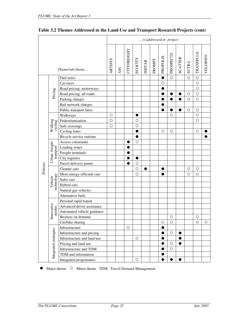|          |                            |                             |         |     |             |           |               | is addressed in project |                 |            |                |            |            |          |
|----------|----------------------------|-----------------------------|---------|-----|-------------|-----------|---------------|-------------------------|-----------------|------------|----------------|------------|------------|----------|
|          |                            | Theme/sub-theme             | ARTISTS | ASI | CITYFREIGHT | ECOCITY   | <b>ISHTAR</b> | PROMPT                  | <b>PROPOLIS</b> | PROSPECTS  | <b>SCATTER</b> | SUTRA      | TRANSPLUS  | VELOINFO |
|          |                            | Fuel taxes                  |         |     |             |           |               |                         |                 | $\circ$    |                | $\circ$    | $\circ$    |          |
|          |                            | Car taxes                   |         |     |             |           |               |                         | $\circ$         |            |                |            | $\bigcirc$ |          |
|          |                            | Road pricing, motorways     |         |     |             |           |               |                         |                 |            |                |            | $\circ$    |          |
|          | Pricing                    | Road pricing, all roads     |         |     |             |           |               |                         |                 | 0          | O              | $\circ$    | $\bigcirc$ |          |
|          |                            | Parking charges             |         |     |             |           |               |                         |                 |            |                | $\bigcirc$ | $\bigcirc$ |          |
|          |                            | Rail network charges        |         |     |             |           |               |                         |                 |            |                |            |            |          |
|          |                            | Public transport fares      |         |     |             |           |               |                         |                 |            |                | O          | $\circ$    |          |
|          |                            | Walkways                    | $\circ$ |     |             | ●         |               |                         |                 | О          |                |            | $\circ$    |          |
|          |                            | Pedestrianisation           | $\circ$ |     |             | $\circ$   |               |                         |                 |            |                |            | O          |          |
|          |                            | Safe crossings              | O       |     |             | $\circ$   |               |                         |                 |            |                |            |            |          |
|          | Walking<br>cycling         | Cycling lanes               |         |     |             |           |               |                         | О               | $\circ$    |                |            | $\circ$    |          |
|          |                            | Bicycle service stations    |         |     |             |           |               |                         |                 |            |                |            |            |          |
|          | Urban freight<br>transport | Access constraints          |         |     |             | $\circ$   |               |                         |                 |            |                |            |            |          |
|          |                            | Loading zones               |         |     |             |           |               |                         |                 |            |                |            |            |          |
|          |                            | Freight terminals           |         |     |             |           |               |                         |                 |            |                |            |            |          |
|          |                            | City logistics              |         |     |             | $\bullet$ |               |                         |                 |            |                |            |            |          |
|          |                            | Parcel delivery points      |         |     |             | $\circ$   |               |                         |                 |            |                |            |            |          |
| Policies |                            | Cleaner cars                |         |     |             | $\circ$   |               |                         |                 |            |                | O          | $\circ$    |          |
|          |                            | More energy-efficient cars  |         |     |             | $\circ$   |               |                         |                 |            |                | $\circ$    | $\bigcirc$ |          |
|          | technology<br>Vehicle      | Safer cars                  |         |     |             |           |               |                         |                 |            |                |            |            |          |
|          |                            | Hybrid cars                 |         |     |             |           |               |                         |                 |            |                |            |            |          |
|          |                            | Natural gas vehicles        |         |     |             |           |               |                         |                 |            |                |            |            |          |
|          |                            | Alternative fuels           |         |     |             |           |               |                         |                 |            |                |            |            |          |
|          |                            | Personal rapid transit      |         |     |             |           |               |                         |                 |            |                |            |            |          |
|          | Innovative                 | Advanced driver assistance  |         |     |             |           |               |                         |                 |            |                |            |            |          |
|          | modes                      | Automated vehicle guidance  |         |     |             |           |               |                         |                 |            |                |            |            |          |
|          |                            | Bus/taxi on demand          |         |     |             |           |               |                         |                 | $\bigcirc$ |                |            | $\bigcirc$ |          |
|          |                            | Car/bike sharing            |         |     |             |           |               |                         | O               | $\circ$    |                |            | О          | O        |
|          |                            | Infrastructure              |         |     | $\circ$     |           |               |                         |                 |            |                |            |            |          |
|          | Integrated strategies      | Infrastructure and pricing  |         |     |             |           |               |                         | 0               | $\circ$    | $\bullet$      |            |            |          |
|          |                            | Infrastructure and land-use |         |     |             | $\circ$   |               |                         |                 |            |                |            |            |          |
|          |                            | Pricing and land use        |         |     |             |           |               |                         |                 | $\bigcirc$ |                |            |            |          |
|          |                            | Infrastructure and TDM      |         |     |             |           |               |                         |                 | $\circ$    |                |            |            |          |
|          |                            | TDM and information         |         |     |             |           |               |                         |                 |            |                |            |            |          |
|          |                            | Integrated programmes       |         |     |             | O         |               |                         |                 | $\bullet$  | $\bullet$      |            |            |          |

## **Table 3.2 Themes Addressed in the Land-Use and Transport Research Projects (cont)**

• Major theme  $\circ$  Minor theme TDM Travel Demand Management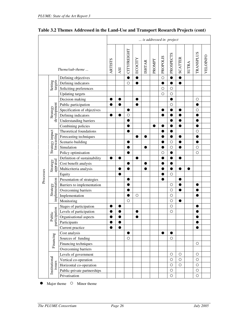|           |                                |                                                                                                                                |                |                |             |                        |               | is addressed in project |                                            |                                                   |                          |       |                                             |          |
|-----------|--------------------------------|--------------------------------------------------------------------------------------------------------------------------------|----------------|----------------|-------------|------------------------|---------------|-------------------------|--------------------------------------------|---------------------------------------------------|--------------------------|-------|---------------------------------------------|----------|
|           |                                | Theme/sub-theme                                                                                                                | <b>ARTISTS</b> | ASI            | CITYFREIGHT | ECOCITY                | <b>ISHTAR</b> | PROMPT                  | <b>PROPOLIS</b>                            | PROSPECTS                                         | SCATTER                  | SUTRA | TRANSPLUS                                   | VELOINFO |
|           | Setting<br>targets             | Defining objectives<br>Defining indicators<br>Soliciting preferences<br><b>Updating targets</b>                                |                |                | $\circ$     | $\bullet$<br>$\bullet$ |               |                         | $\circ$<br>$\bullet$<br>$\circ$<br>$\circ$ | $\bullet$<br>$\bullet$<br>$\circ$<br>$\circ$      |                          |       |                                             |          |
|           | development<br>Strategy        | Decision making<br>Public participation<br>Specification of objectives<br>Defining indicators<br><b>Understanding barriers</b> |                | ●<br>$\bullet$ | 0<br>O      | $\bullet$<br>$\bullet$ |               |                         |                                            | $\bullet$<br>$\circ$<br>0<br>0                    |                          |       | $\bigcirc$<br>$\bigcirc$<br>$\bullet$       |          |
|           | Strategy impact<br>forecasting | Combining policies<br>Theoretical foundations<br>Forecasting techniques<br>Scenario building                                   |                |                |             | Œ                      |               | 0                       |                                            | 0<br>$\circ$                                      | 0                        |       | ●<br>$\circ$                                |          |
|           | Strategy<br>appraisal          | Simulation<br>Policy optimisation<br>Definition of sustainability<br>Cost benefit analysis<br>Multicriteria analysis           |                |                |             | ●                      | 0<br>0        |                         | $\bullet$<br>$\circ$                       | $\bigcirc$<br>0<br>$\bullet$<br>$\bullet$         | $\bullet$                |       | $\circ$<br>$\circ$                          |          |
| Processes | implementation<br>Strategy     | Equity<br>Presentation of strategies<br>Barriers to implementation<br>Overcoming barriers                                      |                |                | ●           |                        |               |                         | $\bullet$                                  | $\circ$<br>$\circ$<br>$\circ$                     |                          |       |                                             |          |
|           | ipation                        | Implementation<br>Monitoring<br>Stages of participation<br>Levels of participation                                             | O              | 0              | $\circ$     | $\circ$                |               |                         |                                            | $\circ$<br>$\circ$<br>$\circ$<br>$\circ$          |                          |       | $\bullet$                                   |          |
|           | Public<br>participati          | Organisational aspects<br>Participants<br>Current practice<br>Cost analysis                                                    |                |                | $\bullet$   |                        |               |                         | $\bullet$                                  | $\bullet$                                         |                          |       |                                             |          |
|           | Financing                      | Sources of funding<br>Financing techniques<br>Overcoming barriers<br>Levels of government                                      |                |                | $\bigcirc$  |                        |               |                         |                                            | $\bigcirc$<br>$\circ$                             | $\bigcirc$               |       | O<br>$\bigcirc$                             |          |
|           | Institutional<br>issues        | Vertical co-operation<br>Horizontal co-operation<br>Public-private partnerships<br>Privatisation                               |                |                |             |                        |               |                         |                                            | $\bigcirc$<br>$\bigcirc$<br>$\circ$<br>$\bigcirc$ | $\bigcirc$<br>$\bigcirc$ |       | $\bigcirc$<br>O<br>$\bigcirc$<br>$\bigcirc$ |          |

| Table 3.2 Themes Addressed in the Land-Use and Transport Research Projects (cont) |  |  |
|-----------------------------------------------------------------------------------|--|--|
|-----------------------------------------------------------------------------------|--|--|

• Major theme  $\circ$  Minor theme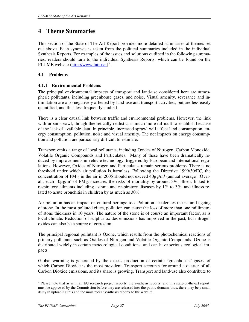## **4 Theme Summaries**

This section of the State of The Art Report provides more detailed summaries of themes set out above. Each synopsis is taken from the political summaries included in the individual Synthesis Reports. For examples of the issues and solutions outlined in the following summaries, readers should turn to the individual Synthesis Reports, which can be found on the PLUME website (http://www.lutr.net)<sup>3</sup>.

## **4.1 Problems**

### **4.1.1 Environmental Problems**

The principal environmental impacts of transport and land-use considered here are atmospheric pollutants, including greenhouse gases, and noise. Visual amenity, severance and intimidation are also negatively affected by land-use and transport activities, but are less easily quantified, and thus less frequently studied.

There is a clear causal link between traffic and environmental problems. However, the link with urban sprawl, though theoretically realistic, is much more difficult to establish because of the lack of available data. In principle, increased sprawl will affect land consumption, energy consumption, pollution, noise and visual amenity. The net impacts on energy consumption and pollution are particularly difficult to estimate.

Transport emits a range of local pollutants, including Oxides of Nitrogen, Carbon Monoxide, Volatile Organic Compounds and Particulates. Many of these have been dramatically reduced by improvements in vehicle technology, triggered by European and international regulations. However, Oxides of Nitrogen and Particulates remain serious problems. There is no threshold under which air pollution is harmless. Following the Directive 1999/30/EC, the concentration of  $PM_{10}$  in the air in 2005 should not exceed  $40\mu g/m^3$  (annual average). Overall, each  $10\mu g/m^3$  of PM<sub>10</sub> increases the risks of mortality by around 3%, illness linked to respiratory ailments including asthma and respiratory diseases by 1% to 3%, and illness related to acute bronchitis in children by as much as 30%.

Air pollution has an impact on cultural heritage too. Pollution accelerates the natural ageing of stone. In the most polluted cities, pollution can cause the loss of more than one millimetre of stone thickness in 10 years. The nature of the stone is of course an important factor, as is local climate. Reduction of sulphur oxides emissions has improved in the past, but nitrogen oxides can also be a source of corrosion.

The principal regional pollutant is Ozone, which results from the photochemical reactions of primary pollutants such as Oxides of Nitrogen and Volatile Organic Compounds. Ozone is distributed widely in certain meteorological conditions, and can have serious ecological impacts.

Global warming is generated by the excess production of certain "greenhouse" gases, of which Carbon Dioxide is the most prevalent. Transport accounts for around a quarter of all Carbon Dioxide emissions, and its share is growing. Transport and land-use also contribute to

<sup>&</sup>lt;sup>3</sup> Please note that as with all EU research project reports, the synthesis reports (and this state-of-the-art report) must be approved by the Commission before they are released into the public domain, thus, there may be a small delay in uploading this and the most recent synthesis reports to the website.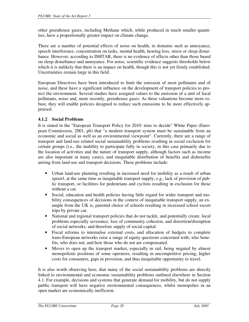other greenhouse gases, including Methane which, while produced in much smaller quantities, have a proportionally greater impact on climate change.

There are a number of potential effects of noise on health, in domains such as annoyance, speech interference, concentration on tasks, mental health, hearing loss, stress or sleep disturbance. However, according to ISHTAR, there is no evidence of effects other than those based on sleep disturbance and annoyance. For noise, scientific evidence suggests thresholds below which it is unlikely that there is an impact on health, though this is not yet firmly established. Uncertainties remain large in this field.

European Directives have been introduced to limit the emission of most pollutants and of noise, and these have a significant influence on the development of transport policies to protect the environment. Several studies have assigned values to the emission of a unit of local pollutants, noise and, more recently, greenhouse gases. As these valuations become more robust, they will enable policies designed to reduce such emissions to be more effectively appraised.

## **4.1.2 Social Problems**

It is stated in the "European Transport Policy for 2010: time to decide" White Paper (European Commission, 2001, p6) that "a modern transport system must be sustainable from an economic and social as well as an environmental viewpoint". Currently, there are a range of transport and land-use related social sustainability problems resulting in social exclusion for certain groups (i.e., the inability to participate fully in society, in this case primarily due to the location of activities and the nature of transport supply, although factors such as income are also important in many cases), and inequitable distribution of benefits and disbenefits arising from land-use and transport decisions. These problems include:

- Urban land-use planning resulting in increased need for mobility as a result of urban sprawl, at the same time as inequitable transport supply, e.g., lack of provision of public transport, or facilities for pedestrians and cyclists resulting in exclusion for those without a car.
- Social, education and health policies having little regard for wider transport and mobility consequences of decisions in the context of inequitable transport supply, an example from the UK is, parental choice of schools resulting in increased school escort trips by private car.
- National and regional transport policies that do not tackle, and potentially create, local problems especially severance, loss of community cohesion, and distortion/disruption of social networks, and therefore supply of social capital.
- Fiscal reforms to internalise external costs, and allocation of budgets to complete trans-European networks raise a range of equity questions concerned with; who benefits, who does not, and how those who do not are compensated.
- Moves to open up the transport market, especially in rail, being negated by almost monopolistic positions of some operators, resulting in uncompetitive pricing, higher costs for consumers, gaps in provision, and thus inequitable opportunity to travel.

It is also worth observing here, that many of the social sustainability problems are directly linked to environmental and economic sustainability problems outlined elsewhere in Section 4.1. For example, decisions and systems that generate demand for mobility, but do not supply public transport will have negative environmental consequences, whilst monopolies in an open market are economically inefficient.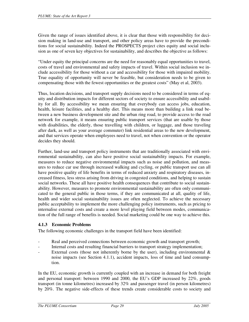Given the range of issues identified above, it is clear that those with responsibility for decision making in land-use and transport, and other policy areas have to provide the preconditions for social sustainability. Indeed the PROSPECTS project cites equity and social inclusion as one of seven key objectives for sustainability, and describes the objective as follows:

"Under equity the principal concerns are the need for reasonably equal opportunities to travel, costs of travel and environmental and safety impacts of travel. Within social inclusion we include accessibility for those without a car and accessibility for those with impaired mobility. True equality of opportunity will never be feasible, but consideration needs to be given to compensating those with the fewest opportunities or the greatest costs" (May et al, 2003).

Thus, location decisions, and transport supply decisions need to be considered in terms of equity and distribution impacts for different sectors of society to ensure accessibility and usability for all. By accessibility we mean ensuring that everybody can access jobs, education, health, leisure facilities, and a healthy diet. This means more than building a link road between a new business development site and the urban ring road, to provide access to the road network for example, it means ensuring public transport services (that are usable by those with disabilities, the elderly, those travelling with children, or luggage, and those traveling after dark, as well as your average commuter) link residential areas to the new development, and that services operate when employees need to travel, not when convention or the operator decides they should.

Further, land-use and transport policy instruments that are traditionally associated with environmental sustainability, can also have positive social sustainability impacts. For example, measures to reduce negative environmental impacts such as noise and pollution, and measures to reduce car use through increased walking and cycling, or public transport use can all have positive quality of life benefits in terms of reduced anxiety and respiratory diseases, increased fitness, less stress arising from driving in congested conditions, and helping to sustain social networks. These all have positive health consequences that contribute to social sustainability. However, measures to promote environmental sustainability are often only communicated to the general public in those terms, if they are communicated at all, quality of life, health and wider social sustainability issues are often neglected. To achieve the necessary public acceptability to implement the more challenging policy instruments, such as pricing to internalise external costs and create a more level playing field between modes, communication of the full range of benefits is needed. Social marketing could be one way to achieve this.

## **4.1.3 Economic Problems**

The following economic challenges in the transport field have been identified:

- Real and perceived connections between economic growth and transport growth;
- Internal costs and resulting financial barriers to transport strategy implementation;
- External costs (those not inherently borne by the user), including environmental  $\&$ noise impacts (see Section 4.1.1), accident impacts, loss of time and land consumption.

In the EU, economic growth is currently coupled with an increase in demand for both freight and personal transport: between 1990 and 2000, the EU's GDP increased by 22%, goods transport (in tonne kilometres) increased by 32% and passenger travel (in person kilometres) by 20%. The negative side-effects of these trends create considerable costs to society and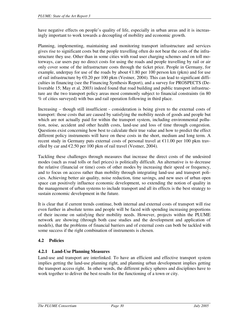have negative effects on people's quality of life, especially in urban areas and it is increasingly important to work towards a decoupling of mobility and economic growth.

Planning, implementing, maintaining and monitoring transport infrastructure and services gives rise to significant costs but the people travelling often do not bear the costs of the infrastructure they use. Other than in some cities with road user charging schemes and on toll motorways, car users pay no direct costs for using the roads and people travelling by rail or air only cover some of the infrastructure costs through the ticket price. People in Germany, for example, underpay for use of the roads by about  $\epsilon$ 1.80 per 100 person km (pkm) and for use of rail infrastructure by €0.20 per 100 pkm (Vestner, 2004). This can lead to significant difficulties in financing (see the Financing Synthesis Report), and a survey for PROSPECTS (Deliverable 15; May et al, 2003) indeed found that road building and public transport infrastructure are the two transport policy areas most commonly subject to financial constraints (in 80 % of cities surveyed) with bus and rail operation following in third place.

Increasing – though still insufficient - consideration is being given to the external costs of transport: those costs that are caused by satisfying the mobility needs of goods and people but which are not actually paid for within the transport system, including environmental pollution, noise, accident and other health costs, land-use and loss of time through congestion. Questions exist concerning how best to calculate their true value and how to predict the effect different policy instruments will have on these costs in the short, medium and long term. A recent study in Germany puts external costs of personal travel at €11.00 per 100 pkm travelled by car and  $\epsilon$ 2.50 per 100 pkm of rail travel (Vestner, 2004).

Tackling these challenges through measures that increase the direct costs of the undesired modes (such as road tolls or fuel prices) is politically difficult. An alternative is to decrease the relative (financial or time) costs of other modes by increasing their speed or frequency, and to focus on access rather than mobility through integrating land-use and transport policies. Achieving better air quality, noise reduction, time savings, and new uses of urban open space can positively influence economic development, so extending the notion of quality in the management of urban systems to include transport and all its effects is the best strategy to sustain economic development in the future.

It is clear that if current trends continue, both internal and external costs of transport will rise even further in absolute terms and people will be faced with spending increasing proportions of their income on satisfying their mobility needs. However, projects within the PLUME network are showing (through both case studies and the development and application of models), that the problems of financial barriers and of external costs can both be tackled with some success if the right combination of instruments is chosen.

## **4.2 Policies**

## **4.2.1 Land-Use Planning Measures**

Land-use and transport are interlinked. To have an efficient and effective transport system implies getting the land-use planning right, and planning urban development implies getting the transport access right. In other words, the different policy spheres and disciplines have to work together to deliver the best results for the functioning of a town or city.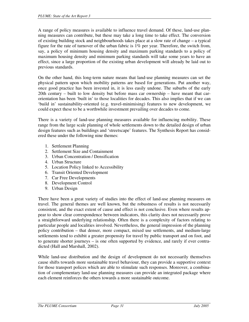A range of policy measures is available to influence travel demand. Of these, land-use planning measures can contribute, but these may take a long time to take effect. The conversion of existing building stock and neighbourhoods takes place at a slow rate of change – a typical figure for the rate of turnover of the urban fabric is 1% per year. Therefore, the switch from, say, a policy of minimum housing density and maximum parking standards to a policy of maximum housing density and minimum parking standards will take some years to have an effect, since a large proportion of the existing urban development will already be laid out to previous standards.

On the other hand, this long-term nature means that land-use planning measures can set the physical pattern upon which mobility patterns are based for generations. Put another way, once good practice has been invested in, it is less easily undone. The suburbs of the early 20th century – built to low density but before mass car ownership – have meant that carorientation has been 'built in' to those localities for decades. This also implies that if we can 'build in' sustainability-oriented (e.g. travel-minimising) features to new development, we could expect these to be a worthwhile investment prevailing over decades to come.

There is a variety of land-use planning measures available for influencing mobility. These range from the large scale planning of whole settlements down to the detailed design of urban design features such as buildings and 'streetscape' features. The Synthesis Report has considered these under the following nine themes:

- 1. Settlement Planning
- 2. Settlement Size and Containment
- 3. Urban Concentration / Densification
- 4. Urban Structure
- 5. Location Policy linked to Accessibility
- 6. Transit Oriented Development
- 7. Car Free Developments
- 8. Development Control
- 9. Urban Design

There have been a great variety of studies into the effect of land-use planning measures on travel. The general themes are well known, but the robustness of results is not necessarily consistent, and the exact extent of cause and effect is not conclusive. Even where results appear to show clear correspondence between indicators, this clarity does not necessarily prove a straightforward underlying relationship. Often there is a complexity of factors relating to particular people and localities involved. Nevertheless, the general impression of the planning policy contribution – that denser, more compact, mixed use settlements, and medium-large settlements tend to exhibit a greater propensity for travel by public transport and on foot, and to generate shorter journeys – is one often supported by evidence, and rarely if ever contradicted (Hall and Marshall, 2002).

While land-use distribution and the design of development do not necessarily themselves cause shifts towards more sustainable travel behaviour, they can provide a supportive context for those transport polices which are able to stimulate such responses. Moreover, a combination of complementary land-use planning measures can provide an integrated package where each element reinforces the others towards a more sustainable outcome.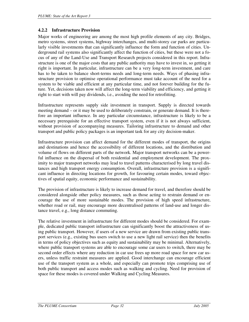## **4.2.2 Infrastructure Provision**

Major works of engineering are among the most high profile elements of any city. Bridges, metro systems, street systems, highway interchanges, and multi-storey car parks are particularly visible investments that can significantly influence the form and function of cities. Underground rail systems also significantly affect the function of cities, but these were not a focus of any of the Land-Use and Transport Research projects considered in this report. Infrastructure is one of the major costs that any public authority may have to invest in, so getting it right is important. In particular, infrastructure can be a very long-term investment, and care has to be taken to balance short-terms needs and long-term needs. Ways of phasing infrastructure provision to optimise operational performance must take account of the need for a system to be viable and efficient at any particular time, and not forever building for the future. Yet, decisions taken now will affect the long-term viability and efficiency, and getting it right to start with will pay dividends, i.e., avoiding the need for retrofitting.

Infrastructure represents supply side investment in transport. Supply is directed towards meeting demand – or it may be used to deliberately constrain, or generate demand. It is therefore an important influence. In any particular circumstance, infrastructure is likely to be a necessary prerequisite for an effective transport system, even if it is not always sufficient, without provision of accompanying measures. Tailoring infrastructure to demand and other transport and public policy packages is an important task for any city decision-maker.

Infrastructure provision can affect demand for the different modes of transport, the origins and destinations and hence the accessibility of different locations, and the distribution and volume of flows on different parts of the network. Major transport networks can be a powerful influence on the dispersal of both residential and employment development. The proximity to major transport networks may lead to travel patterns characterised by long travel distances and high transport energy consumption. Overall, infrastructure provision is a significant influence in directing locations for growth, for favouring certain modes, toward objectives of spatial equity, economic performance and sustainability.

The provision of infrastructure is likely to increase demand for travel, and therefore should be considered alongside other policy measures, such as those acting to restrain demand or encourage the use of more sustainable modes. The provision of high speed infrastructure, whether road or rail, may encourage more decentralised patterns of land-use and longer distance travel, e.g., long distance commuting.

The relative investment in infrastructure for different modes should be considered. For example, dedicated public transport infrastructure can significantly boost the attractiveness of using public transport. However, if users of a new service are drawn from existing public transport services (e.g., existing bus users switch to use a new light rail service) then the benefits in terms of policy objectives such as equity and sustainability may be minimal. Alternatively, where public transport systems are able to encourage some car users to switch, there may be second order effects where any reduction in car use frees up more road space for new car users, unless traffic restraint measures are applied. Good interchange can encourage efficient use of the transport system as a whole, and especially can promote trips comprising use of both public transport and access modes such as walking and cycling. Need for provision of space for these modes is covered under Walking and Cycling Measures.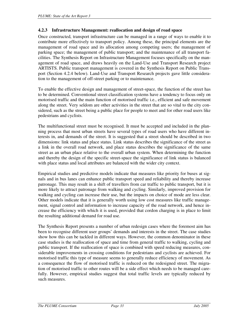### **4.2.3 Infrastructure Management: reallocation and design of road space**

Once constructed, transport infrastructure can be managed in a range of ways to enable it to contribute more effectively to transport policy. Among these, the principal elements are the management of road space and its allocation among competing users; the management of parking space; the management of public transport; and the maintenance of all transport facilities. The Synthesis Report on Infrastructure Management focuses specifically on the management of road space, and draws heavily on the Land-Use and Transport Research project ARTISTS. Public transport management is covered in the Synthesis Report on Public Transport (Section 4.2.4 below). Land-Use and Transport Research projects gave little consideration to the management of off-street parking or to maintenance.

To enable the effective design and management of street-space, the function of the street has to be determined. Conventional street classification systems have a tendency to focus only on motorised traffic and the main function of motorised traffic i.e., efficient and safe movement along the street. Very seldom are other activities in the street that are so vital to the city considered, such as the street being a public place for people to meet and for other road users like pedestrians and cyclists.

The multifunctional street must be recognised. It must be accepted and included in the planning process that most urban streets have several types of road users who have different interests in, and demands of the street. It is suggested that a street should be described in two dimensions: link status and place status. Link status describes the significance of the street as a link in the overall road network, and place status describes the significance of the same street as an urban place relative to the overall urban system. When determining the function and thereby the design of the specific street-space the significance of link status is balanced with place status and local attributes are balanced with the wider city context.

Empirical studies and predictive models indicate that measures like priority for buses at signals and in bus lanes can enhance public transport speed and reliability and thereby increase patronage. This may result in a shift of travellers from car traffic to public transport, but it is more likely to attract patronage from walking and cycling. Similarly, improved provision for walking and cycling can increase their use, but the impacts on choice of mode are less clear. Other models indicate that it is generally worth using low cost measures like traffic management, signal control and information to increase capacity of the road network, and hence increase the efficiency with which it is used, provided that cordon charging is in place to limit the resulting additional demand for road use.

The Synthesis Report presents a number of urban redesign cases where the foremost aim has been to recognise different user groups' demands and interests in the street. The case studies show how this can be tackled in different ways. However, the common denominator in these case studies is the reallocation of space and time from general traffic to walking, cycling and public transport. If the reallocation of space is combined with speed reducing measures, considerable improvements in crossing conditions for pedestrians and cyclists are achieved. For motorised traffic this type of measure seems to generally reduce efficiency of movement. As a consequence the flow of motorised traffic is reduced on the redesigned street. The migration of motorised traffic to other routes will be a side effect which needs to be managed carefully. However, empirical studies suggest that total traffic levels are typically reduced by such measures.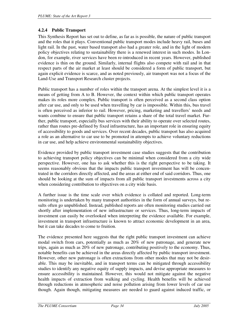## **4.2.4 Public Transport**

This Synthesis Report has set out to define, as far as is possible, the nature of public transport and the roles that it plays. Conventional public transport modes include heavy rail, buses and light rail. In the past, water based transport also had a greater role, and in the light of modern policy objectives relating to sustainability there is a renewed interest in such modes. In London, for example, river services have been re-introduced in recent years. However, published evidence is thin on the ground. Similarly, internal flights also compete with rail and in that respect parts of the air market at least should be considered a form of public transport, but again explicit evidence is scarce, and as noted previously, air transport was not a focus of the Land-Use and Transport Research cluster projects.

Public transport has a number of roles within the transport arena. At the simplest level it is a means of getting from A to B. However, the context within which public transport operates makes its roles more complex. Public transport is often perceived as a second class option after car use, and only to be used when travelling by car is impossible. Within this, bus travel is often perceived as inferior to rail. However, pricing, marketing and travellers' needs and wants combine to ensure that public transport retains a share of the total travel market. Further, public transport, especially bus services with their ability to operate over selected routes, rather than routes pre-defined by fixed infrastructure, has an important role in ensuring equity of accessibility to goods and services. Over recent decades, public transport has also acquired a role as an alternative to car use to be promoted in attempts to achieve voluntary reductions in car use, and help achieve environmental sustainability objectives.

Evidence provided by public transport investment case studies suggests that the contribution to achieving transport policy objectives can be minimal when considered from a city wide perspective. However, one has to ask whether this is the right perspective to be taking. It seems reasonably obvious that the impacts public transport investment has will be concentrated in the corridors directly affected, and the areas at either end of said corridors. Thus, one should be looking at the sum of impacts from all public transport investments across a city when considering contribution to objectives on a city wide basis.

A further issue is the time scale over which evidence is collated and reported. Long-term monitoring is undertaken by many transport authorities in the form of annual surveys, but results often go unpublished. Instead, published reports are often monitoring studies carried out shortly after implementation of new infrastructure or services. Thus, long-term impacts of investment can easily be overlooked when interpreting the evidence available. For example, investment in transport infrastructure is known to attract economic development in an area, but it can take decades to come to fruition.

The evidence presented here suggests that the right public transport investment can achieve modal switch from cars, potentially as much as 20% of new patronage, and generate new trips, again as much as 20% of new patronage, contributing positively to the economy. Thus, notable benefits can be achieved in the areas directly affected by public transport investment. However, other new patronage is often extractions from other modes that may not be desirable. This may be inevitable, and in transport terms can be mitigated through accessibility studies to identify any negative equity of supply impacts, and devise appropriate measures to ensure accessibility is maintained. However, this would not mitigate against the negative health impacts of extraction from walking and cycling. Health benefits will be achieved through reductions in atmospheric and noise pollution arising from lower levels of car use though. Again though, mitigating measures are needed to guard against induced traffic, or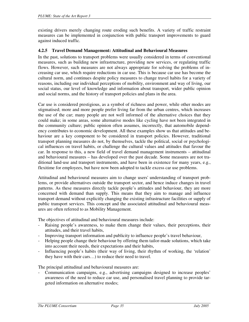existing drivers merely changing route eroding such benefits. A variety of traffic restraint measures can be implemented in conjunction with public transport improvements to guard against induced traffic.

#### **4.2.5 Travel Demand Management: Attitudinal and Behavioural Measures**

In the past, solutions to transport problems were usually considered in terms of conventional measures, such as building new infrastructure, providing new services, or regulating traffic flows. However, such measures are not always appropriate for solving the problems of increasing car use, which require reductions in car use. This is because car use has become the cultural norm, and continues despite policy measures to change travel habits for a variety of reasons, including our individual perceptions of mobility, environment and way of living, our social status, our level of knowledge and information about transport, wider public opinion and social norms, and the history of transport policies and plans in the area.

Car use is considered prestigious, as a symbol of richness and power, while other modes are stigmatised; more and more people prefer living far from the urban centres, which increases the use of the car; many people are not well informed of the alternative choices that they could make; in some areas, some alternative modes like cycling have not been integrated in the community culture; public opinion often assumes, incorrectly, that automobile dependency contributes to economic development. All these examples show us that attitudes and behaviour are a key component to be considered in transport policies. However, traditional transport planning measures do not, by themselves, tackle the political, social or psychological influences on travel habits, or challenge the cultural values and attitudes that favour the car. In response to this, a new field of travel demand management instruments – attitudinal and behavioural measures – has developed over the past decade. Some measures are not traditional land-use and transport instruments, and have been in existence for many years, e.g., flexitime for employees, but have now been adopted to tackle excess car use problems.

Attitudinal and behavioural measures aim to change users'understanding of transport problems, or provide alternatives outside the transport sector, and hence induce changes in travel patterns. As these measures directly tackle people's attitudes and behaviour, they are more concerned with demand than supply. This means that they aim to manage and influence transport demand without explicitly changing the existing infrastructure facilities or supply of public transport services. This concept and the associated attitudinal and behavioural measures are often referred to as Mobility Management.

The objectives of attitudinal and behavioural measures include:

- Raising people's awareness, to make them change their values, their perceptions, their attitudes, and their travel habits,
- Improving transport information and publicity to influence people's travel behaviour,
- Helping people change their behaviour by offering them tailor-made solutions, which take into account their needs, their expectations and their habits,
- Influencing people's habits (their way of living, their rhythm of working, the 'relation' they have with their cars…) to reduce their need to travel.

The principal attitudinal and behavioural measures are:

Communication campaigns, e.g., advertising campaigns designed to increase peoples' awareness of the need to reduce car use, and personalised travel planning to provide targeted information on alternative modes;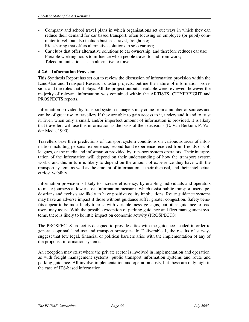- Company and school travel plans in which organisations set out ways in which they can reduce their demand for car based transport, often focusing on employee (or pupil) commuter travel, but also include business travel, freight etc;
- Ridesharing that offers alternative solutions to solo car use;
- Car clubs that offer alternative solutions to car ownership, and therefore reduces car use;
- Flexible working hours to influence when people travel to and from work;
- Telecommunications as an alternative to travel.

#### **4.2.6 Information Provision**

This Synthesis Report has set out to review the discussion of information provision within the Land-Use and Transport Research cluster projects, outline the nature of information provision, and the roles that it plays. All the project outputs available were reviewed, however the majority of relevant information was contained within the ARTISTS, CITYFREIGHT and PROSPECTS reports.

Information provided by transport system managers may come from a number of sources and can be of great use to travellers if they are able to gain access to it, understand it and to trust it. Even when only a small, and/or imperfect amount of information is provided, it is likely that travellers will use this information as the basis of their decisions (E. Van Berkum, P. Van der Mede, 1990)*.*

Travellers base their predictions of transport system conditions on various sources of information including personal experience, second-hand experience received from friends or colleagues, or the media and information provided by transport system operators. Their interpretation of the information will depend on their understanding of how the transport system works, and this in turn is likely to depend on the amount of experience they have with the transport system, as well as the amount of information at their disposal, and their intellectual curiosity/ability.

Information provision is likely to increase efficiency, by enabling individuals and operators to make journeys at lower cost. Information measures which assist public transport users, pedestrians and cyclists are likely to have positive equity implications. Route guidance systems may have an adverse impact if those without guidance suffer greater congestion. Safety benefits appear to be most likely to arise with variable message signs, but other guidance to road users may assist. With the possible exception of parking guidance and fleet management systems, there is likely to be little impact on economic activity (PROSPECTS).

The PROSPECTS project is designed to provide cities with the guidance needed in order to generate optimal land-use and transport strategies. In Deliverable 1, the results of surveys suggest that few legal, financial or political barriers arise with the implementation of any of the proposed information systems.

An exception may exist where the private sector is involved in implementation and operation, as with freight management systems, public transport information systems and route and parking guidance. All involve implementation and operation costs, but these are only high in the case of ITS-based information.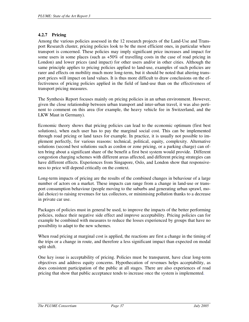## **4.2.7 Pricing**

Among the various policies assessed in the 12 research projects of the Land-Use and Transport Research cluster, pricing policies look to be the most efficient ones, in particular where transport is concerned. These policies may imply significant price increases and impact for some users in some places (such as +50% of travelling costs in the case of road pricing in London) and lower prices (and impact) for other users and/or in other cities. Although the same principle applies to pricing policies applied to land-use, examples of such policies are rarer and effects on mobility much more long-term, but it should be noted that altering transport prices will impact on land values. It is thus more difficult to draw conclusions on the effectiveness of pricing policies applied in the field of land-use than on the effectiveness of transport pricing measures.

The Synthesis Report focuses mainly on pricing policies in an urban environment. However, given the close relationship between urban transport and inter-urban travel, it was also pertinent to comment on this area (for example, the heavy vehicle fee in Switzerland, and the LKW Maut in Germany).

Economic theory shows that pricing policies can lead to the economic optimum (first best solutions), when each user has to pay the marginal social cost. This can be implemented through road pricing or land taxes for example. In practice, it is usually not possible to implement perfectly, for various reasons: technical, political, equity, complexity. Alternative solutions (second best solutions such as cordon or zone pricing, or a parking charge) can often bring about a significant share of the benefit a first best system would provide. Different congestion charging schemes with different areas affected, and different pricing strategies can have different effects. Experiences from Singapore, Oslo, and London show that responsiveness to price will depend critically on the context.

Long-term impacts of pricing are the results of the combined changes in behaviour of a large number of actors on a market. These impacts can range from a change in land-use or transport consumption behaviour (people moving to the suburbs and generating urban sprawl, modal choice) to raising revenues for tax collectors, or minimising pollution thanks to a decrease in private car use.

Packages of policies must in general be used, to improve the impacts of the better performing policies, reduce their negative side effect and improve acceptability. Pricing policies can for example be combined with measures to reduce the losses experienced by groups that have no possibility to adapt to the new schemes.

When road pricing at marginal cost is applied, the reactions are first a change in the timing of the trips or a change in route, and therefore a less significant impact than expected on modal split shift.

One key issue is acceptability of pricing. Policies must be transparent, have clear long-term objectives and address equity concerns. Hypothecation of revenues helps acceptability, as does consistent participation of the public at all stages. There are also experiences of road pricing that show that public acceptance tends to increase once the system is implemented.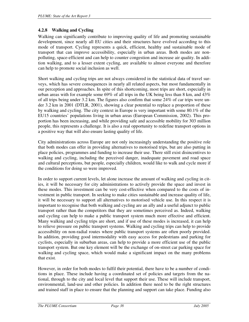## **4.2.8 Walking and Cycling**

Walking can significantly contribute to improving quality of life and promoting sustainable development, since nearly all EU cities and their structures have evolved according to this mode of transport. Cycling represents a quick, efficient, healthy and sustainable mode of transport that can improve accessibility, especially in urban areas. Both modes are nonpolluting, space-efficient and can help to counter congestion and increase air quality. In addition walking, and to a lesser extent cycling, are available to almost everyone and therefore can help to promote social inclusion as well.

Short walking and cycling trips are not always considered in the statistical data of travel surveys, which has severe consequences in nearly all related aspects, but most fundamentally in our perception and approaches. In spite of this shortcoming, most trips are short, especially in urban areas with for example some 69% of all trips in the UK being less than 8 km, and 43% of all trips being under 3.2 km. The figures also confirm that some 24% of car trips were under 3.2 km in 2001 (DTLR, 2001), showing a clear potential to replace a proportion of these by walking and cycling. The city context in Europe is very important with some 80.1% of the EU15 countries' populations living in urban areas (European Commission, 2002). This proportion has been increasing, and while providing safe and accessible mobility for 303 million people, this represents a challenge. It is also a real opportunity to redefine transport options in a positive way that will also ensure lasting quality of life.

City administrations across Europe are not only increasingly understanding the positive role that both modes can offer in providing alternatives to motorised trips, but are also putting in place policies, programmes and funding to increase their use. There still exist disincentives to walking and cycling, including the perceived danger, inadequate pavement and road space and cultural perceptions, but people, especially children, would like to walk and cycle more if the conditions for doing so were improved.

In order to support current levels, let alone increase the amount of walking and cycling in cities, it will be necessary for city administrations to actively provide the space and invest in these modes. This investment can be very cost-effective when compared to the costs of investment in public transport. In seeking to make cities sustainable and increase quality of life, it will be necessary to support all alternatives to motorised vehicle use. In this respect it is important to recognise that both walking and cycling are an ally and a useful adjunct to public transport rather than the competitors that they are sometimes perceived as. Indeed, walking and cycling can help to make a public transport system much more effective and efficient. Many walking and cycling trips are short, and if use of these modes is increased, it can help to relieve pressure on public transport systems. Walking and cycling trips can help to provide accessibility on non-radial routes where public transport systems are often poorly provided. In addition, providing good intermodality with easy access for pedestrians and parking for cyclists, especially in suburban areas, can help to provide a more efficient use of the public transport system. But one key element will be the exchange of on-street car parking space for walking and cycling space, which would make a significant impact on the many problems that exist.

However, in order for both modes to fulfil their potential, there have to be a number of conditions in place. These include having a coordinated set of policies and targets from the national, through to the city and local level that support their use. These will include transport, environmental, land-use and other policies. In addition there need to be the right structures and trained staff in place to ensure that the planning and support can take place. Funding also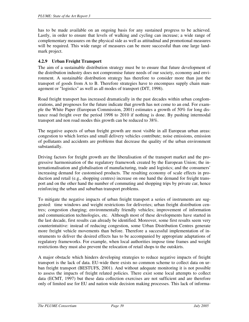has to be made available on an ongoing basis for any sustained progress to be achieved. Lastly, in order to ensure that levels of walking and cycling can increase; a wide range of complementary measures on the physical side as well as attitudinal and promotional measures will be required. This wide range of measures can be more successful than one large landmark project.

## **4.2.9 Urban Freight Transport**

The aim of a sustainable distribution strategy must be to ensure that future development of the distribution industry does not compromise future needs of our society, economy and environment. A sustainable distribution strategy has therefore to consider more than just the transport of goods from A to B. Therefore strategies have to encompass supply chain management or "logistics" as well as all modes of transport (DfT, 1998).

Road freight transport has increased dramatically in the past decades within urban conglomerations, and prognoses for the future indicate that growth has not come to an end. For example the White Paper (European Commission, 2001) estimates a growth of 50% for long distance road freight over the period 1998 to 2010 if nothing is done. By pushing intermodal transport and non road modes this growth can be reduced to 38%.

The negative aspects of urban freight growth are most visible in all European urban areas: congestion to which lorries and small delivery vehicles contribute; noise emissions, emission of pollutants and accidents are problems that decrease the quality of the urban environment substantially.

Driving factors for freight growth are the liberalisation of the transport market and the progressive harmonisation of the regulatory framework created by the European Union; the internationalisation and globalisation of manufacturing, trade and logistics; and the consumers' increasing demand for customised products. The resulting economy of scale effects in production and retail (e.g., shopping centres) increase on one hand the demand for freight transport and on the other hand the number of commuting and shopping trips by private car, hence reinforcing the urban and suburban transport problems.

To mitigate the negative impacts of urban freight transport a series of instruments are suggested: time windows and weight restrictions for deliveries; urban freight distribution centres; congestion charging; environmentally friendly vehicles; improvement of information and communication technologies, etc. Although most of these developments have started in the last decade, first results can already be identified. Moreover, some first results seem very counterintuitive: instead of reducing congestion, some Urban Distribution Centres generate more freight vehicle movements than before. Therefore a successful implementation of instruments to deliver the desired effects has to be accompanied by appropriate adaptations of regulatory frameworks. For example, when local authorities impose time frames and weight restrictions they must also prevent the relocation of retail shops to the outskirts.

A major obstacle which hinders developing strategies to reduce negative impacts of freight transport is the lack of data. EU-wide there exists no common scheme to collect data on urban freight transport (BESTUFS, 2001). And without adequate monitoring it is not possible to assess the impacts of freight related policies. There exist some local attempts to collect data (ECMT, 1997) but these data collection exercises are not sufficient and are therefore only of limited use for EU and nation wide decision making processes. This lack of informa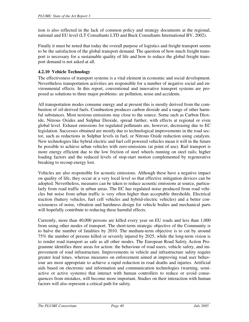tion is also reflected in the lack of common policy and strategy documents at the regional, national and EU level (LT Consultants LTD and Buck Consultants International BV, 2002).

Finally it must be noted that today the overall purpose of logistics and freight transport seems to be the satisfaction of the global transport demand. The question of how much freight transport is necessary for a sustainable quality of life and how to reduce the global freight transport demand is not asked at all.

## **4.2.10 Vehicle Technology**

The effectiveness of transport systems is a vital element in economic and social development. Nevertheless transportation activities are responsible for a number of negative social and environmental effects. In this report, conventional and innovative transport systems are proposed as solutions to three major problems: air pollution, noise and accidents.

All transportation modes consume energy and at present this is mostly derived from the combustion of oil-derived fuels. Combustion produces carbon dioxide and a range of other harmful substances. Most noxious emissions stay close to the source. Some such as Carbon Dioxide, Nitrous Oxides and Sulphur Dioxide, spread further, with effects at regional or even global level. Exhaust emissions for regulated pollutants are, however, decreasing due to EC legislation. Successes obtained are mostly due to technological improvements in the road sector, such as reductions in Sulphur levels in fuel, or Nitrous Oxide reduction using catalysts. New technologies like hybrid electric and fuel cell powered vehicles mean it will in the future be possible to achieve urban vehicles with zero-emissions (at point of use). Rail transport is more energy efficient due to the low friction of steel wheels running on steel rails; higher loading factors and the reduced levels of stop-start motion complemented by regenerative breaking to recoup energy lost.

Vehicles are also responsible for acoustic emissions. Although these have a negative impact on quality of life, they occur at a very local level so that effective mitigation devices can be adopted. Nevertheless, measures can be taken to reduce acoustic emissions at source, particularly from road traffic in urban areas. The EC has regulated noise produced from road vehicles but noise from urban traffic is very often higher than acceptable thresholds. Electrical traction (battery vehicles, fuel cell vehicles and hybrid-electric vehicles) and a better consciousness of noise, vibration and harshness design for vehicle bodies and mechanical parts will hopefully contribute to reducing these harmful effects.

Currently, more than 40,000 persons are killed every year on EU roads and less than 1,000 from using other modes of transport. The short-term strategic objective of the Community is to halve the number of fatalities by 2010. The medium-term objective is to cut by around 75% the number of persons killed or severely injured by 2025, while the long-term vision is to render road transport as safe as all other modes. The European Road Safety Action Programme identifies three areas for action: the behaviour of road users, vehicle safety, and improvement of road infrastructure. Improvements in vehicle and infrastructure safety require greater lead times, whereas measures on enforcement aimed at improving road user behaviour are most appropriate to achieve a rapid reduction in road deaths and injuries. Artificial aids based on electronic and information and communication technologies (warning, semiactive or active systems) that interact with human controllers to reduce or avoid consequences from mistakes, will become more important. Studies on their interaction with human factors will also represent a critical path for safety.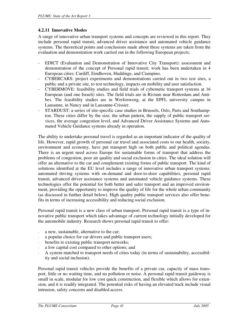## **4.2.11 Innovative Modes**

A range of innovative urban transport systems and concepts are reviewed in this report. They include personal rapid transit, advanced driver assistance and automated vehicle guidance systems. The theoretical points and conclusions made about these systems are taken from the evaluation and demonstration work carried out in the following European projects;

- EDICT (Evaluation and Demonstration of Innovative City Transport): assessment and demonstration of the concept of Personal rapid transit; work has been undertaken in 4 European cities: Cardiff, Eindhoven, Huddinge, and Ciampino.
- CYBERCARS: project experiments and demonstrations carried out in two test sites, a public and a private site, to test technology, impacts on mobility and user satisfaction.
- CYBERMOVE: feasibility studies and field trials of cybernetic transport systems at 16 European (and one Israeli) sites. The field trials are in Rivium near Rotterdam and Antibes. The feasibility studies are in Werfenweng, at the EPFL university campus in Lausanne, in Nancy and in Lausanne-Crissier.
- STARDUST: a series of site-specific case studies in Brussels, Oslo, Paris and Southampton. These cities differ by the size, the urban pattern, the supply of public transport services, the average congestion level, and Advanced Driver Assistance Systems and Automated Vehicle Guidance systems already in operation.

The ability to undertake personal travel is regarded as an important indicator of the quality of life. However, rapid growth of personal car travel and associated costs to our health, society, environment and economy, have put transport high on both public and political agendas. There is an urgent need across Europe for sustainable forms of transport that address the problems of congestion, poor air quality and social exclusion in cities. The ideal solution will offer an alternative to the car and complement existing forms of public transport. The kind of solutions identified at the EU level includes a range of innovative urban transport systems: automated driving systems with on-demand and door-to-door capabilities, personal rapid transit, advanced driver assistance systems and automated vehicle guidance systems. These technologies offer the potential for both better and safer transport and an improved environment, providing the opportunity to improve the quality of life for the whole urban community (as discussed in further detail below). High quality public transport services also offer benefits in terms of increasing accessibility and reducing social exclusion.

Personal rapid transit is a new class of urban transport. Personal rapid transit is a type of innovative public transport which takes advantage of current technology initially developed for the automobile industry. Research shows personal rapid transit to offer:

- a new, sustainable, alternative to the car;
- a popular choice for car drivers and public transport users;
- benefits to existing public transport networks;
- a low capital cost compared to other options; and
- A system matched to transport needs of cities today (in terms of sustainability, accessibility and social inclusion).

Personal rapid transit vehicles provide the benefits of a private car, capacity of mass transport, little or no waiting time, and no pollution or noise. A personal rapid transit guideway is small in scale, modular for low cost quick construction, and flexible which allows for extension, and it is readily integrated. The potential risks of having an elevated track include visual intrusion, safety concerns and disabled access.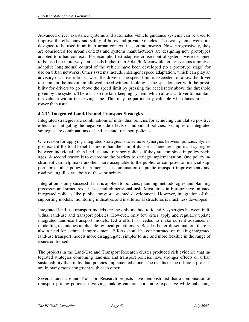Advanced driver assistance systems and automated vehicle guidance systems can be used to improve the efficiency and safety of buses and private vehicles. The two systems were first designed to be used in an inter-urban context, i.e., on motorways. Now, progressively, they are considered for urban contexts and systems manufacturers are designing new prototypes adapted to urban contexts. For example, first adaptive cruise control systems were designed to be used on motorways, at speeds higher than 50km/h. Meanwhile, other systems aiming at adaptive longitudinal control of the vehicle have been developed (to a prototype stage) for use on urban networks. Other systems include intelligent speed adaptation, which can play an advisory or active role i.e., warn the driver if the speed limit is exceeded, or allow the driver to maintain the maximum allowed speed without looking at the speedometer with the possibility for drivers to go above the speed limit by pressing the accelerator above the threshold given by the system. There is also the lane keeping system, which allows a driver to maintain the vehicle within the driving lane. This may be particularly valuable when lanes are narrower than usual.

## **4.2.12 Integrated Land-Use and Transport Strategies**

Integrated strategies are combinations of individual policies for achieving cumulative positive effects, or mitigating the negative side effects of individual policies. Examples of integrated strategies are combinations of land-use and transport policies.

One reason for applying integrated strategies is to achieve synergies between policies. Synergies exist if the total benefit is more than the sum of its parts. There are significant synergies between individual urban land-use and transport policies if they are combined in policy packages. A second reason is to overcome the barriers to strategy implementation. One policy instrument can help make another more acceptable to the public, or can provide financial support for another policy instrument. The combination of public transport improvements and road pricing illustrate both of these principles.

Integration is only successful if it is applied to policies, planning methodologies and planning processes and structures – it is a multidimensional task. Most cities in Europe have initiated integrated policies like public transport oriented development. However, integration of the supporting models, monitoring indicators and institutional structures is much less developed.

Integrated land-use transport models are the only method to identify synergies between individual land-use and transport policies. However, only few cities apply and regularly update integrated land-use transport models. Extra effort is needed to make current advances in modelling techniques applicable by local practitioners. Besides better dissemination, there is also a need for technical improvement. Efforts should be concentrated on making integrated land-use transport models more disaggregate, simpler to use and more flexible in the range of issues addressed.

The projects in the Land-Use and Transport Research cluster produced rich evidence that integrated strategies combining land-use and transport policies have stronger effects on urban sustainability than individual policies implemented alone. The results of the different projects are in many cases congruent with each other.

Several Land-Use and Transport Research projects have demonstrated that a combination of transport pricing policies, involving making car transport more expensive while enhancing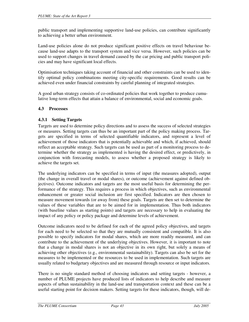public transport and implementing supportive land-use policies, can contribute significantly to achieving a better urban environment.

Land-use policies alone do not produce significant positive effects on travel behaviour because land-use adapts to the transport system and vice versa. However, such policies can be used to support changes in travel demand caused by the car pricing and public transport policies and may have significant local effects.

Optimisation techniques taking account of financial and other constraints can be used to identify optimal policy combinations meeting city-specific requirements. Good results can be achieved even under financial constraints by careful planning of integrated strategies.

A good urban strategy consists of co-ordinated policies that work together to produce cumulative long-term effects that attain a balance of environmental, social and economic goals.

## **4.3 Processes**

## **4.3.1 Setting Targets**

Targets are used to determine policy directions and to assess the success of selected strategies or measures. Setting targets can thus be an important part of the policy making process. Targets are specified in terms of selected quantifiable indicators, and represent a level of achievement of those indicators that is potentially achievable and which, if achieved, should reflect an acceptable strategy. Such targets can be used as part of a monitoring process to determine whether the strategy as implemented is having the desired effect, or predictively, in conjunction with forecasting models, to assess whether a proposed strategy is likely to achieve the targets set.

The underlying indicators can be specified in terms of input (the measures adopted), output (the change in overall travel or modal shares), or outcome (achievement against defined objectives). Outcome indicators and targets are the most useful basis for determining the performance of the strategy. This requires a process in which objectives, such as environmental enhancement or greater social inclusion are first specified. Indicators are then chosen to measure movement towards (or away from) these goals. Targets are then set to determine the values of these variables that are to be aimed for in implementation. Thus both indicators (with baseline values as starting points) and targets are necessary to help in evaluating the impact of any policy or policy package and determine levels of achievement.

Outcome indicators need to be defined for each of the agreed policy objectives, and targets for each need to be selected so that they are mutually consistent and compatible. It is also possible to specify indicators for modal shares, which are more readily measured, and can contribute to the achievement of the underlying objectives. However, it is important to note that a change in modal shares is not an objective in its own right, but solely a means of achieving other objectives (e.g., environmental sustainability). Targets can also be set for the measures to be implemented or the resources to be used in implementation. Such targets are usually related to budgetary objectives and are measured through resource or input indicators.

There is no single standard method of choosing indicators and setting targets - however, a number of PLUME projects have produced lists of indicators to help describe and measure aspects of urban sustainability in the land-use and transportation context and these can be a useful starting point for decision makers. Setting targets for these indicators, though, will de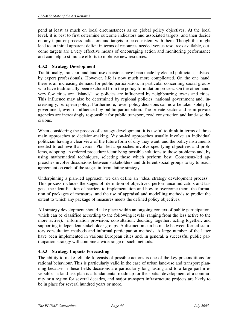pend at least as much on local circumstances as on global policy objectives. At the local level, it is best to first determine outcome indicators and associated targets, and then decide on any input or process indicators and targets to be consistent with them. Though this might lead to an initial apparent deficit in terms of resources needed versus resources available, outcome targets are a very effective means of encouraging action and monitoring performance and can help to stimulate efforts to mobilise new resources.

## **4.3.2 Strategy Development**

Traditionally, transport and land-use decisions have been made by elected politicians, advised by expert professionals. However, life is now much more complicated. On the one hand, there is an increasing demand for public participation, in particular concerning social groups who have traditionally been excluded from the policy formulation process. On the other hand, very few cities are "islands", so policies are influenced by neighbouring towns and cities. This influence may also be determined by regional policies, national government and, increasingly, European policy. Furthermore, fewer policy decisions can now be taken solely by government, even if influenced by public participation. The private sector and semi-private agencies are increasingly responsible for public transport, road construction and land-use decisions.

When considering the process of strategy development, it is useful to think in terms of three main approaches to decision-making. Vision-led approaches usually involve an individual politician having a clear view of the future form of city they want, and the policy instruments needed to achieve that vision. Plan-led approaches involve specifying objectives and problems, adopting an ordered procedure identifying possible solutions to those problems and, by using mathematical techniques, selecting those which perform best. Consensus-led approaches involve discussions between stakeholders and different social groups to try to reach agreement on each of the stages in formulating strategy.

Underpinning a plan-led approach, we can define an "ideal strategy development process". This process includes the stages of: definition of objectives, performance indicators and targets; the identification of barriers to implementation and how to overcome them; the formation of packages of measures; and the use of appraisal and modelling methods to predict the extent to which any package of measures meets the defined policy objectives.

All strategy development should take place within an ongoing context of public participation, which can be classified according to the following levels (ranging from the less active to the more active): information provision; consultation; deciding together; acting together, and supporting independent stakeholder groups. A distinction can be made between formal statutory consultation methods and informal participation methods. A large number of the latter have been implemented in various European cities and, in general, a successful public participation strategy will combine a wide range of such methods.

# **4.3.3 Strategy Impacts Forecasting**

The ability to make reliable forecasts of possible actions is one of the key preconditions for rational behaviour. This is particularly valid in the case of urban land-use and transport planning because in these fields decisions are particularly long lasting and to a large part irreversible - a land-use plan is a fundamental roadmap for the spatial development of a community or a region for several decades, and major transport infrastructure projects are likely to be in place for several hundred years or more.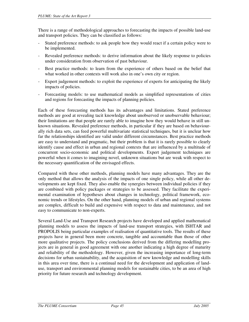There is a range of methodological approaches to forecasting the impacts of possible land-use and transport policies. They can be classified as follows:

- Stated preference methods: to ask people how they would react if a certain policy were to be implemented.
- Revealed preference methods: to derive information about the likely response to policies under consideration from observation of past behaviour.
- Best practice methods: to learn from the experience of others based on the belief that what worked in other contexts will work also in one's own city or region.
- Expert judgement methods: to exploit the experience of experts for anticipating the likely impacts of policies.
- Forecasting models: to use mathematical models as simplified representations of cities and regions for forecasting the impacts of planning policies.

Each of these forecasting methods has its advantages and limitations. Stated preference methods are good at revealing tacit knowledge about unobserved or unobservable behaviour; their limitations are that people are rarely able to imagine how they would behave in still unknown situations. Revealed preference methods, in particular if they are based on behaviourally rich data sets, can feed powerful multivariate statistical techniques, but it is unclear how far the relationships identified are valid under different circumstances. Best practice methods are easy to understand and pragmatic, but their problem is that it is rarely possible to clearly identify cause and effect in urban and regional contexts that are influenced by a multitude of concurrent socio-economic and political developments. Expert judgement techniques are powerful when it comes to imagining novel, unknown situations but are weak with respect to the necessary quantification of the envisaged effects.

Compared with these other methods, planning models have many advantages. They are the only method that allows the analysis of the impacts of one single policy, while all other developments are kept fixed. They also enable the synergies between individual policies if they are combined with policy packages or strategies to be assessed. They facilitate the experimental examination of hypotheses about changes in technology, political framework, economic trends or lifestyles. On the other hand, planning models of urban and regional systems are complex, difficult to build and expensive with respect to data and maintenance, and not easy to communicate to non-experts.

Several Land-Use and Transport Research projects have developed and applied mathematical planning models to assess the impacts of land-use transport strategies, with ISHTAR and PROPOLIS being particular examples of realisation of quantitative tools. The results of these projects have in general been more concrete, tangible and accountable than those of other more qualitative projects. The policy conclusions derived from the differing modelling projects are in general in good agreement with one another indicating a high degree of maturity and reliability of the methodology. However, given the increasing importance of long-term decisions for urban sustainability, and the acquisition of new knowledge and modelling skills in this area over time, there is a continual need for the development and application of landuse, transport and environmental planning models for sustainable cities, to be an area of high priority for future research and technology development.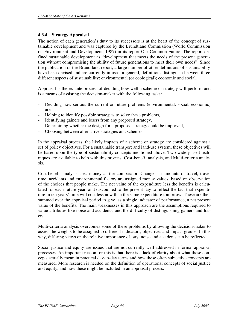## **4.3.4 Strategy Appraisal**

The notion of each generation's duty to its successors is at the heart of the concept of sustainable development and was captured by the Brundtland Commission (World Commission on Environment and Development, 1987) in its report Our Common Future. The report defined sustainable development as "development that meets the needs of the present generation without compromising the ability of future generations to meet their own needs". Since the publication of the Brundtland report, a large number of other definitions of sustainability have been devised and are currently in use. In general, definitions distinguish between three different aspects of sustainability: environmental (or ecological); economic and social.

Appraisal is the ex-ante process of deciding how well a scheme or strategy will perform and is a means of assisting the decision-maker with the following tasks:

- Deciding how serious the current or future problems (environmental, social, economic) are,
- Helping to identify possible strategies to solve these problems,
- Identifying gainers and losers from any proposed strategy,
- Determining whether the design for a proposed strategy could be improved,
- Choosing between alternative strategies and schemes.

In the appraisal process, the likely impacts of a scheme or strategy are considered against a set of policy objectives. For a sustainable transport and land-use system, these objectives will be based upon the type of sustainability concepts mentioned above. Two widely used techniques are available to help with this process: Cost-benefit analysis, and Multi-criteria analysis.

Cost-benefit analysis uses money as the comparator. Changes in amounts of travel, travel time, accidents and environmental factors are assigned money values, based on observation of the choices that people make. The net value of the expenditure less the benefits is calculated for each future year, and discounted to the present day to reflect the fact that expenditure in ten years' time will cost less now than the same expenditure tomorrow. These are then summed over the appraisal period to give, as a single indicator of performance, a net present value of the benefits. The main weaknesses in this approach are the assumptions required to value attributes like noise and accidents, and the difficulty of distinguishing gainers and losers.

Multi-criteria analysis overcomes some of these problems by allowing the decision-maker to assess the weights to be assigned to different indicators, objectives and impact groups. In this way, differing views on the relative importance of, say, noise and accidents can be reflected.

Social justice and equity are issues that are not currently well addressed in formal appraisal processes. An important reason for this is that there is a lack of clarity about what these concepts actually mean in practical day-to-day terms and how these often subjective concepts are measured. More research is needed on the definition of operational concepts of social justice and equity, and how these might be included in an appraisal process.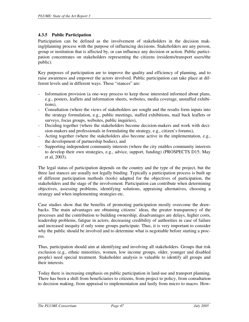## **4.3.5 Public Participation**

Participation can be defined as the involvement of stakeholders in the decision making/planning process with the purpose of influencing decisions. Stakeholders are any person, group or institution that is affected by, or can influence any decision or action. Public participation concentrates on stakeholders representing the citizens (residents/transport users/the public).

Key purposes of participation are to improve the quality and efficiency of planning, and to raise awareness and empower the actors involved. Public participation can take place at different levels and in different ways. These "stances" are:

- Information provision (a one-way process to keep those interested informed about plans, e.g., posters, leaflets and information sheets, websites, media coverage, unstaffed exhibitions),
- Consultation (where the views of stakeholders are sought and the results form inputs into the strategy formulation, e.g., public meetings, staffed exhibitions, mail back leaflets or surveys, focus groups, websites, public inquiries),
- Deciding together (where the stakeholders become decision-makers and work with decision-makers and professionals in formulating the strategy, e.g., citizen's forums),
- Acting together (where the stakeholders also become active in the implementation, e.g., the development of partnership bodies), and
- Supporting independent community interests (where the city enables community interests to develop their own strategies, e.g., advice, support, funding) (PROSPECTS D15; May et al, 2003).

The legal status of participation depends on the country and the type of the project, but the three last stances are usually not legally binding. Typically a participation process is built up of different participation methods (tools) adapted for the objectives of participation, the stakeholders and the stage of the involvement. Participation can contribute when determining objectives, assessing problems, identifying solutions, appraising alternatives, choosing a strategy and when implementing strategies etc.

Case studies show that the benefits of promoting participation mostly overcome the drawbacks. The main advantages are obtaining citizens' ideas, the greater transparency of the processes and the contribution to building ownership; disadvantages are delays, higher costs, leadership problems, fatigue in actors, decreasing credibility of authorities in case of failure and increased inequity if only some groups participate. Thus, it is very important to consider why the public should be involved and to determine what is negotiable before starting a process.

Thus, participation should aim at identifying and involving all stakeholders. Groups that risk exclusion (e.g., ethnic minorities, women, low income groups, older, younger and disabled people) need special treatment. Stakeholder analysis is valuable to identify all groups and their interests.

Today there is increasing emphasis on public participation in land-use and transport planning. There has been a shift from beneficiaries to citizens, from project to policy, from consultation to decision making, from appraisal to implementation and lastly from micro to macro. How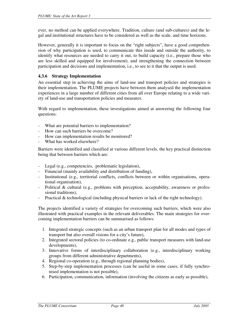ever, no method can be applied everywhere. Tradition, culture (and sub-cultures) and the legal and institutional structures have to be considered as well as the scale, and time horizons.

However, generally it is important to focus on the "right subjects", have a good comprehension of why participation is used, to communicate this inside and outside the authority, to identify what resources are needed to carry it out, to build capacity (i.e., prepare those who are less skilled and equipped for involvement), and strengthening the connection between participation and decisions and implementation, i.e., to see to it that the output is used.

## **4.3.6 Strategy Implementation**

An essential step in achieving the aims of land-use and transport policies and strategies is their implementation. The PLUME projects have between them analysed the implementation experiences in a large number of different cities from all over Europe relating to a wide variety of land-use and transportation policies and measures.

With regard to implementation, these investigations aimed at answering the following four questions:

- What are potential barriers to implementation?
- How can such barriers be overcome?
- How can implementation results be monitored?
- What has worked elsewhere?

Barriers were identified and classified at various different levels, the key practical distinction being that between barriers which are:

- Legal (e.g., competencies, problematic legislation),
- Financial (mainly availability and distribution of funding),
- Institutional (e.g., territorial conflicts, conflicts between or within organisations, operational organisation),
- Political & cultural (e.g., problems with perception, acceptability, awareness or professional traditions),
- Practical & technological (including physical barriers or lack of the right technology).

The projects identified a variety of strategies for overcoming such barriers, which were also illustrated with practical examples in the relevant deliverables. The main strategies for overcoming implementation barriers can be summarised as follows:

- 1. Integrated strategic concepts (such as an urban transport plan for all modes and types of transport but also overall visions for a city's future),
- 2. Integrated sectoral policies (to co-ordinate e.g., public transport measures with land-use developments),
- 3. Innovative forms of interdisciplinary collaboration (e.g., interdisciplinary working groups from different administrative departments),
- 4. Regional co-operation (e.g., through regional planning bodies),
- 5. Step-by-step implementation processes (can be useful in some cases, if fully synchronised implementation is not possible),
- 6. Participation, communication, information (involving the citizens as early as possible),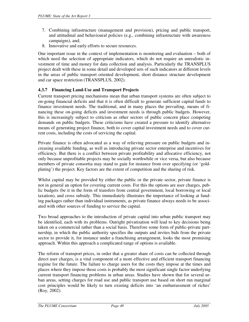- 7. Combining infrastructure (management and provision), pricing and public transport, and attitudinal and behavioural policies (e.g., combining infrastructure with awareness campaigns), and;
- 8. Innovative and early efforts to secure resources.

One important issue in the context of implementation is monitoring and evaluation – both of which need the selection of appropriate indicators, which do not require an unrealistic investment of time and money for data collection and analysis. Particularly the TRANSPLUS project dealt with these in some detail and developed sets of such indicators at different levels in the areas of public transport oriented development, short distance structure development and car space restriction (TRANSPLUS, 2002).

## **4.3.7 Financing Land-Use and Transport Projects**

Current transport pricing mechanisms mean that urban transport systems are often subject to on-going financial deficits and that it is often difficult to generate sufficient capital funds to finance investment needs. The traditional, and in many places the prevailing, means of financing these on-going deficits and investment needs is through public budgets. However, this is increasingly subject to criticism as other sectors of public concern place competing demands on public budgets. These criticisms have created a pressure to identify alternative means of generating project finance, both to cover capital investment needs and to cover current costs, including the costs of servicing the capital.

Private finance is often advocated as a way of relieving pressure on public budgets and increasing available funding, as well as introducing private sector enterprise and incentives for efficiency. But there is a conflict between private profitability and allocative efficiency, not only because unprofitable projects may be socially worthwhile or vice versa, but also because members of private consortia may stand to gain for instance from over specifying (or 'goldplating') the project. Key factors are the extent of competition and the sharing of risk.

Whilst capital may be provided by either the public or the private sector, private finance is not in general an option for covering current costs. For this the options are user charges, public budgets (be it in the form of transfers from central government, local borrowing or local taxation), and cross subsidy. This immediately illustrates the importance of looking at funding packages rather than individual instruments, as private finance always needs to be associated with other sources of funding to service the capital.

Two broad approaches to the introduction of private capital into urban public transport may be identified, each with its problems. Outright privatisation will lead to key decisions being taken on a commercial rather than a social basis. Therefore some form of public-private partnership, in which the public authority specifies the outputs and invites bids from the private sector to provide it, for instance under a franchising arrangement, looks the most promising approach. Within this approach a complicated range of options is available.

The reform of transport prices, in order that a greater share of costs can be collected through direct user charges, is a vital component of a more effective and efficient transport financing regime for the future. The failure to charge users for the costs they impose at the times and places where they impose those costs is probably the most significant single factor underlying current transport financing problems in urban areas. Studies have shown that for several urban areas, setting charges for road use and public transport use based on short run marginal cost principles would be likely to turn existing deficits into 'an embarrassment of riches' (Roy, 2002).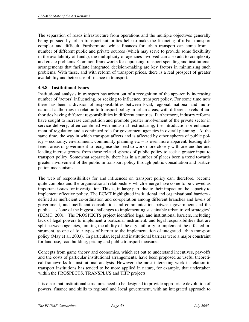The separation of roads infrastructure from operations and the multiple objectives generally being pursued by urban transport authorities help to make the financing of urban transport complex and difficult. Furthermore, whilst finances for urban transport can come from a number of different public and private sources (which may serve to provide some flexibility in the availability of funds), the multiplicity of agencies involved can also add to complexity and create problems. Common frameworks for appraising transport spending and institutional arrangements that facilitate integrated decision-making are key factors in minimising such problems. With these, and with reform of transport prices, there is a real prospect of greater availability and better use of finance in transport.

## **4.3.8 Institutional Issues**

Institutional analysis in transport has arisen out of a recognition of the apparently increasing number of 'actors' influencing, or seeking to influence, transport policy. For some time now there has been a division of responsibilities between local, regional, national and multinational authorities in relation to transport policy in urban areas, with different levels of authorities having different responsibilities in different countries. Furthermore, industry reforms have sought to increase competition and promote greater involvement of the private sector in service delivery, often combined with industrial restructuring, the introduction or enhancement of regulation and a continued role for government agencies in overall planning. At the same time, the way in which transport affects and is affected by other spheres of public policy – economy, environment, community planning etc – is ever more apparent, leading different areas of government to recognise the need to work more closely with one another and leading interest groups from those related spheres of public policy to seek a greater input to transport policy. Somewhat separately, there has in a number of places been a trend towards greater involvement of the public in transport policy through public consultation and participation mechanisms.

The web of responsibilities for and influences on transport policy can, therefore, become quite complex and the organisational relationships which emerge have come to be viewed as important issues for investigation. This is, in large part, due to their impact on the capacity to implement effective policy. The ECMT highlighted institutional and organisational barriers defined as inefficient co-ordination and co-operation among different branches and levels of government, and inefficient consultation and communication between government and the public - as "one of the biggest challenges to implementing sustainable urban travel strategies" (ECMT, 2001). The PROSPECTS project identified legal and institutional barriers, including lack of legal powers to implement a particular instrument, and legal responsibilities that are split between agencies, limiting the ability of the city authority to implement the affected instrument, as one of four types of barrier to the implementation of integrated urban transport policy (May et al, 2003). In particular, legal and institutional barriers were a major constraint for land-use, road building, pricing and public transport measures.

Concepts from game theory and economics, which set out to understand incentives, pay-offs and the costs of particular institutional arrangements, have been proposed as useful theoretical frameworks for institutional analysis. However, the most interesting work in relation to transport institutions has tended to be more applied in nature, for example, that undertaken within the PROSPECTS, TRANSPLUS and TIPP projects.

It is clear that institutional structures need to be designed to provide appropriate devolution of powers, finance and skills to regional and local government, with an integrated approach to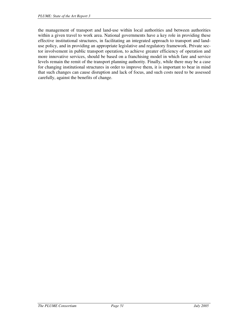the management of transport and land-use within local authorities and between authorities within a given travel to work area. National governments have a key role in providing these effective institutional structures, in facilitating an integrated approach to transport and landuse policy, and in providing an appropriate legislative and regulatory framework. Private sector involvement in public transport operation, to achieve greater efficiency of operation and more innovative services, should be based on a franchising model in which fare and service levels remain the remit of the transport planning authority. Finally, while there may be a case for changing institutional structures in order to improve them, it is important to bear in mind that such changes can cause disruption and lack of focus, and such costs need to be assessed carefully, against the benefits of change.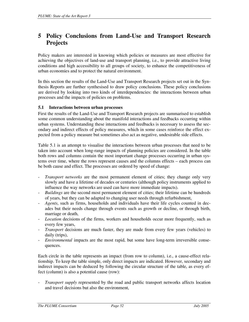# **5 Policy Conclusions from Land-Use and Transport Research Projects**

Policy makers are interested in knowing which policies or measures are most effective for achieving the objectives of land-use and transport planning, i.e., to provide attractive living conditions and high accessibility to all groups of society, to enhance the competitiveness of urban economies and to protect the natural environment.

In this section the results of the Land-Use and Transport Research projects set out in the Synthesis Reports are further synthesised to draw policy conclusions. These policy conclusions are derived by looking into two kinds of interdependencies: the interactions between urban processes and the impacts of policies on problems.

## **5.1 Interactions between urban processes**

First the results of the Land-Use and Transport Research projects are summarised to establish some common understanding about the manifold interactions and feedbacks occurring within urban systems. Understanding these interactions and feedbacks is necessary to assess the secondary and indirect effects of policy measures, which in some cases reinforce the effect expected from a policy measure but sometimes also act as negative, undesirable side effects.

Table 5.1 is an attempt to visualise the interactions between urban processes that need to be taken into account when long-range impacts of planning policies are considered. In the table both rows and columns contain the most important change processes occurring in urban systems over time, where the rows represent causes and the columns effects – each process can be both cause and effect. The processes are ordered by speed of change:

- *Transport networks* are the most permanent element of cities; they change only very slowly and have a lifetime of decades or centuries (although policy instruments applied to influence the way networks are used can have more immediate impacts).
- *Buildings* are the second most permanent element of cities; their lifetime can be hundreds of years, but they can be adapted to changing user needs through refurbishment,
- *Agents*, such as firms, households and individuals have their life cycles counted in decades but their needs change through events such as growth or decline, or through birth, marriage or death,
- Location decisions of the firms, workers and households occur more frequently, such as every few years,
- *Transport* decisions are much faster, they are made from every few years (vehicles) to daily (trips),
- *Environmental* impacts are the most rapid, but some have long-term irreversible consequences.

Each circle in the table represents an impact (from row to column), i.e., a cause-effect relationship. To keep the table simple, only direct impacts are indicated. However, secondary and indirect impacts can be deduced by following the circular structure of the table, as every effect (column) is also a potential cause (row):

- *Transport supply* represented by the road and public transport networks affects location and travel decisions but also the environment,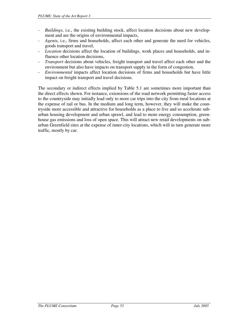- *Buildings*, i.e., the existing building stock, affect location decisions about new development and are the origins of environmental impacts,
- *Agents*, i.e., firms and households, affect each other and generate the need for vehicles, goods transport and travel,
- Location decisions affect the location of buildings, work places and households, and influence other location decisions,
- *Transport* decisions about vehicles, freight transport and travel affect each other and the environment but also have impacts on transport supply in the form of congestion,
- *Environmental* impacts affect location decisions of firms and households but have little impact on freight transport and travel decisions.

The secondary or indirect effects implied by Table 5.1 are sometimes more important than the direct effects shown. For instance, extensions of the road network permitting faster access to the countryside may initially lead only to more car trips into the city from rural locations at the expense of rail or bus. In the medium and long term, however, they will make the countryside more accessible and attractive for households as a place to live and so accelerate suburban housing development and urban sprawl, and lead to more energy consumption, greenhouse gas emissions and loss of open space. This will attract new retail developments on suburban Greenfield sites at the expense of inner-city locations, which will in turn generate more traffic, mostly by car.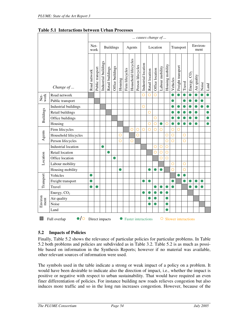|                  |                             | Net-<br>work |                  |                      |                  |                  |         |                 |                      | causes change of  |                     |                 |                 |                 |                  |                |                   |        |                  |             |           |      |
|------------------|-----------------------------|--------------|------------------|----------------------|------------------|------------------|---------|-----------------|----------------------|-------------------|---------------------|-----------------|-----------------|-----------------|------------------|----------------|-------------------|--------|------------------|-------------|-----------|------|
|                  |                             |              |                  | <b>Buildings</b>     |                  |                  |         | Agents          |                      |                   |                     |                 | Location        |                 |                  | Transport      |                   |        | Environ-<br>ment |             |           |      |
|                  | Change of                   | Road network | Public transport | Industrial buildings | Retail buildings | Office buildings | Housing | Firm lifecycles | Household lifecycles | Person lifecycles | Industrial location | Retail location | Office location | Labour mobility | Housing mobility | Vehicles       | Freight transport | Travel | Energy, $CO2$    | Air quality | Noise     | Land |
| Net-<br>work     | Road network                |              |                  |                      |                  |                  |         |                 |                      |                   | $\overline{O}$      | $\overline{O}$  | $\bigcirc$      |                 |                  |                | $\bullet$         |        | $\bullet$        | $\bullet$   | $\bullet$ |      |
|                  | Public transport            |              |                  |                      |                  |                  |         |                 |                      |                   |                     |                 |                 |                 |                  |                |                   |        |                  |             |           |      |
|                  | <b>Industrial buildings</b> |              |                  |                      |                  |                  |         |                 |                      |                   | $\bigcirc$          |                 |                 |                 |                  |                |                   |        |                  | $\bullet$   |           |      |
|                  | Retail buildings            |              |                  |                      |                  |                  |         |                 |                      |                   |                     | O               |                 |                 |                  |                |                   |        |                  | O           |           |      |
| <b>Buildings</b> | Office buildings            |              |                  |                      |                  |                  |         |                 |                      |                   |                     |                 | O               |                 |                  |                |                   |        |                  | $\bullet$   |           |      |
|                  | Housing                     |              |                  |                      |                  |                  |         |                 |                      |                   |                     | Ο               | $\mathcal{O}$   |                 | О                |                |                   |        |                  |             |           |      |
|                  | Firm lifecycles             |              |                  |                      |                  |                  |         |                 | Ω                    | О                 | O                   | O               | $\circ$         | Ο               |                  | О              | Ο                 |        |                  |             |           |      |
| Agents           | Household lifecycles        |              |                  |                      |                  |                  | О       |                 |                      | $\overline{O}$    |                     |                 |                 |                 | Ω                | $\overline{O}$ |                   | Ō      |                  |             |           |      |
|                  | Person lifecycles           |              |                  |                      |                  |                  | Ο       |                 | Ο                    |                   |                     |                 |                 |                 | Ο                | Ο              |                   | Ο      |                  |             |           |      |
|                  | <b>Industrial location</b>  |              |                  |                      |                  |                  |         |                 |                      |                   |                     |                 | С               | О               | О                |                |                   |        |                  |             |           |      |
|                  | Retail location             |              |                  |                      | 0                |                  |         |                 |                      |                   |                     |                 | C               | О               | O                |                |                   |        |                  |             |           |      |
| Location         | Office location             |              |                  |                      |                  |                  |         |                 |                      |                   |                     |                 |                 |                 | $\overline{O}$   |                |                   |        |                  |             |           |      |
|                  | Labour mobility             |              |                  |                      |                  |                  |         |                 |                      |                   |                     |                 |                 |                 |                  | О              |                   | О      |                  |             |           |      |
|                  | Housing mobility            |              |                  |                      |                  |                  |         |                 |                      |                   |                     |                 |                 |                 |                  | Ō              |                   | Ó      |                  |             |           |      |
|                  | Vehicles                    |              |                  |                      |                  |                  |         |                 |                      |                   |                     |                 |                 |                 |                  |                | O                 |        |                  |             |           |      |
| Transport        | Freight transport           |              |                  |                      |                  |                  |         |                 |                      |                   |                     |                 |                 |                 |                  |                |                   |        |                  |             |           |      |
|                  | Travel                      |              |                  |                      |                  |                  |         |                 |                      |                   |                     |                 |                 |                 |                  |                |                   |        |                  |             |           |      |
|                  | Energy, CO <sub>2</sub>     |              |                  |                      |                  |                  |         |                 |                      |                   |                     |                 |                 |                 |                  |                |                   |        |                  |             |           |      |
|                  | Air quality                 |              |                  |                      |                  |                  |         |                 |                      |                   |                     |                 |                 |                 |                  |                |                   |        |                  |             |           |      |
| Environ<br>ment  | Noise                       |              |                  |                      |                  |                  |         |                 |                      |                   |                     |                 |                 |                 |                  |                |                   |        |                  |             |           |      |
|                  | Land                        |              |                  |                      |                  |                  |         |                 |                      |                   |                     |                 |                 |                 |                  |                |                   |        |                  |             |           |      |

**Table 5.1 Interactions between Urban Processes**

# **5.2 Impacts of Policies**

Finally, Table 5.2 shows the relevance of particular policies for particular problems. In Table 5.2 both problems and policies are subdivided as in Table 3.2. Table 5.2 is as much as possible based on information in the Synthesis Reports; however if no material was available, other relevant sources of information were used.

The symbols used in the table indicate a strong or weak impact of a policy on a problem. It would have been desirable to indicate also the direction of impact, i.e., whether the impact is positive or negative with respect to urban sustainability. That would have required an even finer differentiation of policies. For instance building new roads relieves congestion but also induces more traffic and so in the long run increases congestion. However, because of the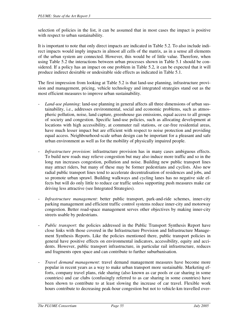selection of policies in the list, it can be assumed that in most cases the impact is positive with respect to urban sustainability.

It is important to note that only direct impacts are indicated in Table 5.2. To also include indirect impacts would imply impacts in almost all cells of the matrix, as in a sense all elements of the urban system are connected. However, this would be of little value. Therefore, when using Table 5.2 the interactions between urban processes shown in Table 5.1 should be considered. If a policy has an impact on one problem in Table 5.2, it can be expected that it will produce indirect desirable or undesirable side effects as indicated in Table 5.1.

The first impression from looking at Table 5.2 is that land-use planning, infrastructure provision and management, pricing, vehicle technology and integrated strategies stand out as the most efficient measures to improve urban sustainability.

- *Land-use planning*: land-use planning in general affects all three dimensions of urban sustainability, i.e., addresses environmental, social and economic problems, such as atmospheric pollution, noise, land capture, greenhouse gas emissions, equal access to all groups of society and congestion. Specific land-use policies, such as allocating development at locations with high accessibility, at commuter rail stations, or car-free residential areas, have much lesser impact but are efficient with respect to noise protection and providing equal access. Neighbourhood-scale urban design can be important for a pleasant and safe urban environment as well as for the mobility of physically impaired people.
- *Infrastructure provision*: infrastructure provision has in many cases ambiguous effects. To build new roads may relieve congestion but may also induce more traffic and so in the long run increases congestion, pollution and noise. Building new public transport lines may attract riders, but many of these may be former pedestrians and cyclists. Also new radial public transport lines tend to accelerate decentralisation of residences and jobs, and so promote urban sprawl. Building walkways and cycling lanes has no negative side effects but will do only little to reduce car traffic unless supporting push measures make car driving less attractive (see Integrated Strategies).
- *Infrastructure management*: better public transport, park-and-ride schemes, inner-city parking management and efficient traffic control systems reduce inner-city and motorway congestion. Better road-space management serves other objectives by making inner-city streets usable by pedestrians.
- *Public transport*: the policies addressed in the Public Transport Synthesis Report have close links with those covered in the Infrastructure Provision and Infrastructure Management Synthesis Reports. Like the policies mentioned there, public transport policies in general have positive effects on environmental indicators, accessibility, equity and accidents. However, public transport infrastructure, in particular rail infrastructure, reduces and fragments open space and can contribute to further suburbanisation.
- *Travel demand management*: travel demand management measures have become more popular in recent years as a way to make urban transport more sustainable. Marketing efforts, company travel plans, ride sharing (also known as car pools or car sharing in some countries) and car clubs (confusingly referred to as car sharing in some countries) have been shown to contribute to at least slowing the increase of car travel. Flexible work hours contribute to decreasing peak-hour congestion but not to vehicle-km travelled over-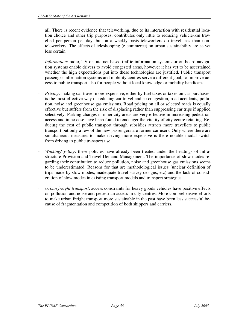all. There is recent evidence that teleworking, due to its interaction with residential location choice and other trip purposes, contributes only little to reducing vehicle-km travelled per person per day, but on a weekly basis teleworkers do travel less than nonteleworkers. The effects of teleshopping (e-commerce) on urban sustainability are as yet less certain.

- *Information*: radio, TV or Internet-based traffic information systems or on-board navigation systems enable drivers to avoid congested areas, however it has yet to be ascertained whether the high expectations put into these technologies are justified. Public transport passenger information systems and mobility centres serve a different goal, to improve access to public transport also for people without local knowledge or mobility handicaps.
- *Pricing*: making car travel more expensive, either by fuel taxes or taxes on car purchases, is the most effective way of reducing car travel and so congestion, road accidents, pollution, noise and greenhouse gas emissions. Road pricing on all or selected roads is equally effective but suffers from the risk of displacing rather than suppressing car trips if applied selectively. Parking charges in inner city areas are very effective in increasing pedestrian access and in no case have been found to endanger the vitality of city centre retailing. Reducing the cost of public transport through subsidies attracts more travellers to public transport but only a few of the new passengers are former car users. Only where there are simultaneous measures to make driving more expensive is there notable modal switch from driving to public transport use.
- *Walking/cycling*: these policies have already been treated under the headings of Infrastructure Provision and Travel Demand Management. The importance of slow modes regarding their contribution to reduce pollution, noise and greenhouse gas emissions seems to be underestimated. Reasons for that are methodological issues (unclear definition of trips made by slow modes, inadequate travel survey designs, etc) and the lack of consideration of slow modes in existing transport models and transport strategies.
- *Urban freight transport*: access constraints for heavy goods vehicles have positive effects on pollution and noise and pedestrian access in city centres. More comprehensive efforts to make urban freight transport more sustainable in the past have been less successful because of fragmentation and competition of both shippers and carriers.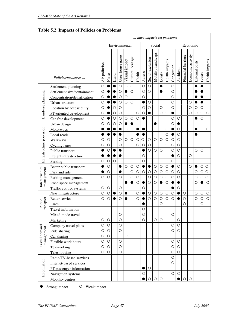# **Table 5.2 Impacts of Policies on Problems**

|                              |                             | have impacts on problems |            |            |                  |               |                   |         |            |                  |                    |            |                |            |           |                    |                   |                |           |                |
|------------------------------|-----------------------------|--------------------------|------------|------------|------------------|---------------|-------------------|---------|------------|------------------|--------------------|------------|----------------|------------|-----------|--------------------|-------------------|----------------|-----------|----------------|
|                              |                             |                          |            |            | Environmental    |               |                   |         | Social     |                  |                    |            |                | Economic   |           |                    |                   |                |           |                |
|                              | Policies/measures           | Air pollution            | Noise      | Land       | Greenhouse gases | Visual impact | Cultural heritage | Health  | Access     | Social exclusion | Mobility handicaps | Equity     | Health impacts | Congestion | Accidents | Financial barriers | Economic activity | External costs | Equity    | Health impacts |
|                              | Settlement planning         | $\circ$                  |            |            | $\circ$          | $\circ$       | $\circ$           |         | $\circ$    | $\circ$          |                    |            |                | $\circ$    |           |                    |                   |                | 0         |                |
|                              | Settlement size/containment | $\circ$                  |            |            | $\circ$          |               | $\circ$           |         | $\circ$    | $\circ$          |                    |            |                | $\circ$    |           |                    |                   |                | $\bullet$ |                |
| Land-use planning            | Concentration/densification | О                        |            |            | $\circ$          | $\circ$       |                   |         | О          |                  |                    |            |                | $\circ$    |           |                    |                   |                | 0         |                |
|                              | Urban structure             | $\circ$                  |            |            | $\circ$          | $\circ$       | $\circ$           |         |            | O                |                    |            |                | $\circ$    |           |                    | $\circ$           |                |           |                |
|                              | Location by accessibility   | $\circ$                  |            | $\bigcirc$ | $\circ$          |               |                   |         | $\bigcirc$ | $\circ$          |                    | $\circ$    |                | $\circ$    |           |                    | $\circ$           | О              | $\circ$   |                |
|                              | PT-oriented development     | $\circ$                  | $\bullet$  | $\bigcirc$ | $\circ$          |               |                   | $\circ$ | $\bigcirc$ | $\bullet$        |                    | $\circ$    | $\circ$        |            |           |                    | $\circ$           | $\circ$        | $\circ$   | $\circ$        |
|                              | Car-free development        | $\circ$                  | $\bullet$  | $\bigcirc$ | $\circ$          | $\circ$       | $\circ$           | $\circ$ |            |                  |                    |            |                | $\circ$    | $\circ$   |                    |                   |                | $\circ$   |                |
|                              | Urban design                | $\circ$                  | $\circ$    | $\circ$    | $\circ$          | $\bullet$     | $\bullet$         |         |            |                  | $\bullet$          |            |                | $\circ$    | $\bullet$ |                    |                   |                |           |                |
|                              | Motorways                   |                          |            |            |                  | $\circ$       |                   |         |            |                  |                    |            | $\circ$        |            | $\circ$   |                    |                   |                |           | $\circ$        |
| Infrastructure provision     | Local roads                 |                          |            |            |                  |               |                   |         |            |                  |                    |            | $\circ$        |            | $\circ$   |                    |                   |                |           |                |
|                              | Walkways                    | $\circ$                  | $\circ$    |            | $\circ$          | $\circ$       | $\circ$           | $\circ$ | О          | O                | $\circ$            | $\circ$    | $\circ$        | $\circ$    | $\circ$   |                    |                   |                |           |                |
|                              | Cycling lanes               | $\circ$                  | $\bigcirc$ |            | $\bigcirc$       |               |                   | $\circ$ | $\circ$    | $\circ$          |                    |            | $\circ$        | $\circ$    | $\circ$   |                    |                   |                |           |                |
|                              | Public transport            |                          | $\circ$    |            | $\bullet$        |               |                   |         | 0          | $\circ$          | $\circ$            | $\circ$    |                | $\circ$    | $\circ$   |                    |                   | $\circ$        | $\circ$   |                |
|                              | Freight infrastructure      |                          |            |            |                  |               |                   |         | $\circ$    |                  |                    |            |                |            | $\circ$   |                    | О                 |                |           |                |
|                              | Parking                     | О                        | О          | $\bigcirc$ |                  |               |                   |         | $\bigcirc$ |                  |                    |            |                | $\circ$    |           |                    |                   |                |           |                |
|                              | Better public transport     |                          | $\circ$    |            | ●                | О             | $\circ$           | $\circ$ | $\bullet$  |                  | $\circ$            | $\circ$    | $\circ$        | ●          | $\circ$   |                    | О                 |                | $\circ$   | О              |
| Infrastructure<br>management | Park and ride               |                          | $\bigcirc$ |            | $\bullet$        |               | $\circ$           | $\circ$ | $\circ$    | $\circ$          | $\circ$            | $\circ$    | $\circ$        | $\circ$    | $\circ$   |                    |                   | $\circ$        | $\circ$   | $\bigcirc$     |
|                              | Parking management          | $\circ$                  | $\circ$    |            | $\circ$          |               | $\circ$           | $\circ$ |            | $\circ$          | $\circ$            | $\circ$    | $\circ$        | $\circ$    | $\circ$   |                    |                   | $\circ$        | $\circ$   | O              |
|                              | Road space management       |                          |            |            |                  |               |                   | О       |            | $\circ$          | $\circ$            |            | $\circ$        |            | $\bullet$ |                    |                   | $\circ$        |           | $\circ$        |
|                              | Traffic control systems     | $\circ$                  | O          |            | O                |               |                   |         | O          |                  |                    |            |                |            | $\circ$   |                    |                   |                |           |                |
|                              | New infrastructure          | $\circ$                  | $\circ$    |            | $\circ$          |               |                   | О       | $\bullet$  | O                | $\circ$            | $\circ$    | $\circ$        | О          | $\bullet$ | O                  |                   | О              | О         | O              |
|                              | Better service              | $\circ$                  | $\circ$    |            | $\circ$          |               |                   | $\circ$ |            | $\circ$          | $\circ$            | $\bigcirc$ | $\circ$        | $\bigcirc$ | 0         | $\circ$            |                   | $\circ$        | $\circ$   | $\circ$        |
| transport<br>Public          | Fares                       |                          |            |            |                  |               |                   |         |            |                  |                    | $\circ$    |                |            |           | $\overline{O}$     |                   |                | $\circ$   |                |
|                              | Travel information          |                          |            |            |                  |               |                   |         | $\bigcirc$ |                  |                    |            |                |            |           |                    |                   |                |           |                |
|                              | Mixed-mode travel           |                          |            |            | О                |               |                   |         | $\circ$    |                  |                    |            |                | O          |           |                    |                   |                |           |                |
|                              | Marketing                   | $\circ$                  | $\bigcirc$ |            | $\circ$          |               |                   |         | O          |                  | $\circ$            | $\circ$    |                |            | $\circ$   |                    |                   |                |           |                |
|                              | Company travel plans        | $\circ$                  | $\circ$    |            | $\circ$          |               |                   |         |            |                  |                    |            |                | $\circ$    | $\circ$   |                    |                   |                |           |                |
|                              | Ride sharing                | $\circ$                  | $\circ$    |            | $\circ$          |               |                   |         |            |                  |                    |            |                | $\circ$    | $\circ$   |                    |                   |                |           |                |
| Travel demand<br>management  | Car sharing                 | $\circ$                  | $\circ$    |            |                  | О             |                   |         |            |                  |                    |            |                |            |           |                    |                   |                |           |                |
|                              | Flexible work hours         | $\circ$                  | $\circ$    |            | $\bigcirc$       |               |                   |         |            |                  |                    |            |                | $\circ$    | $\circ$   |                    |                   |                |           |                |
|                              | Teleworking                 | $\circ$                  | $\circ$    |            | $\circ$          |               |                   |         |            |                  |                    |            |                | $\bigcirc$ | $\circ$   |                    |                   |                |           |                |
|                              | Teleshopping                | $\circ$                  | $\circ$    |            | $\circ$          |               |                   |         |            |                  |                    |            |                | $\circ$    | $\circ$   |                    |                   |                |           |                |
|                              | Radio/TV-based services     |                          |            |            |                  |               |                   |         |            |                  |                    |            |                | $\circ$    |           |                    |                   |                |           |                |
|                              | Internet-based services     |                          |            |            |                  |               |                   |         |            |                  |                    |            |                | $\circ$    |           |                    |                   |                |           |                |
|                              | PT passenger information    |                          |            |            |                  |               |                   |         |            | O                |                    |            |                |            |           |                    |                   |                |           |                |
| Information                  |                             |                          |            |            |                  |               |                   |         | O          |                  |                    |            |                | $\circ$    | $\circ$   |                    |                   |                |           |                |
|                              | Navigation systems          |                          |            |            |                  |               |                   |         | $\bullet$  | $\circ$          | $\circ$            | $\circ$    |                |            | $\bullet$ | $\circ$            | $\circ$           |                |           |                |
|                              | Mobility centres            |                          |            |            |                  |               |                   |         |            |                  |                    |            |                |            |           |                    |                   |                |           |                |

 $\bullet$ Strong impact  $\qquad \qquad \circ \qquad$  Weak impact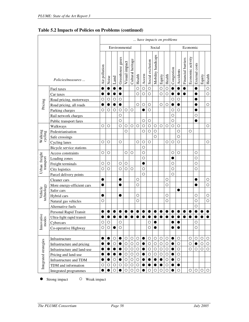# **Table 5.2 Impacts of Policies on Problems (continued)**

|                            |                             |               |            |            |                  |                |                   |            |           |                  | have impacts on problems |            |            |            |            |                    |                   |                |            |            |  |
|----------------------------|-----------------------------|---------------|------------|------------|------------------|----------------|-------------------|------------|-----------|------------------|--------------------------|------------|------------|------------|------------|--------------------|-------------------|----------------|------------|------------|--|
|                            |                             | Environmental |            |            |                  |                |                   |            |           |                  | Social                   |            |            | Economic   |            |                    |                   |                |            |            |  |
|                            | Policies/measures           | Air pollution | Noise      | Land       | Greenhouse gases | Visual impact  | Cultural heritage | Health     | Access    | Social exclusion | Mobility handicaps       | Equity     | Health     | Congestion | Accidents  | Financial barriers | Economic activity | External costs | Equity     | Health     |  |
|                            | Fuel taxes                  |               |            |            |                  |                |                   | $\circ$    | $\circ$   | $\bigcirc$       |                          | $\circ$    | $\bigcirc$ |            |            |                    |                   | $\bullet$      |            | $\circ$    |  |
|                            | Car taxes                   |               |            |            |                  |                |                   | $\circ$    | $\circ$   | $\circ$          |                          | $\bigcirc$ | $\circ$    |            |            |                    |                   |                |            | $\circ$    |  |
|                            | Road pricing, motorways     | $\circ$       | $\circ$    | $\circ$    | $\circ$          |                |                   |            |           |                  |                          |            |            | $\bigcirc$ | $\circ$    |                    |                   |                |            |            |  |
| Pricing                    | Road pricing, all roads     | 0             | $\bullet$  |            | $\bullet$        |                |                   | $\circ$    | $\circ$   | $\circ$          |                          | О          | О          | e          |            |                    |                   | 0              |            | $\circ$    |  |
|                            | Parking charges             | $\circ$       | $\circ$    | $\circ$    | $\circ$          | $\circ$        | $\circ$           |            |           | $\circ$          |                          |            |            | $\circ$    | $\circ$    |                    |                   |                |            |            |  |
|                            | Rail network charges        |               |            |            | $\circ$          |                |                   |            |           |                  |                          |            |            | $\circ$    |            |                    |                   | $\circ$        |            |            |  |
|                            | Public transport fares      |               |            |            | $\circ$          |                |                   |            | $\circ$   | $\circ$          |                          |            |            | $\circ$    |            |                    |                   |                |            |            |  |
|                            | Walkways                    | $\circ$       | $\circ$    |            | $\circ$          | $\circ$        | $\circ$           | $\circ$    | $\circ$   | $\bigcirc$       | $\circ$                  | O          | O          | $\circ$    | О          |                    |                   |                |            | $\circ$    |  |
| Walking<br>cycling         | Pedestrianisation           |               |            |            |                  | $\circ$        |                   |            | $\circ$   | $\circ$          | $\circ$                  |            |            |            | $\circ$    |                    | O                 |                |            |            |  |
|                            | Safe crossings              |               |            |            |                  |                |                   |            |           |                  | $\circ$                  |            |            |            | $\bigcirc$ |                    |                   |                |            |            |  |
|                            | <b>Cycling lanes</b>        | $\bigcirc$    | $\circ$    |            | $\circ$          |                |                   | $\circ$    | $\circ$   | $\circ$          |                          |            | O          | $\circ$    | $\circ$    |                    |                   |                |            | $\circ$    |  |
|                            | Bicycle service stations    |               |            |            |                  |                |                   |            | $\circ$   |                  |                          |            |            |            |            |                    |                   |                |            |            |  |
|                            | Access constraints          | $\circ$       | $\circ$    |            |                  | О              | $\circ$           |            | $\circ$   |                  |                          |            |            | $\circ$    | О          |                    |                   | $\circ$        |            |            |  |
| Urban freight<br>transport | Loading zones               |               |            |            |                  |                |                   |            | $\circ$   |                  |                          |            |            | 0          |            |                    |                   | О              |            |            |  |
|                            | Freight terminals           | $\circ$       | $\circ$    |            | $\circ$          | $\circ$        |                   |            | 0         |                  |                          |            |            | $\circ$    |            |                    |                   | $\circ$        |            |            |  |
|                            | City logistics              | $\circ$       | $\circ$    |            | $\overline{O}$   | $\overline{O}$ | $\circ$           |            | $\circ$   |                  |                          |            |            | $\circ$    |            |                    |                   | $\circ$        |            |            |  |
|                            | Parcel delivery points      |               |            |            |                  |                |                   |            | $\circ$   |                  |                          |            |            | $\circ$    |            |                    |                   |                |            |            |  |
|                            | Cleaner cars                |               |            |            |                  |                |                   | $\circ$    |           |                  |                          |            | О          |            |            |                    |                   |                |            | $\circ$    |  |
|                            | More energy-efficient cars  | $\bullet$     |            |            | 0                |                |                   | O          |           |                  |                          |            | O          |            |            |                    |                   |                |            | $\circ$    |  |
|                            | Safer cars                  |               |            |            |                  |                |                   |            |           |                  |                          |            |            |            |            |                    |                   |                |            |            |  |
| technology<br>Vehicle      | Hybrid cars                 |               |            |            |                  |                |                   | $\circ$    |           |                  |                          |            | О          |            |            |                    |                   | О              |            | $\circ$    |  |
|                            | Natural gas vehicles        | $\circ$       |            |            |                  |                |                   | $\circ$    |           |                  |                          |            | $\circ$    |            |            |                    |                   | $\circ$        |            | $\circ$    |  |
|                            | Alternative fuels           |               |            |            |                  |                |                   |            |           |                  |                          |            |            |            |            |                    |                   | $\circ$        |            |            |  |
|                            | Personal Rapid Transit      | $\bullet$     |            | $\bullet$  | $\bullet$        | $\bullet$      | $\bullet$         | $\bullet$  | $\bullet$ | $\bullet$        | $\bullet$                |            |            |            |            |                    |                   | $\bullet$      |            |            |  |
|                            | Ultra-light rapid transit   | ●             | $\bullet$  | $\bullet$  | $\bullet$        | $\bullet$      | $\bullet$         | $\bullet$  | $\bullet$ | $\bullet$        | $\bullet$                |            | $\bullet$  | $\bullet$  |            |                    |                   |                |            |            |  |
|                            | Cybercars                   | $\circ$       | $\circ$    |            | $\circ$          |                |                   |            |           | $\bigcirc$       |                          |            |            |            |            |                    |                   | O              |            |            |  |
| Innovative<br>modes        | Co-operative Highway        | $\bigcirc$    | $\bigcirc$ | $\bullet$  | $\bigcirc$       |                |                   |            |           | O                |                          |            |            |            |            |                    |                   | $\circ$        |            |            |  |
|                            |                             |               |            |            |                  |                |                   |            |           |                  |                          |            |            |            |            |                    |                   |                |            |            |  |
|                            | Infrastructure              |               |            | $\circ$    | $\bullet$        | $\circ$        | $\circ$           | $\bigcirc$ | $\bullet$ | $\circ$          | $\circ$                  | $\circ$    | $\circ$    |            | $\circ$    |                    | $\circ$           | $\circ$        | $\circ$    | $\circ$    |  |
| Integrated strategies      | Infrastructure and pricing  |               |            | $\bigcirc$ | $\bullet$        | $\circ$        | $\bigcirc$        | $\circ$    |           | $\circ$          | $\bigcirc$               | $\bigcirc$ | $\circ$    | ●          | $\circ$    |                    | $\circ$           |                | $\circ$    | $\circ$    |  |
|                            | Infrastructure and land-use |               | $\bullet$  | $\bullet$  | $\bullet$        | $\circ$        | $\circ$           | $\circ$    | $\bullet$ | $\circ$          | $\circ$                  | $\circ$    | $\circ$    |            | $\circ$    |                    | $\circ$           | $\circ$        | $\circ$    | $\circ$    |  |
|                            | Pricing and land-use        |               | $\bullet$  | $\bullet$  | $\bullet$        | $\bigcirc$     | $\circ$           | $\bigcirc$ |           | $\circ$          | $\circ$                  | $\circ$    | $\circ$    | $\bullet$  | $\circ$    |                    |                   |                |            |            |  |
|                            | Infrastructure and TDM      |               |            | $\circ$    |                  | $\circ$        | $\bigcirc$        | $\bigcirc$ |           |                  |                          |            | $\circ$    |            | $\circ$    |                    |                   |                |            |            |  |
|                            | TDM and information         | $\circ$       | $\circ$    | $\circ$    | $\circ$          | $\circ$        | $\circ$           | $\circ$    |           |                  |                          |            | $\circ$    |            |            |                    |                   |                |            |            |  |
|                            | Integrated programmes       | $\bullet$     | $\bullet$  | $\bigcirc$ | $\bullet$        | $\bigcirc$     | $\bigcirc$        | $\bigcirc$ | $\bullet$ | $\bigcirc$       | $\circ$                  | $\bigcirc$ | $\circ$    | $\bullet$  | $\bigcirc$ |                    | $\circ$           | $\bigcirc$     | $\bigcirc$ | $\bigcirc$ |  |

• Strong impact O Weak impact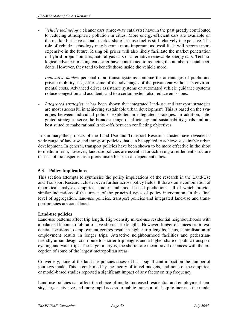- *Vehicle technology*: cleaner cars (three-way catalysts) have in the past greatly contributed to reducing atmospheric pollution in cities. More energy-efficient cars are available on the market but have a small market share because fuel is still relatively inexpensive. The role of vehicle technology may become more important as fossil fuels will become more expensive in the future. Rising oil prices will also likely facilitate the market penetration of hybrid-propulsion cars, natural-gas cars or alternative renewable-energy cars. Technological advances making cars safer have contributed to reducing the number of fatal accidents. However, they tend to benefit those inside the vehicle more.
- *Innovative modes*: personal rapid transit systems combine the advantages of public and private mobility, i.e., offer some of the advantages of the private car without its environmental costs. Advanced driver assistance systems or automated vehicle guidance systems reduce congestion and accidents and to a certain extent also reduce emissions.
- *Integrated strategies*: it has been shown that integrated land-use and transport strategies are most successful in achieving sustainable urban development. This is based on the synergies between individual policies exploited in integrated strategies. In addition, integrated strategies serve the broadest range of efficiency and sustainability goals and are best suited to make rational trade-offs between conflicting objectives.

In summary the projects of the Land-Use and Transport Research cluster have revealed a wide range of land-use and transport policies that can be applied to achieve sustainable urban development. In general, transport policies have been shown to be more effective in the short to medium term; however, land-use policies are essential for achieving a settlement structure that is not too dispersed as a prerequisite for less car-dependent cities.

# **5.3 Policy Implications**

This section attempts to synthesise the policy implications of the research in the Land-Use and Transport Research cluster even further across policy fields. It draws on a combination of theoretical analyses, empirical studies and model-based predictions, all of which provide similar indications of the impact of the principal types of policy intervention. In this final level of aggregation, land-use policies, transport policies and integrated land-use and transport policies are considered.

## **Land-use policies**

Land-use patterns affect trip length. High-density mixed-use residential neighbourhoods with a balanced labour-to-job ratio have shorter trip lengths. However, longer distances from residential locations to employment centres result in higher trip lengths. Thus, centralisation of employment results in longer trips. Attractive neighbourhood facilities and pedestrianfriendly urban design contribute to shorter trip lengths and a higher share of public transport, cycling and walk trips. The larger a city is, the shorter are mean travel distances with the exception of some of the largest metropolitan areas.

Conversely, none of the land-use policies assessed has a significant impact on the number of journeys made. This is confirmed by the theory of travel budgets, and none of the empirical or model-based studies reported a significant impact of any factor on trip frequency.

Land-use policies can affect the choice of mode. Increased residential and employment density, larger city size and more rapid access to public transport all help to increase the modal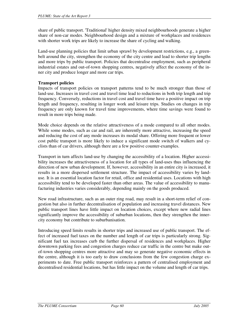share of public transport. 'Traditional'higher density mixed neighbourhoods generate a higher share of non-car modes. Neighbourhood design and a mixture of workplaces and residences with shorter work trips are likely to increase the share of cycling and walking.

Land-use planning policies that limit urban sprawl by development restrictions, e.g., a greenbelt around the city, strengthen the economy of the city centre and lead to shorter trip lengths and more trips by public transport. Policies that decentralise employment, such as peripheral industrial estates and out-of-town shopping centres, negatively affect the economy of the inner city and produce longer and more car trips.

## **Transport policies**

Impacts of transport policies on transport patterns tend to be much stronger than those of land-use. Increases in travel cost and travel time lead to reductions in both trip length and trip frequency. Conversely, reductions in travel cost and travel time have a positive impact on trip length and frequency, resulting in longer work and leisure trips. Studies on changes in trip frequency are only known for travel time improvements, where time savings were found to result in more trips being made.

Mode choice depends on the relative attractiveness of a mode compared to all other modes. While some modes, such as car and rail, are inherently more attractive, increasing the speed and reducing the cost of any mode increases its modal share. Offering more frequent or lower cost public transport is more likely to induce a significant mode switch of walkers and cyclists than of car drivers, although there are a few positive counter-examples.

Transport in turn affects land-use by changing the accessibility of a location. Higher accessibility increases the attractiveness of a location for all types of land-uses thus influencing the direction of new urban development. If, however, accessibility in an entire city is increased, it results in a more dispersed settlement structure. The impact of accessibility varies by landuse. It is an essential location factor for retail, office and residential uses. Locations with high accessibility tend to be developed faster than other areas. The value of accessibility to manufacturing industries varies considerably, depending mainly on the goods produced.

New road infrastructure, such as an outer ring road, may result in a short-term relief of congestion but also in further decentralisation of population and increasing travel distances. New public transport lines have little impact on location choices, except where new radial lines significantly improve the accessibility of suburban locations, then they strengthen the innercity economy but contribute to suburbanisation.

Introducing speed limits results in shorter trips and increased use of public transport. The effect of increased fuel taxes on the number and length of car trips is particularly strong. Significant fuel tax increases curb the further dispersal of residences and workplaces. Higher downtown parking fees and congestion charges reduce car traffic in the centre but make outof-town shopping centres more attractive and may so generate negative economic effects in the centre, although it is too early to draw conclusions from the few congestion charge experiments to date. Free public transport reinforces a pattern of centralised employment and decentralised residential locations, but has little impact on the volume and length of car trips.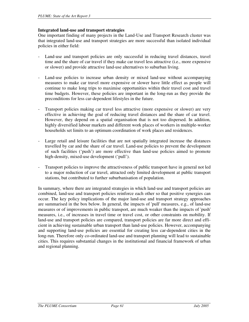## **Integrated land-use and transport strategies**

One important finding of many projects in the Land-Use and Transport Research cluster was that integrated land-use and transport strategies are more successful than isolated individual policies in either field:

- Land-use and transport policies are only successful in reducing travel distances, travel time and the share of car travel if they make car travel less attractive (i.e., more expensive or slower) and provide attractive land-use alternatives to suburban living.
- Land-use policies to increase urban density or mixed land-use without accompanying measures to make car travel more expensive or slower have little effect as people will continue to make long trips to maximise opportunities within their travel cost and travel time budgets. However, these policies are important in the long-run as they provide the preconditions for less car-dependent lifestyles in the future.
- Transport policies making car travel less attractive (more expensive or slower) are very effective in achieving the goal of reducing travel distances and the share of car travel. However, they depend on a spatial organisation that is not too dispersed. In addition, highly diversified labour markets and different work places of workers in multiple-worker households set limits to an optimum coordination of work places and residences.
- Large retail and leisure facilities that are not spatially integrated increase the distances travelled by car and the share of car travel. Land-use policies to prevent the development of such facilities ('push') are more effective than land-use policies aimed to promote high-density, mixed-use development ('pull').
- Transport policies to improve the attractiveness of public transport have in general not led to a major reduction of car travel, attracted only limited development at public transport stations, but contributed to further suburbanisation of population.

In summary, where there are integrated strategies in which land-use and transport policies are combined, land-use and transport policies reinforce each other so that positive synergies can occur. The key policy implications of the major land-use and transport strategy approaches are summarised in the box below. In general, the impacts of 'pull'measures, e.g., of land-use measures or of improvements in public transport, are much weaker than the impacts of 'push' measures, i.e., of increases in travel time or travel cost, or other constraints on mobility. If land-use and transport policies are compared, transport policies are far more direct and efficient in achieving sustainable urban transport than land-use policies. However, accompanying and supporting land-use policies are essential for creating less car-dependent cities in the long-run. Therefore only co-ordinated land-use and transport planning will lead to sustainable cities. This requires substantial changes in the institutional and financial framework of urban and regional planning.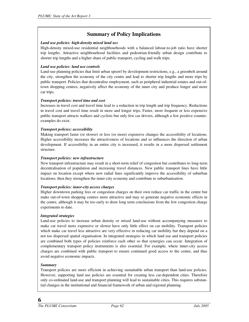# **Summary of Policy Implications**

### *Land use policies: high-density mixed land us*e

High-density mixed-use residential neighbourhoods with a balanced labour-to-job ratio have shorter trip lengths. Attractive neighbourhood facilities and pedestrian-friendly urban design contribute to shorter trip lengths and a higher share of public transport, cycling and walk trips.

### *Land use policies: land use controls*

Land-use planning policies that limit urban sprawl by development restrictions, e.g., a greenbelt around the city, strengthen the economy of the city centre and lead to shorter trip lengths and more trips by public transport. Policies that decentralise employment, such as peripheral industrial estates and out-oftown shopping centres, negatively affect the economy of the inner city and produce longer and more car trips.

#### *Transport policies: travel time and cost*

Increases in travel cost and travel time lead to a reduction in trip length and trip frequency. Reductions in travel cost and travel time result in more and longer trips. Faster, more frequent or less expensive public transport attracts walkers and cyclists but only few car drivers, although a few positive counterexamples do exist.

#### *Transport policies: accessibility*

Making transport faster (or slower) or less (or more) expensive changes the accessibility of locations. Higher accessibility increases the attractiveness of locations and so influences the direction of urban development. If accessibility in an entire city is increased, it results in a more dispersed settlement structure.

#### *Transport policies: new infrastructure*

New transport infrastructure may result in a short-term relief of congestion but contributes to long-term decentralisation of population and increasing travel distances. New public transport lines have little impact on location except where new radial lines significantly improve the accessibility of suburban locations; then they strengthen the inner-city economy and contribute to suburbanisation.

### *Transport policies: inner-city access charges*

Higher downtown parking fees or congestion charges on their own reduce car traffic in the centre but make out-of-town shopping centres more attractive and may so generate negative economic effects in the centre, although it may be too early to draw long term conclusions from the few congestion charge experiments to date.

#### *Integrated strategies*

Land-use policies to increase urban density or mixed land-use without accompanying measures to make car travel more expensive or slower have only little effect on car mobility. Transport policies which make car travel less attractive are very effective in reducing car mobility but they depend on a not too dispersed spatial organisation. In integrated strategies in which land use and transport policies are combined both types of policies reinforce each other so that synergies can occur. Integration of complementary transport policy instruments is also essential. For example, where inner-city access charges are combined with public transport to ensure continued good access to the centre, and thus avoid negative economic impacts.

#### *Summary*

Transport policies are more efficient in achieving sustainable urban transport than land-use policies. However, supporting land use policies are essential for creating less car-dependent cities. Therefore only co-ordinated land-use and transport planning will lead to sustainable cities. This requires substantial changes in the institutional and financial framework of urban and regional planning.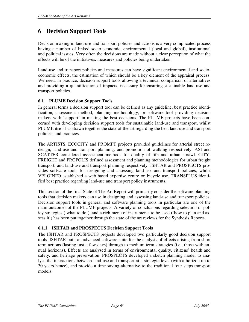# **6 Decision Support Tools**

Decision making in land-use and transport policies and actions is a very complicated process having a number of linked socio-economic, environmental (local and global), institutional and political issues. Very often the decisions are made without a clear perception of what the effects will be of the initiatives, measures and policies being undertaken.

Land-use and transport policies and measures can have significant environmental and socioeconomic effects, the estimation of which should be a key element of the appraisal process. We need, in practice, decision support tools allowing a technical comparison of alternatives and providing a quantification of impacts, necessary for ensuring sustainable land-use and transport policies.

## **6.1 PLUME Decision Support Tools**

In general terms a decision support tool can be defined as any guideline, best practice identification, assessment method, planning methodology, or software tool providing decision makers with 'support' in making the best decisions. The PLUME projects have been concerned with developing decision support tools for sustainable land-use and transport, whilst PLUME itself has drawn together the state of the art regarding the best land-use and transport policies, and practices.

The ARTISTS, ECOCITY and PROMPT projects provided guidelines for arterial street redesign, land-use and transport planning, and promotion of walking respectively. ASI and SCATTER considered assessment methods for quality of life and urban sprawl. CITY-FREIGHT and PROPOLIS defined assessment and planning methodologies for urban freight transport, and land-use and transport planning respectively. ISHTAR and PROSPECTS provides software tools for designing and assessing land-use and transport policies, whilst VELOINFO established a web based expertise centre on bicycle use. TRANSPLUS identified best practice regarding land-use and transport policy instruments.

This section of the final State of The Art Report will primarily consider the software planning tools that decision makers can use in designing and assessing land-use and transport policies. Decision support tools in general and software planning tools in particular are one of the main outcomes of the PLUME projects. A variety of conclusions regarding selection of policy strategies ('what to do'), and a rich menu of instruments to be used ('how to plan and assess it') has been put together through the state of the art reviews for the Synthesis Reports.

# **6.1.1 ISHTAR and PROSPECTS Decision Support Tools**

The ISHTAR and PROSPECTS projects developed two particularly good decision support tools. ISHTAR built an advanced software suite for the analysis of effects arising from short term actions (lasting just a few days) through to medium term strategies (i.e., those with annual horizons). Effects are analysed in terms of environmental quality, citizens' health and safety, and heritage preservation. PROSPECTS developed a sketch planning model to analyse the interactions between land-use and transport at a strategic level (with a horizon up to 30 years hence), and provide a time saving alternative to the traditional four steps transport models.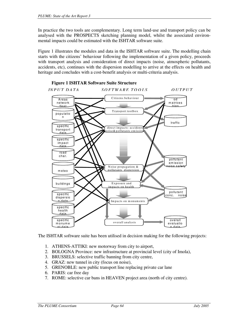In practice the two tools are complementary. Long term land-use and transport policy can be analysed with the PROSPECTS sketching planning model, whilst the associated environmental impacts could be estimated with the ISHTAR software suite.

Figure 1 illustrates the modules and data in the ISHTAR software suite. The modelling chain starts with the citizens' behaviour following the implementation of a given policy, proceeds with transport analysis and consideration of direct impacts (noise, atmospheric pollutants, accidents, etc), continues with the dispersion modelling to arrive at the effects on health and heritage and concludes with a cost-benefit analysis or multi-criteria analysis.



**Figure 1 ISHTAR Software Suite Structure**

The ISHTAR software suite has been utilised in decision making for the following projects:

- 1. ATHENS-ATTIKI: new motorway from city to airport,
- 2. BOLOGNA Province: new infrastructure at provincial level (city of Imola),
- 3. BRUSSELS: selective traffic banning from city centre,
- 4. GRAZ: new tunnel in city (focus on noise),
- 5. GRENOBLE: new public transport line replacing private car lane
- 6. PARIS: car free day
- 7. ROME: selective car bans in HEAVEN project area (north of city centre).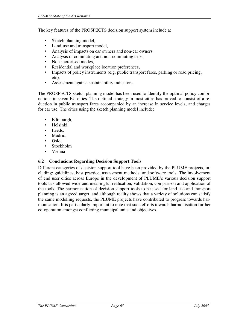The key features of the PROSPECTS decision support system include a:

- Sketch planning model,
- Land-use and transport model,
- Analysis of impacts on car owners and non-car owners,
- Analysis of commuting and non-commuting trips,
- Non-motorised modes.
- Residential and workplace location preferences,
- Impacts of policy instruments (e.g. public transport fares, parking or road pricing, etc),
- Assessment against sustainability indicators.

The PROSPECTS sketch planning model has been used to identify the optimal policy combinations in seven EU cities. The optimal strategy in most cities has proved to consist of a reduction in public transport fares accompanied by an increase in service levels, and charges for car use. The cities using the sketch planning model include:

- Edinburgh,
- Helsinki,
- Leeds,
- Madrid,
- Oslo,
- Stockholm
- Vienna

## **6.2 Conclusions Regarding Decision Support Tools**

Different categories of decision support tool have been provided by the PLUME projects, including: guidelines, best practice, assessment methods, and software tools. The involvement of end user cities across Europe in the development of PLUME's various decision support tools has allowed wide and meaningful realisation, validation, comparison and application of the tools. The harmonisation of decision support tools to be used for land-use and transport planning is an agreed target, and although reality shows that a variety of solutions can satisfy the same modelling requests, the PLUME projects have contributed to progress towards harmonisation. It is particularly important to note that such efforts towards harmonisation further co-operation amongst conflicting municipal units and objectives.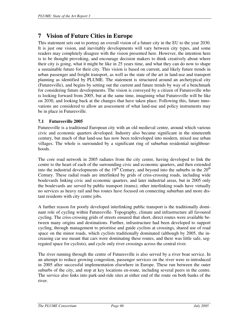# **7 Vision of Future Cities in Europe**

This statement sets out to portray an overall vision of a future city in the EU to the year 2030. It is just one vision, and inevitably developments will vary between city types, and some readers may completely disagree with the vision presented here. However, the intention here is to be thought provoking, and encourage decision makers to think creatively about where their city is going, what it might be like in 25 years time, and what they can do now to shape a sustainable future for their city. This vision is based on current, and likely future trends in urban passenger and freight transport, as well as the state of the art in land-use and transport planning as identified by PLUME. The statement is structured around an archetypical city (Futuresville), and begins by setting out the current and future trends by way of a benchmark for considering future developments. The vision is conveyed by a citizen of Futuresville who is looking forward from 2005, but at the same time, imagining what Futuresville will be like on 2030, and looking back at the changes that have taken place. Following this, future innovations are considered to allow an assessment of what land-use and policy instruments may be in place in Futuresville.

# **7.1 Futuresville 2005**

Futuresville is a traditional European city with an old medieval centre, around which various civic and economic quarters developed. Industry also became significant in the nineteenth century, but much of that land-use has now been redeveloped into modern, mixed use urban villages. The whole is surrounded by a significant ring of suburban residential neighbourhoods.

The core road network in 2005 radiates from the city centre, having developed to link the centre to the heart of each of the surrounding civic and economic quarters, and then extended into the industrial developments of the  $19<sup>th</sup>$  Century, and beyond into the suburbs in the  $20<sup>th</sup>$ Century. These radial roads are interlinked by grids of criss-crossing roads, including wide boulevards linking civic and economic quarters, and later industrial areas, but in 2005 only the boulevards are served by public transport (trams); other interlinking roads have virtually no services as heavy rail and bus routes have focused on connecting suburban and more distant residents with city centre jobs.

A further reason for poorly developed interlinking public transport is the traditionally dominant role of cycling within Futuresville. Topography, climate and infrastructure all favoured cycling. The criss-crossing grids of streets ensured that short, direct routes were available between many origins and destinations. Further, infrastructure had been developed to support cycling, through management to prioritise and guide cyclists at crossings, shared use of road space on the minor roads, which cyclists traditionally dominated (although by 2005, the increasing car use meant that cars were dominating these routes, and there was little safe, segregated space for cyclists), and cycle only river crossings across the central river.

The river running through the centre of Futuresville is also served by a river boat service. In an attempt to reduce growing congestion, passenger services on the river were re-introduced in 2005 after successful implementation elsewhere in Europe. These run between the outer suburbs of the city, and stop at key locations en-route, including several peers in the centre. The service also links into park-and-ride sites at either end of the route on both banks of the river.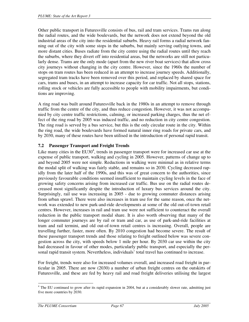Other public transport in Futuresville consists of bus, rail and tram services. Trams run along the radial routes, and the wide boulevards, but the network does not extend beyond the old industrial areas of the city into the residential suburbs. Heavy rail forms a radial network fanning out of the city with some stops in the suburbs, but mainly serving outlying towns, and more distant cities. Buses radiate from the city centre using the radial routes until they reach the suburbs, where they divert off into residential areas, but the networks are still not particularly dense. Trams are the only mode (apart from the new river boat services) that allow cross city journeys without changing in the city centre. However, since the 1960s the number of stops on tram routes has been reduced in an attempt to increase journey speeds. Additionally, segregated tram tracks have been removed over this period, and replaced by shared space for cars, trams and buses, in an attempt to increase capacity for car traffic. Not all stops, stations, rolling stock or vehicles are fully accessible to people with mobility impairments, but conditions are improving.

A ring road was built around Futuresville back in the 1980s in an attempt to remove through traffic from the centre of the city, and thus reduce congestion. However, it was not accompanied by city centre traffic restrictions, calming, or increased parking charges, thus the net effect of the ring road by 2005 was induced traffic, and no reduction in city centre congestion. The ring road is served by a bus service, but this is the only circular route in the city. Within the ring road, the wide boulevards have formed natural inner ring roads for private cars, and by 2030, many of these routes have been utilised in the introduction of personal rapid transit.

# **7.2 Passenger Transport and Freight Trends**

Like many cities in the  $EU30<sup>4</sup>$ , trends in passenger transport were for increased car use at the expense of public transport, walking and cycling in 2005. However, patterns of change up to and beyond 2005 were not simple. Reductions in walking were minimal as in relative terms the modal split of walking was fairly stable, and remains so in 2030. Cycling decreased rapidly from the later half of the 1990s, and this was of great concern to the authorities, since previously favourable conditions seemed insufficient to maintain cycling levels in the face of growing safety concerns arising from increased car traffic. Bus use on the radial routes decreased most significantly despite the introduction of luxury bus services around the city. Surprisingly, rail use was increasing in 2005 - due to growing commuter distances arising from urban sprawl. There were also increases in tram use for the same reason, once the network was extended to new park-and-ride developments at some of the old out-of-town retail centres. However, increases in rail and tram use were not sufficient to counteract the overall reduction in the public transport modal share. It is also worth observing that many of the longer commuter journeys are by rail or tram and car, as use of park-and-ride facilities at tram and rail termini, and old out-of-town retail centres is increasing. Overall, people are travelling further, faster, more often. By 2010 congestion had become severe. The result of these passenger transport trends and those relating to freight outlined below was severe congestion across the city, with speeds below 1 mile per hour. By 2030 car use within the city had decreased in favour of other modes, particularly public transport, and especially the personal rapid transit system. Nevertheless, individuals' total travel has continued to increase.

For freight, trends were also for increased volumes overall, and increased road freight in particular in 2005. There are now (2030) a number of urban freight centres on the outskirts of Futuresville, and these are fed by heavy rail and road freight deliveries utilising the largest

<sup>&</sup>lt;sup>4</sup> The EU continued to grow after its rapid expansion in 2004, but at a considerably slower rate, admitting just five more countries by 2030.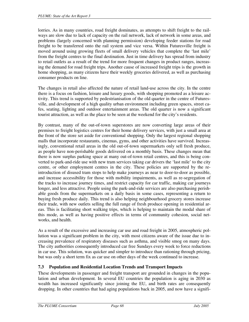lorries. As in many countries, road freight dominates, as attempts to shift freight to the railways are slow due to lack of capacity on the rail network, lack of network in some areas, and problems (largely concerned with planning permission) developing feeder stations for road freight to be transferred onto the rail system and vice versa. Within Futuresville freight is moved around using growing fleets of small delivery vehicles that complete the 'last mile' from the freight centres to the final destination. Just in time delivery has spread from industry to retail outlets as a result of the trend for more frequent changes in product ranges, increasing the demand for road freight trips. Another cause of increased freight trips is the growth in home shopping, as many citizens have their weekly groceries delivered, as well as purchasing consumer products on line.

The changes in retail also affected the nature of retail land-use across the city. In the centre there is a focus on fashion, leisure and luxury goods, with shopping promoted as a leisure activity. This trend is supported by pedestrianisation of the old quarter in the centre of Futuresville, and development of a high quality urban environment including green spaces, street cafes, seating, lighting and outdoor entertainment areas. The old quarter is now a significant tourist attraction, as well as the place to be seen at the weekend for the city's residents.

By contrast, many of the out-of-town superstores are now converting large areas of their premises to freight logistics centres for their home delivery services, with just a small area at the front of the store set aside for conventional shopping. Only the largest regional shopping malls that incorporate restaurants, cinemas, gyms, and other activities have survived. Increasingly, conventional retail areas in the old out-of-town supermarkets only sell fresh produce, as people have non-perishable goods delivered on a monthly basis. These changes mean that there is now surplus parking space at many out-of-town retail centres, and this is being converted to park-and-ride use with new tram services taking car drivers the 'last mile' to the city centre, or other employment centres in the city. These policies are supported by the reintroduction of disused tram stops to help make journeys as near to door-to-door as possible, and increase accessibility for those with mobility impairments, as well as re-segregation of the tracks to increase journey times, and restrict capacity for car traffic, making car journeys longer, and less attractive. People using the park-and-ride services are also purchasing perishable goods from the supermarkets on a daily basis in some cases, representing a return to buying fresh produce daily. This trend is also helping neighbourhood grocery stores increase their trade, with new outlets selling the full range of fresh produce opening in residential areas. This is facilitating short walking trips, which is helping to maintain the modal share of this mode, as well as having positive effects in terms of community cohesion, social networks, and health.

As a result of the excessive and increasing car use and road freight in 2005, atmospheric pollution was a significant problem in the city, with most citizens aware of the issue due to increasing prevalence of respiratory diseases such as asthma, and visible smog on many days. The city authorities consequently introduced car free Sundays every week to force reductions in car use. This solution, was quicker and simpler to introduce than rationing through pricing, but was only a short term fix as car use on other days of the week continued to increase.

# **7.3 Population and Residential Location Trends and Transport Impacts**

These developments in passenger and freight transport are grounded in changes in the population and urban development. In several EU countries the population is aging in 2030 as wealth has increased significantly since joining the EU, and birth rates are consequently dropping. In other countries that had aging populations back in 2005, and now have a signifi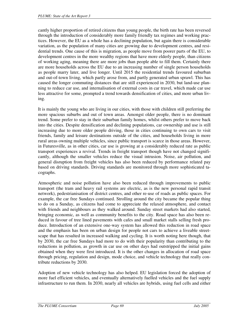cantly higher proportion of retired citizens than young people, the birth rate has been reversed through the introduction of considerably more family friendly tax regimes and working practices. However, the EU as a whole has a declining population, but again there is considerable variation, as the population of many cities are growing due to development centres, and residential trends. One cause of this is migration, as people move from poorer parts of the EU, to development centres in the more wealthy regions that have more elderly people, than citizens of working aging, meaning there are more jobs than people able to fill them. Certainly there are more households across the EU due to an increasing number of single person households as people marry later, and live longer. Until 2015 the residential trends favoured suburban and out-of-town living, which partly arose from, and partly generated urban sprawl. This has caused the longer commuting distances that are still experienced in 2030, but land-use planning to reduce car use, and internalisation of external costs in car travel, which made car use less attractive for some, prompted a trend towards densification of cities, and more urban living.

It is mainly the young who are living in our cities, with those with children still preferring the more spacious suburbs and out of town areas. Amongst older people, there is no dominant trend. Some prefer to stay in their suburban family homes, whilst others prefer to move back into the cities. Despite densification and declining populations, car ownership and use is still increasing due to more older people driving, those in cities continuing to own cars to visit friends, family and leisure destinations outside of the cities, and households living in more rural areas owning multiple vehicles, since public transport is scarce in those areas. However, in Futuresville, as in other cities, car use is growing at a considerably reduced rate as public transport experiences a revival. Trends in freight transport though have not changed significantly, although the smaller vehicles reduce the visual intrusion. Noise, air pollution, and general disruption from freight vehicles has also been reduced by performance related pay based on driving standards. Driving standards are monitored through more sophisticated tacographs.

Atmospheric and noise pollution have also been reduced through improvements to public transport (the tram and heavy rail systems are electric, as is the new personal rapid transit network), pedestrianisation of district centres, and other re-use of roads as public spaces. For example, the car free Sundays continued. Strolling around the city became the popular thing to do on a Sunday, as citizens had come to appreciate the relaxed atmosphere, and contact with friends and neighbours as they walked around. Sunday street markets had also started, bringing economic, as well as community benefits to the city. Road space has also been reduced in favour of tree lined pavements with cafes and small market stalls selling fresh produce. Introduction of an extensive one-way system has allowed this reduction in road space and the emphasis has been on urban design for people not cars to achieve a liveable streetscape that has resulted in increased walking and cycling. It is worth noting here though, that by 2030, the car free Sundays had more to do with their popularity than contributing to the reductions in pollution, as growth in car use on other days had outstripped the initial gains obtained when they were first introduced. It is the other changes in allocation of road space through pricing, regulation and design, mode choice, and vehicle technology that really contribute reductions by 2030.

Adoption of new vehicle technology has also helped. EU legislation forced the adoption of more fuel efficient vehicles, and eventually alternatively fuelled vehicles and the fuel supply infrastructure to run them. In 2030, nearly all vehicles are hybrids, using fuel cells and either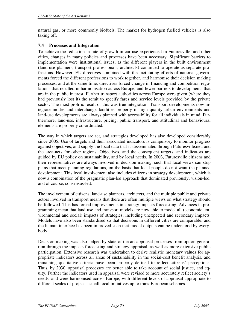natural gas, or more commonly biofuels. The market for hydrogen fuelled vehicles is also taking off.

### **7.4 Processes and Integration**

To achieve the reduction in rate of growth in car use experienced in Futuresville, and other cities, changes in many policies and processes have been necessary. Significant barriers to implementation were institutional issues, as the different players in the built environment (land-use planners, transport professionals, architects) continued to operate as separate professions. However, EU directives combined with the facilitating efforts of national governments forced the different professions to work together, and harmonise their decision making processes, and at the same time, directives forced change in financing and competition regulations that resulted in harmonisation across Europe, and fewer barriers to developments that are in the public interest. Further transport authorities across Europe were given (where they had previously lost it) the remit to specify fares and service levels provided by the private sector. The most prolific result of this was true integration. Transport developments now integrate modes and interchange facilities properly in high quality urban environments and land-use developments are always planned with accessibility for all individuals in mind. Furthermore, land-use, infrastructure, pricing, public transport, and attitudinal and behavioural elements are properly co-ordinated.

The way in which targets are set, and strategies developed has also developed considerably since 2005. Use of targets and their associated indicators is compulsory to monitor progress against objectives, and supply the local data that is disseminated through Futuresville.net, and the area-nets for other regions. Objectives, and the consequent targets, and indicators are guided by EU policy on sustainability, and by local needs. In 2003, Futuresville citizens and their representatives are always involved in decision making, such that local views can stop plans that meet planning regulations, on the basis that local people do not want the planned development. This local involvement also includes citizens in strategy development, which is now a combination of the pragmatic plan-led approach that dominated previously, vision-led, and of course, consensus-led.

The involvement of citizens, land-use planners, architects, and the multiple public and private actors involved in transport means that there are often multiple views on what strategy should be followed. This has forced improvements in strategy impacts forecasting. Advances in programming mean that land-use and transport models are now able to model all (economic, environmental and social) impacts of strategies, including unexpected and secondary impacts. Models have also been standardised so that decisions in different cities are comparable, and the human interface has been improved such that model outputs can be understood by everybody.

Decision making was also helped by state of the art appraisal processes from option generation through the impacts forecasting and strategy appraisal, as well as more extensive public participation. Extensive research was undertaken to derive realistic monetary values for appropriate indicators across all areas of sustainability in the social-cost benefit analysis, and remaining qualitative criteria have been properly defined to reflect citizens' perceptions. Thus, by 2030, appraisal processes are better able to take account of social justice, and equity. Further the indicators used in appraisal were revised to more accurately reflect society's needs, and were harmonised across Europe, with different levels of appraisal appropriate to different scales of project – small local initiatives up to trans-European schemes.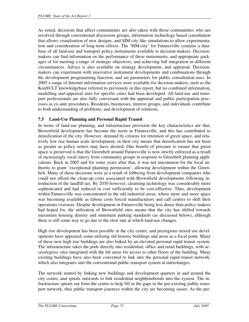As noted, decisions that affect communities are also taken with those communities who are involved through conventional discussion groups, information technology based consultation that allows visualisation of new designs, and SIM city like simulations to allow experimentation and consideration of long-term effects. The 'SIM-city' for Futuresville contains a database of all land-use and transport policy instruments available to decision-makers. Decisionmakers can find information on the performance of these instruments, and appropriate packages of for meeting a range of strategic objectives, and achieving full integration in different circumstances. Advice is also available on strategy development, and appraisal. Decisionmakers can experiment with innovative instrument developments and combinations through the development programming function, and set parameters for public consultation uses. In 2005 a range of Internet information services were available for decision-makers, such as the KonSULT knowledgebase referred to previously in this report, but no combined information, modelling and appraisal sites for specific cities had been developed. All land-use and transport professionals are also fully conversant with the appraisal and public participation processes as ex-ante procedures. Residents, businesses, interest groups, and individuals contribute to both understanding of problems, and development of solutions.

# **7.5 Land-Use Planning and Personal Rapid Transit**

In terms of land-use planning, and infrastructure provision the key characteristics are that, Brownfield development has become the norm in Futuresville, and this has contributed to densification of the city. However, demand by citizens for retention of green space, and relatively low rise human scale development, in their city means that densification has not been as greater as policy setters may have desired. One benefit of pressure to ensure that green space is preserved is that the Greenbelt around Futuresville is now strictly enforced as a result of increasingly vocal outcry from community groups in response to Greenbelt planning applications. Back in 2005 and for some years after that, it was not uncommon for the local authority to grant 'exceptional planning permission', allowing development within the Greenbelt. Many of these decisions were as a result of lobbying from development companies who could not afford the clean-up costs associated with Brownfield developments following introduction of the landfill tax. By 2030 however, cleansing technology was considerably more sophisticated and had reduced in cost sufficiently to be cost-effective. Thus, development within Futuresville was concentrated in the old industrial areas, where more and more space was becoming available as labour costs forced manufacturers and call centres to shift their operations overseas. Despite development in Futuresville being less dense than policy makers had hoped for, the utilisation of Brownfield sites means that the city has shifted towards maximum housing density and minimum parking standards (as discussed below), although there is still some way to go due to the slow rate at which land-use changes.

High rise development has been possible in the city centre, and prestigious mixed use developments have appeared, some utilising old historic buildings and areas as a focal point. Many of these new high rise buildings are also linked by an elevated personal rapid transit system. The infrastructure takes the pods directly into residential, office and retail buildings, with access/egress sites integrated with the lift areas for access to other floors of the building. Many existing buildings have also been converted to link into the personal rapid transit network, which also integrates into the conventional public transport system at interchanges.

The network started by linking new buildings and development quarters in and around the city centre, and spirals outwards to link residential neighbourhoods into the system. The infrastructure spirals out from the centre to help fill in the gaps in the pre-existing public transport network, thus public transport journeys within the city are becoming easier. As the per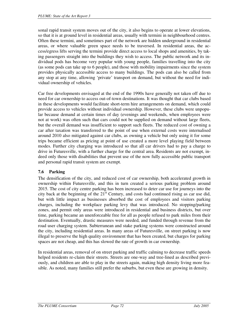sonal rapid transit system moves out of the city, it also begins to operate at lower elevations, so that it is at ground level in residential areas, usually with termini in neighbourhood centres. Often these termini, and sometimes part of the network are hidden underground in residential areas, or where valuable green space needs to be traversed. In residential areas, the access/egress lifts serving the termini provide direct access to local shops and amenities, by taking passengers straight into the buildings they wish to access. The public network and its individual pods has become very popular with young people, families travelling into the city (as some pods can take up to 6 people), and those with mobility impairments since the system provides physically accessible access to many buildings. The pods can also be called from any stop at any time, allowing 'private' transport on demand, but without the need for individual ownership of vehicles.

Car free developments envisaged at the end of the 1990s have generally not taken off due to need for car ownership to access out-of-town destinations. It was thought that car clubs based in these developments would facilitate short-term hire arrangements on demand, which could provide access to vehicles without individual ownership. However, these clubs were unpopular because demand at certain times of day (evenings and weekends, when employees were not at work) was often such that cars could not be supplied on demand without large fleets, but the overall demand was insufficient to support such fleets. The reduced cost of owning a car after taxation was transferred to the point of use when external costs were internalised around 2010 also mitigated against car clubs, as owning a vehicle but only using it for some trips became efficient as pricing at point of use created a more level playing field between modes. Further city charging was introduced so that all car drivers had to pay a charge to drive in Futuresville, with a further charge for the central area. Residents are not exempt, indeed only those with disabilities that prevent use of the now fully accessible public transport and personal rapid transit system are exempt.

# **7.6 Parking**

The densification of the city, and reduced cost of car ownership, both accelerated growth in ownership within Futuresville, and this in turn created a serious parking problem around 2015. The cost of city centre parking has been increased to deter car use for journeys into the city back at the beginning of the  $21<sup>st</sup>$  Century, and costs had continued rising as car use did, but with little impact as businesses absorbed the cost of employees and visitors parking charges, including the workplace parking levy that was introduced. No stopping/parking zones, and permit only areas were introduced in residential and business districts, but over time, parking became an unenforceable free for all as people refused to park miles from their destination. Eventually, drastic measures were needed, and funded through revenue from the road user charging system. Subterranean and stake parking systems were constructed around the city, including residential areas. In many areas of Futuresville, on street parking is now illegal to preserve the high quality environment that has been created, but charges for parking spaces are not cheap, and this has slowed the rate of growth in car ownership.

In residential areas, removal of on street parking and traffic calming to decrease traffic speeds helped residents re-claim their streets. Streets are one-way and tree-lined as described previously, and children are able to play in the streets again, making high density living more feasible. As noted, many families still prefer the suburbs, but even these are growing in density.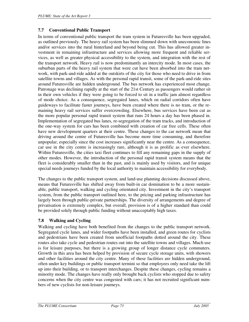## **7.7 Conventional Public Transport**

In terms of conventional public transport the tram system in Futuresville has been upgraded, as outlined previously. The heavy rail system has been slimmed down with uneconomic lines and/or services into the rural hinterland and beyond being cut. This has allowed greater investment in remaining infrastructure and services allowing more frequent and reliable services, as well as greater physical accessibility to the system, and integration with the rest of the transport network. Heavy rail is now predominantly an intercity mode. In most cases, the suburban parts of the heavy rail system that were cut have been absorbed into the tram network, with park-and-ride added at the outskirts of the city for those who need to drive in from satellite towns and villages. As with the personal rapid transit, some of the park-and-ride sites around Futuresville are hidden underground. The bus network has experienced most change. Patronage was declining rapidly at the start of the 21st Century as passengers would rather sit in their own vehicles if they were going to be forced to sit in a traffic jam almost regardless of mode choice. As a consequence, segregated lanes, which on radial corridors often have guideways to facilitate faster journeys, have been created where there is no tram, or the remaining heavy rail services suffer overcrowding. Elsewhere, bus services have been cut as the more popular personal rapid transit system that runs 24 hours a day has been phased in. Implementation of segregated bus lanes, re-segregation of the tram tracks, and introduction of the one-way system for cars has been combined with creation of car free cells. These often have new development quarters at their centre. These changes to the car network mean that driving around the centre of Futuresville has become more time consuming, and therefore unpopular, especially since the cost increases significantly near the centre. As a consequence, car use in the city centre is increasingly rare, although it is as prolific as ever elsewhere. Within Futuresville, the cities taxi fleet continues to fill any remaining gaps in the supply of other modes. However, the introduction of the personal rapid transit system means that the fleet is considerably smaller than in the past, and is mainly used by visitors, and for unique special needs journeys funded by the local authority to maintain accessibility for everybody.

The changes to the public transport system, and land-use planning decisions discussed above, means that Futuresville has shifted away from built-in car domination to be a more sustainable, public transport, walking and cycling orientated city. Investment in the city's transport system, from the public transport outlined here, to the pricing and parking infrastructure has largely been through public-private partnerships. The diversity of arrangements and degree of privatisation is extremely complex, but overall, provision is of a higher standard than could be provided solely through public funding without unacceptably high taxes.

## **7.8 Walking and Cycling**

Walking and cycling have both benefited from the changes to the public transport network. Segregated cycle lanes, and wider footpaths have been installed, and green routes for cyclists and pedestrians have been created from unofficial footpaths dotted around the city. These routes also take cycle and pedestrian routes out into the satellite towns and villages. Much use is for leisure purposes, but there is a growing group of longer distance cycle commuters. Growth in this area has been helped by provision of secure cycle storage units, with showers and other facilities around the city centre. Many of these facilities are hidden underground, often under key buildings or public transport termini so that employees only need take the lift up into their building, or to transport interchanges. Despite these changes, cycling remains a minority mode. The changes have really only brought back cyclists who stopped due to safety concerns when the city centre was congested with cars; it has not recruited significant numbers of new cyclists for non-leisure journeys.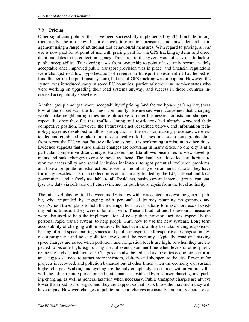## **7.9 Pricing**

Other significant policies that have been successfully implemented by 2030 include pricing (potentially, the most significant change), information measures, and travel demand management using a range of attitudinal and behavioural measures. With regard to pricing, all car use is now paid for at point of use with pricing paid for via GPS tracking systems and direct debit mandates to the collection agency. Transition to the system was not easy due to lack of public acceptability. Transferring costs from ownership to point of use, only became widely acceptable once improved public transport provision was in place, and financial regulations were changed to allow hypothecation of revenue to transport investment (it has helped to fund the personal rapid transit system), but use of GPS tracking was unpopular. However, the system was introduced early in some EU countries, particularly the new member states who were working on upgrading their road systems anyway, and success in those countries increased acceptability elsewhere.

Another group amongst whom acceptability of pricing (and the workplace parking levy) was low at the outset was the business community. Businesses were concerned that charging would make neighbouring cities more attractive to other businesses, tourists and shoppers, especially since they felt that traffic calming and restrictions had already worsened their competitive position. However, the Futuresville.net (described below), and information technology systems developed to allow participation in the decision making processes, were extended and combined to take in up to date, real world business and socio-demographic data from across the EU, so that Futuresville knows how it is performing in relation to other cities. Evidence suggests that since similar changes are occurring in many cities, no one city is at a particular competitive disadvantage. However, the data allows businesses to view developments and make changes to ensure they stay ahead. The data also allows local authorities to monitor accessibility and social inclusion indicators, to spot potential exclusion problems, and take appropriate remedial action, as well as monitoring environmental data as they have for many decades. The data collection is automatically funded by the EU, national and local government, and is freely available to all. Residents, businesses and interest groups can analyse raw data via software on Futuresville.net, or purchase analysis from the local authority.

The fair level playing field between modes is now widely accepted amongst the general public, who responded by engaging with personalised journey planning programmes and work/school travel plans to help them change their travel patterns to make more use of existing public transport they were unfamiliar with. These attitudinal and behavioural measures were also used to help the implementation of new public transport facilities, especially the personal rapid transit system, to help people learn how to use the new systems. Long term acceptability of charging within Futuresville has been the ability to make pricing responsive. Pricing of road space, parking spaces and public transport is all responsive to congestion levels, atmospheric and noise pollution levels, and the economy. Typically, road and parking space charges are raised when pollution, and congestion levels are high, or when they are expected to become high, e.g., during special events, summer time when levels of atmospheric ozone are higher, rush hour etc. Charges can also be reduced as the cities economic performance suggests a need to attract more investors, visitors, and shoppers to the city. Revenue for projects is recouped, and pollution balanced out at other times when the economy can sustain higher charges. Walking and cycling are the only completely free modes within Futuresville, with the infrastructure provision and maintenance subsidised by road user charging, and parking charging, as well as general taxation when necessary. Public transport charges are always lower than road user charges, and they are capped so that users know the maximum they will have to pay. However, changes to public transport charges are usually temporary decreases at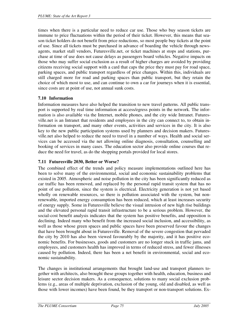times when there is a particular need to reduce car use. Those who buy season tickets are immune to price fluctuations within the period of their ticket. However, this means that season ticket holders do not benefit from price reductions, so most people buy tickets at the point of use. Since all tickets must be purchased in advance of boarding the vehicle through newsagents, market stall vendors, Futuresville.net, or ticket machines at stops and stations, purchase at time of use does not cause delays as passengers board vehicles. Negative impacts on those who may suffer social exclusion as a result of higher charges are avoided by providing citizens receiving social support with a card that caps the price they must pay for road space, parking spaces, and public transport regardless of price changes. Within this, individuals are still charged more for road and parking spaces than public transport, but they retain the choice of which most to use, and can continue to own a car for journeys when it is essential, since costs are at point of use, not annual sunk costs.

## **7.10 Information**

Information measures have also helped the transition to new travel patterns. All public transport is supported by real time information at access/egress points in the network. The information is also available via the Internet, mobile phones, and the city wide Intranet. Futuresville.net is an Intranet that residents and employees in the city can connect to, to obtain information on transport, and many other events, activities and services in the city. It is also key to the new public participation systems used by planners and decision makers. Futuresville.net also helped to reduce the need to travel in a number of ways. Health and social services can be accessed via the net allowing online diagnosis, consultation, counselling and booking of services in many cases. The education sector also provide online courses that reduce the need for travel, as do the shopping portals provided for local stores.

## **7.11 Futuresville 2030, Better or Worse?**

The combined effect of the trends and policy measure implementations outlined here has been to solve many of the environmental, social and economic sustainability problems that existed in 2005. Atmospheric and noise pollution in the city has been significantly reduced as car traffic has been removed, and replaced by the personal rapid transit system that has no point of use pollution, since the system is electrical. Electricity generation is not yet based wholly on renewable resources, so there is pollution associated with the system, but nonrenewable, imported energy consumption has been reduced, which at least increases security of energy supply. Some in Futuresville believe the visual intrusion of new high rise buildings and the elevated personal rapid transit infrastructure to be a serious problem. However, the social-cost benefit analysis indicates that the system has positive benefits, and opposition is declining. Indeed many who benefit from the increased social inclusion, and accessibility, as well as those whose green spaces and public spaces have been preserved favour the changes that have been brought about in Futuresville. Removal of the severe congestion that pervaded the city by 2010 has also been viewed favourably by the majority, and it has positive economic benefits. For businesses, goods and customers are no longer stuck in traffic jams, and employees, and customers health has improved in terms of reduced stress, and fewer illnesses caused by pollution. Indeed, there has been a net benefit in environmental, social and economic sustainability.

The changes in institutional arrangements that brought land-use and transport planners together with architects, also brought these groups together with health, education, business and leisure sector decision makers. As a consequence, solutions to many social exclusion problems (e.g., areas of multiple deprivation, exclusion of the young, old and disabled, as well as those with lower incomes) have been found, be they transport or non-transport solutions. Ex-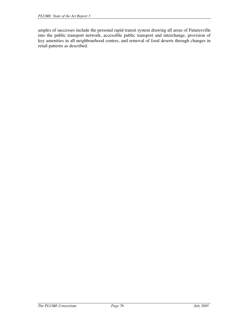amples of successes include the personal rapid transit system drawing all areas of Futuresville into the public transport network, accessible public transport and interchange, provision of key amenities in all neighbourhood centres, and removal of food deserts through changes in retail patterns as described.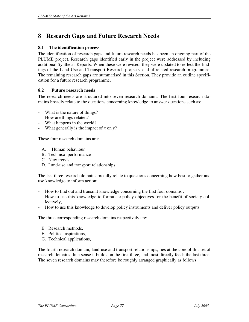## **8 Research Gaps and Future Research Needs**

#### **8.1 The identification process**

The identification of research gaps and future research needs has been an ongoing part of the PLUME project. Research gaps identified early in the project were addressed by including additional Synthesis Reports. When these were revised, they were updated to reflect the findings of the Land-Use and Transport Research projects, and of related research programmes. The remaining research gaps are summarised in this Section. They provide an outline specification for a future research programme.

#### **8.2 Future research needs**

The research needs are structured into seven research domains. The first four research domains broadly relate to the questions concerning knowledge to answer questions such as:

- What is the nature of things?
- How are things related?
- What happens in the world?
- What generally is the impact of  $x$  on  $y$ ?

These four research domains are:

- A. Human behaviour
- B. Technical performance
- C. New trends
- D. Land-use and transport relationships

The last three research domains broadly relate to questions concerning how best to gather and use knowledge to inform action:

- How to find out and transmit knowledge concerning the first four domains ,
- How to use this knowledge to formulate policy objectives for the benefit of society collectively,
- How to use this knowledge to develop policy instruments and deliver policy outputs.

The three corresponding research domains respectively are:

- E. Research methods,
- F. Political aspirations,
- G. Technical applications,

The fourth research domain, land-use and transport relationships, lies at the core of this set of research domains. In a sense it builds on the first three, and most directly feeds the last three. The seven research domains may therefore be roughly arranged graphically as follows: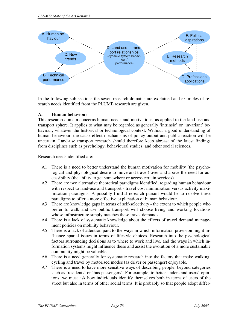

In the following sub-sections the seven research domains are explained and examples of research needs identified from the PLUME research are given.

## **A. Human behaviour**

This research domain concerns human needs and motivations, as applied to the land-use and transport sphere. It applies to what may be regarded as generally 'intrinsic' or 'invariant' behaviour, whatever the historical or technological context. Without a good understanding of human behaviour, the cause-effect mechanisms of policy output and public reaction will be uncertain. Land-use transport research should therefore keep abreast of the latest findings from disciplines such as psychology, behavioural studies, and other social sciences.

- A1 There is a need to better understand the human motivation for mobility (the psychological and physiological desire to move and travel) over and above the need for accessibility (the ability to get somewhere or access certain services).
- A2 There are two alternative theoretical paradigms identified, regarding human behaviour with respect to land-use and transport - travel cost minimisation versus activity maximisation paradigms. A possibly fruitful research pursuit would be to resolve these paradigms to offer a more effective explanation of human behaviour.
- A3 There are knowledge gaps in terms of self-selectivity the extent to which people who prefer to walk and use public transport will choose living and working locations whose infrastructure supply matches these travel demands.
- A4 There is a lack of systematic knowledge about the effects of travel demand management policies on mobility behaviour.
- A5 There is a lack of attention paid to the ways in which information provision might influence spatial issues in terms of lifestyle choices. Research into the psychological factors surrounding decisions as to where to work and live, and the ways in which information systems might influence these and assist the evolution of a more sustainable community might be valuable.
- A6 There is a need generally for systematic research into the factors that make walking, cycling and travel by motorised modes (as driver or passenger) enjoyable.
- A7 There is a need to have more sensitive ways of describing people, beyond categories such as 'residents' or 'bus passengers'. For example, to better understand users' opinions, we must ask how individuals identify themselves both in terms of users of the street but also in terms of other social terms. It is probably so that people adopt differ-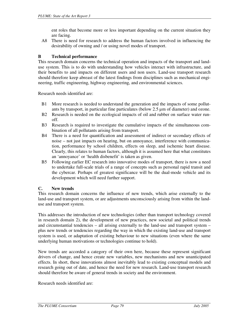ent roles that become more or less important depending on the current situation they are facing.

A8 There is need for research to address the human factors involved in influencing the desirability of owning and / or using novel modes of transport.

#### **B Technical performance**

This research domain concerns the technical operation and impacts of the transport and landuse system. This is to do with understanding how vehicles interact with infrastructure, and their benefits to and impacts on different users and non users. Land-use transport research should therefore keep abreast of the latest findings from disciplines such as mechanical engineering, traffic engineering, highway engineering, and environmental sciences.

Research needs identified are:

- B1 More research is needed to understand the generation and the impacts of some pollutants by transport, in particular fine particulates (below 2.5 µm of diameter) and ozone.
- B2 Research is needed on the ecological impacts of oil and rubber on surface water runoff.
- B3 Research is required to investigate the cumulative impacts of the simultaneous combination of all pollutants arising from transport.
- B4 There is a need for quantification and assessment of indirect or secondary effects of noise – not just impacts on hearing, but on annoyance, interference with communication, performance by school children, effects on sleep, and ischemic heart disease. Clearly, this relates to human factors, although it is assumed here that what constitutes an 'annoyance' or 'health disbenefit' is taken as given.
- B5 Following earlier EC research into innovative modes of transport, there is now a need to undertake full-scale trials of a range of concepts such as personal rapid transit and the cybercar. Perhaps of greatest significance will be the dual-mode vehicle and its development which will need further support.

#### **C. New trends**

This research domain concerns the influence of new trends, which arise externally to the land-use and transport system, or are adjustments unconsciously arising from within the landuse and transport system.

This addresses the introduction of new technologies (other than transport technology covered in research domain 2), the development of new practices, new societal and political trends and circumstantial tendencies – all arising externally to the land-use and transport system – plus new trends or tendencies regarding the way in which the existing land-use and transport system is used, or adaptation of existing behaviour to new situations (even where the same underlying human motivations or technologies continue to hold).

New trends are accorded a category of their own here, because these represent significant drivers of change, and hence create new variables, new mechanisms and new unanticipated effects. In short, these innovations almost inevitably lead to existing conceptual models and research going out of date, and hence the need for new research. Land-use transport research should therefore be aware of general trends in society and the environment.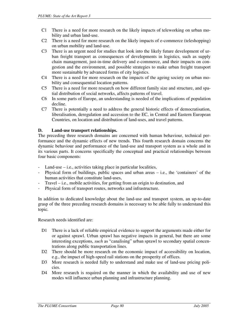- C1 There is a need for more research on the likely impacts of teleworking on urban mobility and urban land-use.
- C2 There is a need for more research on the likely impacts of e-commerce (teleshopping) on urban mobility and land-use.
- C3 There is an urgent need for studies that look into the likely future development of urban freight transport as consequences of developments in logistics, such as supply chain management, just-in-time delivery and e-commerce, and their impacts on congestion and the environment, and possible strategies to make urban freight transport more sustainable by advanced forms of city logistics.
- C4 There is a need for more research on the impacts of the ageing society on urban mobility and consequential location patterns.
- C5 There is a need for more research on how different family size and structure, and spatial distribution of social networks, affects patterns of travel.
- C6 In some parts of Europe, an understanding is needed of the implications of population decline.
- C7 There is potentially a need to address the general historic effects of democratisation, liberalisation, deregulation and accession to the EC, in Central and Eastern European Countries, on location and distribution of land-uses, and travel patterns.

#### **D. Land-use transport relationships.**

The preceding three research domains are concerned with human behaviour, technical performance and the dynamic effects of new trends. This fourth research domain concerns the dynamic behaviour and performance of the land-use and transport system as a whole and in its various parts. It concerns specifically the conceptual and practical relationships between four basic components:

- Land-use  $-$  i.e., activities taking place in particular localities,
- Physical form of buildings, public spaces and urban areas i.e., the 'containers' of the human activities that constitute land-uses,
- Travel i.e., mobile activities, for getting from an origin to destination, and
- Physical form of transport routes, networks and infrastructure.

In addition to dedicated knowledge about the land-use and transport system, an up-to-date grasp of the three preceding research domains is necessary to be able fully to understand this topic.

- D1 There is a lack of reliable empirical evidence to support the arguments made either for or against sprawl. Urban sprawl has negative impacts in general, but there are some interesting exceptions, *such* as "canalising" urban sprawl to secondary spatial concentrations along public transportation lines.
- D2 There should be more research on the economic impact of accessibility on location, e.g., the impact of high-speed rail stations on the prosperity of offices.
- D3 More research is needed fully to understand and make use of land-use pricing policies.
- D4 More research is required on the manner in which the availability and use of new modes will influence urban planning and infrastructure planning.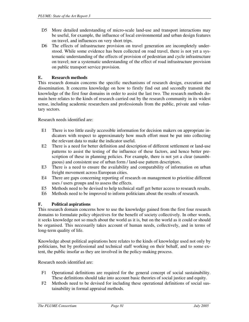- D5 More detailed understanding of micro-scale land-use and transport interactions may be useful, for example, the influence of local environmental and urban design features on travel, and influences on very short trips.
- D6 The effects of infrastructure provision on travel generation are incompletely understood. While some evidence has been collected on road travel, there is not yet a systematic understanding of the effects of provision of pedestrian and cycle infrastructure on travel; nor a systematic understanding of the effect of road infrastructure provision on public transport service provision.

#### **E. Research methods**

This research domain concerns the specific mechanisms of research design, execution and dissemination. It concerns knowledge on how to firstly find out and secondly transmit the knowledge of the first four domains in order to assist the last two. The research methods domain here relates to the kinds of research carried out by the research community in its widest sense, including academic researchers and professionals from the public, private and voluntary sectors.

Research needs identified are:

- E1 There is too little easily accessible information for decision makers on appropriate indicators with respect to approximately how much effort must be put into collecting the relevant data to make the indicator useful.
- E2 There is a need for better definition and description of different settlement or land-use patterns to assist the testing of the influence of these factors, and hence better prescription of these in planning policies. For example, there is not yet a clear (unambiguous) and consistent use of urban form / land-use pattern descriptors.
- E3 There is a need to ensure the availability and comparability of information on urban freight movement across European cities.
- E4 There are gaps concerning reporting of research on management to prioritise different uses / users groups and to assess the effects.
- E5 Methods need to be devised to help technical staff get better access to research results.
- E6 Methods need to be improved to inform politicians about the results of research.

#### **F. Political aspirations**

This research domain concerns how to use the knowledge gained from the first four research domains to formulate policy objectives for the benefit of society collectively. In other words, it seeks knowledge not so much about the world as it is, but on the world as it could or should be organised. This necessarily takes account of human needs, collectively, and in terms of long-term quality of life.

Knowledge about political aspirations here relates to the kinds of knowledge used not only by politicians, but by professional and technical staff working on their behalf, and to some extent, the public insofar as they are involved in the policy-making process.

- F1 Operational definitions are required for the general concept of social sustainability. These definitions should take into account basic theories of social justice and equity.
- F2 Methods need to be devised for including these operational definitions of social sustainability in formal appraisal methods.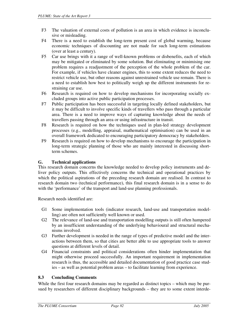- F3 The valuation of external costs of pollution is an area in which evidence is inconclusive or misleading.
- F4 There is a need to establish the long-term present cost of global warming, because economic techniques of discounting are not made for such long-term estimations (over at least a century).
- F5 Car use brings with it a range of well-known problems or disbenefits, each of which may be mitigated or eliminated by some solution. But eliminating or minimising one problem requires a readjustment of the perception of the whole problem of the car. For example, if vehicles have cleaner engines, this to some extent reduces the need to restrict vehicle use, but other reasons against unrestrained vehicle use remain. There is a need to establish how best to politically weigh up the different instruments for restraining car use.
- F6 Research is required on how to develop mechanisms for incorporating socially excluded groups into active public participation processes.
- F7 Public participation has been successful in targeting locally defined stakeholders, but it may be difficult to involve specific kinds of travellers who pass through a particular area. There is a need to improve ways of capturing knowledge about the needs of travellers passing through an area or using infrastructure in transit.
- F8 Research is required on how the techniques used in plan-led strategy development processes (e.g., modelling, appraisal, mathematical optimisation) can be used in an overall framework dedicated to encouraging participatory democracy by stakeholders.
- F9 Research is required on how to develop mechanisms to encourage the participation in long-term strategic planning of those who are mainly interested in discussing shortterm schemes.

#### **G. Technical applications**

This research domain concerns the knowledge needed to develop policy instruments and deliver policy outputs. This effectively concerns the technical and operational practices by which the political aspirations of the preceding research domain are realised. In contrast to research domain two (technical performance), this final research domain is in a sense to do with the 'performance' of the transport and land-use planning professionals.

Research needs identified are:

- G1 Some implementation tools (indicator research, land-use and transportation modelling) are often not sufficiently well known or used.
- G2 The relevance of land-use and transportation modelling outputs is still often hampered by an insufficient understanding of the underlying behavioural and structural mechanisms involved.
- G3 Further development is needed in the range of types of predictive model and the interactions between them, so that cities are better able to use appropriate tools to answer questions at different levels of detail.
- G4 Financial constraints and political considerations often hinder implementation that might otherwise proceed successfully. An important requirement in implementation research is thus, the accessible and detailed documentation of good practice case studies – as well as potential problem areas – to facilitate learning from experience.

#### **8.3 Concluding Comments**

While the first four research domains may be regarded as distinct topics – which may be pursued by researchers of different disciplinary backgrounds – they are to some extent interde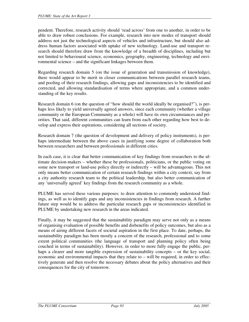pendent. Therefore, research activity should 'read across' from one to another, in order to be able to draw robust conclusions. For example, research into new modes of transport should address not just the technological aspects of vehicles and infrastructure, but should also address human factors associated with uptake of new technology. Land-use and transport research should therefore draw from the knowledge of a breadth of disciplines, including but not limited to behavioural science, economics, geography, engineering, technology and environmental science – and the significant linkages between them.

Regarding research domain 5 (on the issue of generation and transmission of knowledge), there would appear to be merit in closer communications between parallel research teams, and pooling of their research findings, allowing gaps and inconsistencies to be identified and corrected, and allowing standardisation of terms where appropriate, and a common understanding of the key results.

Research domain 6 (on the question of "how should the world ideally be organised?"), is perhaps less likely to yield universally agreed answers, since each community (whether a village community or the European Community as a whole) will have its own circumstances and priorities. That said, different communities can learn from each other regarding how best to develop and express their aspirations, considering all sections of society.

Research domain 7 (the question of development and delivery of policy instruments), is perhaps intermediate between the above cases in justifying some degree of collaboration both between researchers and between professionals in different cities.

In each case, it is clear that better communication of key findings from researchers to the ultimate decision-makers – whether these be professionals, politicians, or the public voting on some new transport or land-use policy directly or indirectly – will be advantageous. This not only means better communication of certain research findings within a city context, say from a city authority research team to the political leadership, but also better communication of any 'universally agreed' key findings from the research community as a whole.

PLUME has served these various purposes: to draw attention to commonly understood findings, as well as to identify gaps and any inconsistencies in findings from research. A further future step would be to address the particular research gaps or inconsistencies identified in PLUME by undertaking new research in the areas indicated.

Finally, it may be suggested that the sustainability paradigm may serve not only as a means of organising evaluation of possible benefits and disbenefits of policy outcomes, but also as a means of airing different facets of societal aspiration in the first place. To date, perhaps, the sustainability paradigm has been mostly a concern of the research, professional and to some extent political communities (the language of transport and planning policy often being couched in terms of sustainability). However, in order to more fully engage the public, perhaps a clearer and more tangible expression of sustainability concepts – or the key social, economic and environmental impacts that they relate to – will be required, in order to effectively generate and then resolve the necessary debates about the policy alternatives and their consequences for the city of tomorrow.